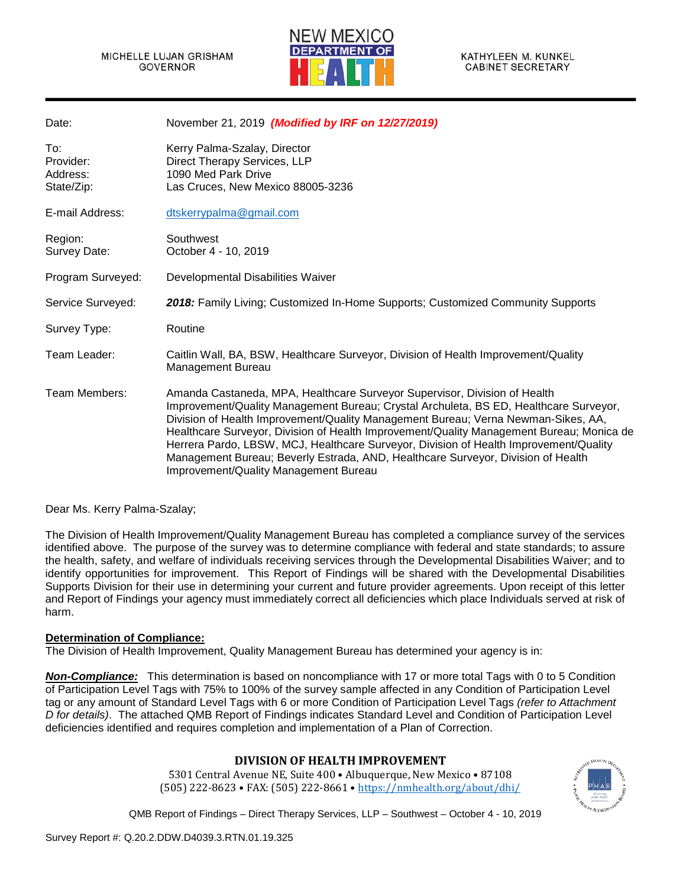

| November 21, 2019 (Modified by IRF on 12/27/2019)                                                                                                                                                                                                                                                                                                                                                                                                                                                                                                                         |
|---------------------------------------------------------------------------------------------------------------------------------------------------------------------------------------------------------------------------------------------------------------------------------------------------------------------------------------------------------------------------------------------------------------------------------------------------------------------------------------------------------------------------------------------------------------------------|
| Kerry Palma-Szalay, Director<br>Direct Therapy Services, LLP<br>1090 Med Park Drive<br>Las Cruces, New Mexico 88005-3236                                                                                                                                                                                                                                                                                                                                                                                                                                                  |
| dtskerrypalma@gmail.com                                                                                                                                                                                                                                                                                                                                                                                                                                                                                                                                                   |
| Southwest<br>October 4 - 10, 2019                                                                                                                                                                                                                                                                                                                                                                                                                                                                                                                                         |
| Developmental Disabilities Waiver                                                                                                                                                                                                                                                                                                                                                                                                                                                                                                                                         |
| 2018: Family Living; Customized In-Home Supports; Customized Community Supports                                                                                                                                                                                                                                                                                                                                                                                                                                                                                           |
| Routine                                                                                                                                                                                                                                                                                                                                                                                                                                                                                                                                                                   |
| Caitlin Wall, BA, BSW, Healthcare Surveyor, Division of Health Improvement/Quality<br>Management Bureau                                                                                                                                                                                                                                                                                                                                                                                                                                                                   |
| Amanda Castaneda, MPA, Healthcare Surveyor Supervisor, Division of Health<br>Improvement/Quality Management Bureau; Crystal Archuleta, BS ED, Healthcare Surveyor,<br>Division of Health Improvement/Quality Management Bureau; Verna Newman-Sikes, AA,<br>Healthcare Surveyor, Division of Health Improvement/Quality Management Bureau; Monica de<br>Herrera Pardo, LBSW, MCJ, Healthcare Surveyor, Division of Health Improvement/Quality<br>Management Bureau; Beverly Estrada, AND, Healthcare Surveyor, Division of Health<br>Improvement/Quality Management Bureau |
|                                                                                                                                                                                                                                                                                                                                                                                                                                                                                                                                                                           |

#### Dear Ms. Kerry Palma-Szalay;

The Division of Health Improvement/Quality Management Bureau has completed a compliance survey of the services identified above. The purpose of the survey was to determine compliance with federal and state standards; to assure the health, safety, and welfare of individuals receiving services through the Developmental Disabilities Waiver; and to identify opportunities for improvement. This Report of Findings will be shared with the Developmental Disabilities Supports Division for their use in determining your current and future provider agreements. Upon receipt of this letter and Report of Findings your agency must immediately correct all deficiencies which place Individuals served at risk of harm.

#### **Determination of Compliance:**

The Division of Health Improvement, Quality Management Bureau has determined your agency is in:

*Non-Compliance:* This determination is based on noncompliance with 17 or more total Tags with 0 to 5 Condition of Participation Level Tags with 75% to 100% of the survey sample affected in any Condition of Participation Level tag or any amount of Standard Level Tags with 6 or more Condition of Participation Level Tags *(refer to Attachment D for details)*. The attached QMB Report of Findings indicates Standard Level and Condition of Participation Level deficiencies identified and requires completion and implementation of a Plan of Correction.

# **DIVISION OF HEALTH IMPROVEMENT**

5301 Central Avenue NE, Suite 400 • Albuquerque, New Mexico • 87108 (505) 222-8623 • FAX: (505) 222-8661 [• https://nmhealth.org/about/dhi/](https://nmhealth.org/about/dhi/)

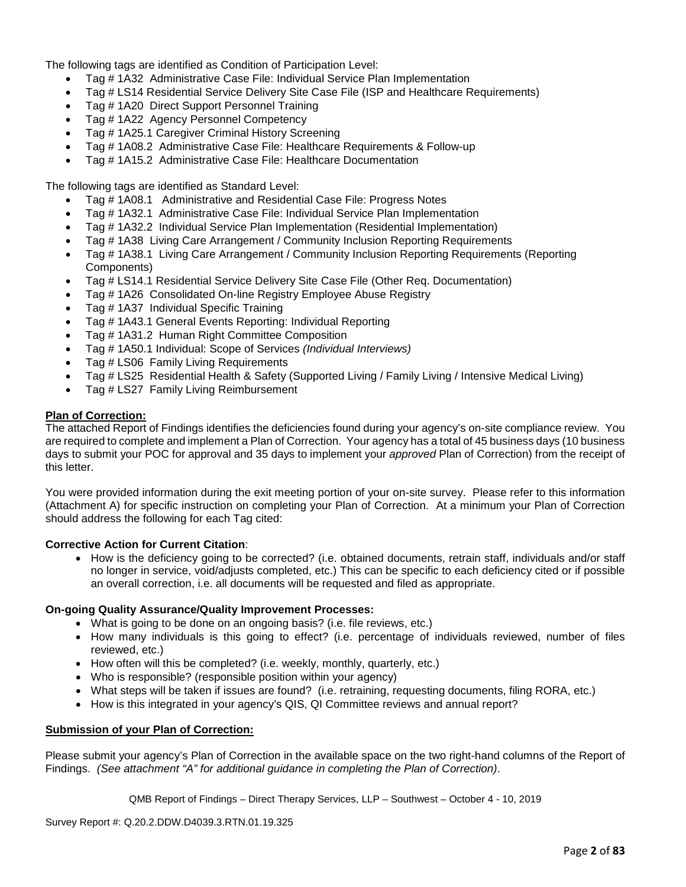The following tags are identified as Condition of Participation Level:

- Tag # 1A32 Administrative Case File: Individual Service Plan Implementation
- Tag # LS14 Residential Service Delivery Site Case File (ISP and Healthcare Requirements)
- Tag # 1A20 Direct Support Personnel Training
- Tag # 1A22 Agency Personnel Competency
- Tag # 1A25.1 Caregiver Criminal History Screening
- Tag # 1A08.2 Administrative Case File: Healthcare Requirements & Follow-up
- Tag # 1A15.2 Administrative Case File: Healthcare Documentation

The following tags are identified as Standard Level:

- Tag # 1A08.1 Administrative and Residential Case File: Progress Notes
- Tag # 1A32.1 Administrative Case File: Individual Service Plan Implementation
- Tag # 1A32.2 Individual Service Plan Implementation (Residential Implementation)
- Tag # 1A38 Living Care Arrangement / Community Inclusion Reporting Requirements
- Tag # 1A38.1 Living Care Arrangement / Community Inclusion Reporting Requirements (Reporting Components)
- Tag # LS14.1 Residential Service Delivery Site Case File (Other Req. Documentation)
- Tag # 1A26 Consolidated On-line Registry Employee Abuse Registry
- Tag # 1A37 Individual Specific Training
- Tag # 1A43.1 General Events Reporting: Individual Reporting
- Tag # 1A31.2 Human Right Committee Composition
- Tag # 1A50.1 Individual: Scope of Services *(Individual Interviews)*
- Tag # LS06 Family Living Requirements
- Tag # LS25 Residential Health & Safety (Supported Living / Family Living / Intensive Medical Living)
- Tag # LS27 Family Living Reimbursement

#### **Plan of Correction:**

The attached Report of Findings identifies the deficiencies found during your agency's on-site compliance review. You are required to complete and implement a Plan of Correction. Your agency has a total of 45 business days (10 business days to submit your POC for approval and 35 days to implement your *approved* Plan of Correction) from the receipt of this letter.

You were provided information during the exit meeting portion of your on-site survey. Please refer to this information (Attachment A) for specific instruction on completing your Plan of Correction. At a minimum your Plan of Correction should address the following for each Tag cited:

#### **Corrective Action for Current Citation**:

• How is the deficiency going to be corrected? (i.e. obtained documents, retrain staff, individuals and/or staff no longer in service, void/adjusts completed, etc.) This can be specific to each deficiency cited or if possible an overall correction, i.e. all documents will be requested and filed as appropriate.

#### **On-going Quality Assurance/Quality Improvement Processes:**

- What is going to be done on an ongoing basis? (i.e. file reviews, etc.)
- How many individuals is this going to effect? (i.e. percentage of individuals reviewed, number of files reviewed, etc.)
- How often will this be completed? (i.e. weekly, monthly, quarterly, etc.)
- Who is responsible? (responsible position within your agency)
- What steps will be taken if issues are found? (i.e. retraining, requesting documents, filing RORA, etc.)
- How is this integrated in your agency's QIS, QI Committee reviews and annual report?

#### **Submission of your Plan of Correction:**

Please submit your agency's Plan of Correction in the available space on the two right-hand columns of the Report of Findings. *(See attachment "A" for additional guidance in completing the Plan of Correction)*.

QMB Report of Findings – Direct Therapy Services, LLP – Southwest – October 4 - 10, 2019

Survey Report #: Q.20.2.DDW.D4039.3.RTN.01.19.325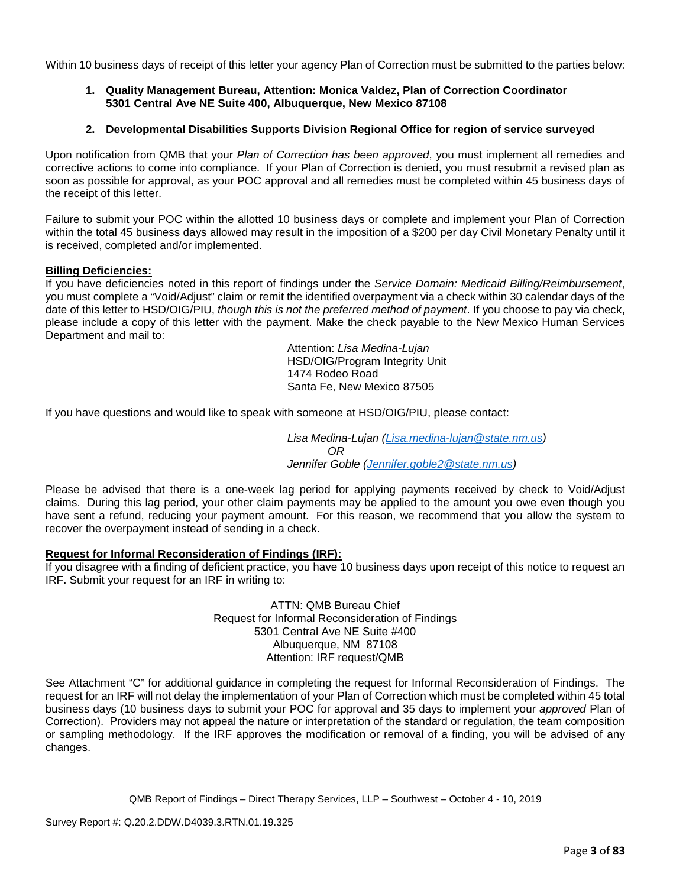Within 10 business days of receipt of this letter your agency Plan of Correction must be submitted to the parties below:

## **1. Quality Management Bureau, Attention: Monica Valdez, Plan of Correction Coordinator 5301 Central Ave NE Suite 400, Albuquerque, New Mexico 87108**

## **2. Developmental Disabilities Supports Division Regional Office for region of service surveyed**

Upon notification from QMB that your *Plan of Correction has been approved*, you must implement all remedies and corrective actions to come into compliance. If your Plan of Correction is denied, you must resubmit a revised plan as soon as possible for approval, as your POC approval and all remedies must be completed within 45 business days of the receipt of this letter.

Failure to submit your POC within the allotted 10 business days or complete and implement your Plan of Correction within the total 45 business days allowed may result in the imposition of a \$200 per day Civil Monetary Penalty until it is received, completed and/or implemented.

#### **Billing Deficiencies:**

If you have deficiencies noted in this report of findings under the *Service Domain: Medicaid Billing/Reimbursement*, you must complete a "Void/Adjust" claim or remit the identified overpayment via a check within 30 calendar days of the date of this letter to HSD/OIG/PIU, *though this is not the preferred method of payment*. If you choose to pay via check, please include a copy of this letter with the payment. Make the check payable to the New Mexico Human Services Department and mail to:

> Attention: *Lisa Medina-Lujan* HSD/OIG/Program Integrity Unit 1474 Rodeo Road Santa Fe, New Mexico 87505

If you have questions and would like to speak with someone at HSD/OIG/PIU, please contact:

*Lisa Medina-Lujan [\(Lisa.medina-lujan@state.nm.us\)](mailto:Lisa.medina-lujan@state.nm.us) OR Jennifer Goble [\(Jennifer.goble2@state.nm.us\)](mailto:Jennifer.goble2@state.nm.us)*

Please be advised that there is a one-week lag period for applying payments received by check to Void/Adjust claims. During this lag period, your other claim payments may be applied to the amount you owe even though you have sent a refund, reducing your payment amount. For this reason, we recommend that you allow the system to recover the overpayment instead of sending in a check.

## **Request for Informal Reconsideration of Findings (IRF):**

If you disagree with a finding of deficient practice, you have 10 business days upon receipt of this notice to request an IRF. Submit your request for an IRF in writing to:

> ATTN: QMB Bureau Chief Request for Informal Reconsideration of Findings 5301 Central Ave NE Suite #400 Albuquerque, NM 87108 Attention: IRF request/QMB

See Attachment "C" for additional guidance in completing the request for Informal Reconsideration of Findings. The request for an IRF will not delay the implementation of your Plan of Correction which must be completed within 45 total business days (10 business days to submit your POC for approval and 35 days to implement your *approved* Plan of Correction). Providers may not appeal the nature or interpretation of the standard or regulation, the team composition or sampling methodology. If the IRF approves the modification or removal of a finding, you will be advised of any changes.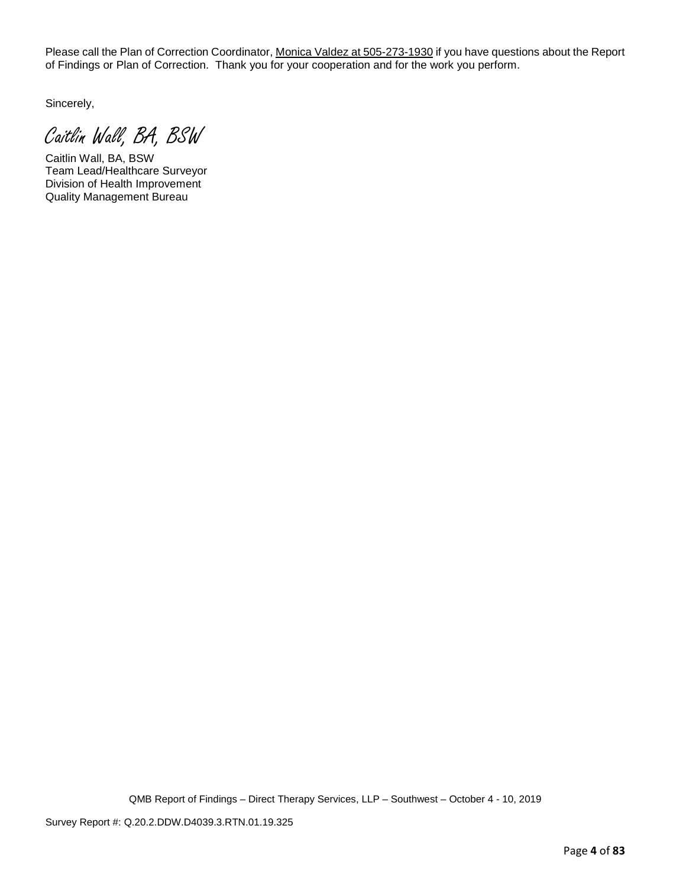Please call the Plan of Correction Coordinator, Monica Valdez at 505-273-1930 if you have questions about the Report of Findings or Plan of Correction. Thank you for your cooperation and for the work you perform.

Sincerely,

Caitlin Wall, BA, BSW

Caitlin Wall, BA, BSW Team Lead/Healthcare Surveyor Division of Health Improvement Quality Management Bureau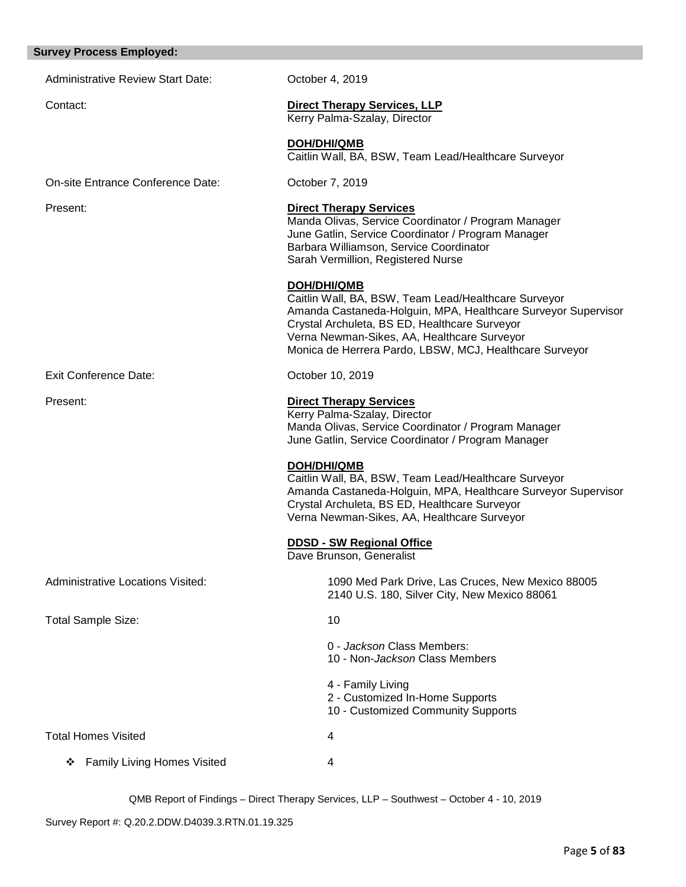## **Survey Process Employed:**

| <b>Administrative Review Start Date:</b> | October 4, 2019                                                                                                                                                                                                                                                                                        |
|------------------------------------------|--------------------------------------------------------------------------------------------------------------------------------------------------------------------------------------------------------------------------------------------------------------------------------------------------------|
| Contact:                                 | <b>Direct Therapy Services, LLP</b><br>Kerry Palma-Szalay, Director                                                                                                                                                                                                                                    |
|                                          | DOH/DHI/QMB<br>Caitlin Wall, BA, BSW, Team Lead/Healthcare Surveyor                                                                                                                                                                                                                                    |
| On-site Entrance Conference Date:        | October 7, 2019                                                                                                                                                                                                                                                                                        |
| Present:                                 | <b>Direct Therapy Services</b><br>Manda Olivas, Service Coordinator / Program Manager<br>June Gatlin, Service Coordinator / Program Manager<br>Barbara Williamson, Service Coordinator<br>Sarah Vermillion, Registered Nurse                                                                           |
|                                          | <b>DOH/DHI/QMB</b><br>Caitlin Wall, BA, BSW, Team Lead/Healthcare Surveyor<br>Amanda Castaneda-Holguin, MPA, Healthcare Surveyor Supervisor<br>Crystal Archuleta, BS ED, Healthcare Surveyor<br>Verna Newman-Sikes, AA, Healthcare Surveyor<br>Monica de Herrera Pardo, LBSW, MCJ, Healthcare Surveyor |
| <b>Exit Conference Date:</b>             | October 10, 2019                                                                                                                                                                                                                                                                                       |
| Present:                                 | <b>Direct Therapy Services</b><br>Kerry Palma-Szalay, Director<br>Manda Olivas, Service Coordinator / Program Manager<br>June Gatlin, Service Coordinator / Program Manager                                                                                                                            |
|                                          | <b>DOH/DHI/QMB</b><br>Caitlin Wall, BA, BSW, Team Lead/Healthcare Surveyor<br>Amanda Castaneda-Holguin, MPA, Healthcare Surveyor Supervisor<br>Crystal Archuleta, BS ED, Healthcare Surveyor<br>Verna Newman-Sikes, AA, Healthcare Surveyor                                                            |
|                                          | <b>DDSD - SW Regional Office</b><br>Dave Brunson, Generalist                                                                                                                                                                                                                                           |
| <b>Administrative Locations Visited:</b> | 1090 Med Park Drive, Las Cruces, New Mexico 88005<br>2140 U.S. 180, Silver City, New Mexico 88061                                                                                                                                                                                                      |
| <b>Total Sample Size:</b>                | 10                                                                                                                                                                                                                                                                                                     |
|                                          | 0 - Jackson Class Members:<br>10 - Non-Jackson Class Members                                                                                                                                                                                                                                           |
|                                          | 4 - Family Living<br>2 - Customized In-Home Supports<br>10 - Customized Community Supports                                                                                                                                                                                                             |
| <b>Total Homes Visited</b>               | 4                                                                                                                                                                                                                                                                                                      |
| <b>Family Living Homes Visited</b><br>❖  | 4                                                                                                                                                                                                                                                                                                      |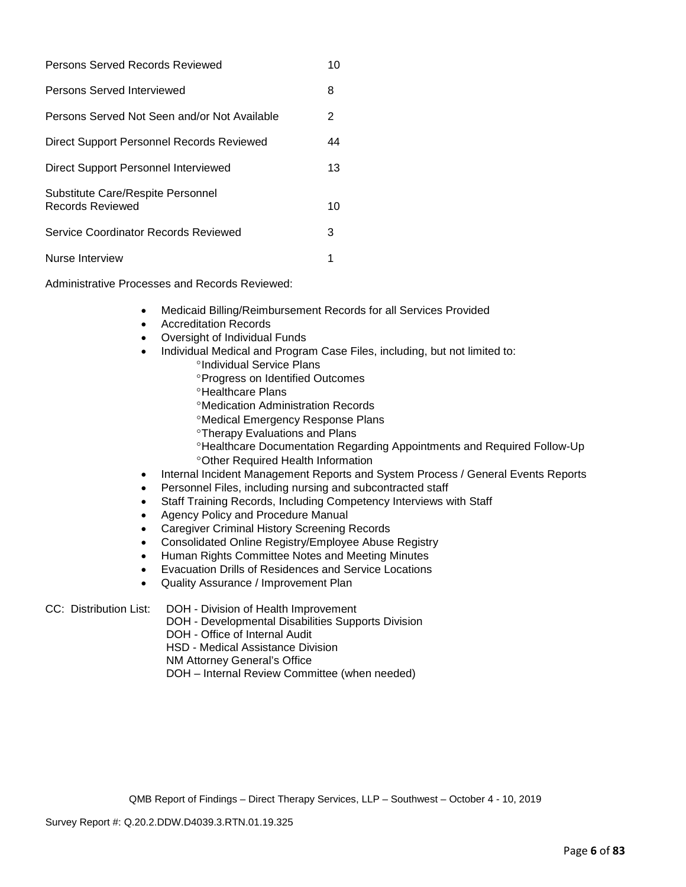| Persons Served Records Reviewed                       | 10 |
|-------------------------------------------------------|----|
| Persons Served Interviewed                            | 8  |
| Persons Served Not Seen and/or Not Available          | 2  |
| Direct Support Personnel Records Reviewed             | 44 |
| Direct Support Personnel Interviewed                  | 13 |
| Substitute Care/Respite Personnel<br>Records Reviewed | 10 |
| Service Coordinator Records Reviewed                  | 3  |
| Nurse Interview                                       |    |

Administrative Processes and Records Reviewed:

- Medicaid Billing/Reimbursement Records for all Services Provided
- Accreditation Records
- Oversight of Individual Funds
- Individual Medical and Program Case Files, including, but not limited to:
	- °Individual Service Plans
	- °Progress on Identified Outcomes
	- °Healthcare Plans
	- °Medication Administration Records
	- °Medical Emergency Response Plans
	- °Therapy Evaluations and Plans
	- °Healthcare Documentation Regarding Appointments and Required Follow-Up
	- °Other Required Health Information
- Internal Incident Management Reports and System Process / General Events Reports
- Personnel Files, including nursing and subcontracted staff
- Staff Training Records, Including Competency Interviews with Staff
- Agency Policy and Procedure Manual
- Caregiver Criminal History Screening Records
- Consolidated Online Registry/Employee Abuse Registry
- Human Rights Committee Notes and Meeting Minutes
- Evacuation Drills of Residences and Service Locations
- Quality Assurance / Improvement Plan

#### CC: Distribution List: DOH - Division of Health Improvement

- DOH Developmental Disabilities Supports Division
- DOH Office of Internal Audit
- HSD Medical Assistance Division
- NM Attorney General's Office
- DOH Internal Review Committee (when needed)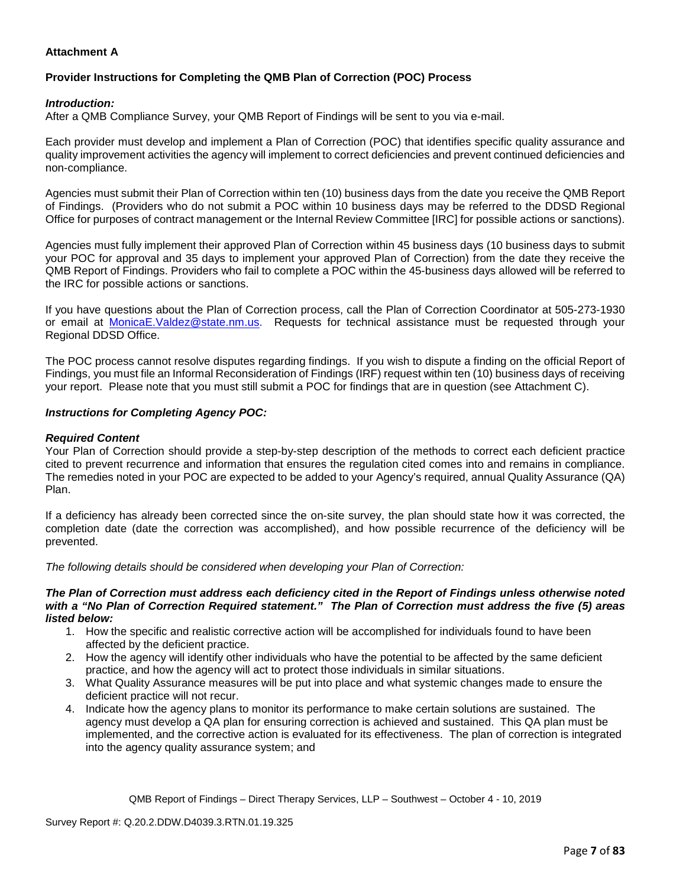# **Attachment A**

# **Provider Instructions for Completing the QMB Plan of Correction (POC) Process**

#### *Introduction:*

After a QMB Compliance Survey, your QMB Report of Findings will be sent to you via e-mail.

Each provider must develop and implement a Plan of Correction (POC) that identifies specific quality assurance and quality improvement activities the agency will implement to correct deficiencies and prevent continued deficiencies and non-compliance.

Agencies must submit their Plan of Correction within ten (10) business days from the date you receive the QMB Report of Findings. (Providers who do not submit a POC within 10 business days may be referred to the DDSD Regional Office for purposes of contract management or the Internal Review Committee [IRC] for possible actions or sanctions).

Agencies must fully implement their approved Plan of Correction within 45 business days (10 business days to submit your POC for approval and 35 days to implement your approved Plan of Correction) from the date they receive the QMB Report of Findings. Providers who fail to complete a POC within the 45-business days allowed will be referred to the IRC for possible actions or sanctions.

If you have questions about the Plan of Correction process, call the Plan of Correction Coordinator at 505-273-1930 or email at [MonicaE.Valdez@state.nm.us.](mailto:MonicaE.Valdez@state.nm.us) Requests for technical assistance must be requested through your Regional DDSD Office.

The POC process cannot resolve disputes regarding findings. If you wish to dispute a finding on the official Report of Findings, you must file an Informal Reconsideration of Findings (IRF) request within ten (10) business days of receiving your report. Please note that you must still submit a POC for findings that are in question (see Attachment C).

#### *Instructions for Completing Agency POC:*

#### *Required Content*

Your Plan of Correction should provide a step-by-step description of the methods to correct each deficient practice cited to prevent recurrence and information that ensures the regulation cited comes into and remains in compliance. The remedies noted in your POC are expected to be added to your Agency's required, annual Quality Assurance (QA) Plan.

If a deficiency has already been corrected since the on-site survey, the plan should state how it was corrected, the completion date (date the correction was accomplished), and how possible recurrence of the deficiency will be prevented.

*The following details should be considered when developing your Plan of Correction:*

#### *The Plan of Correction must address each deficiency cited in the Report of Findings unless otherwise noted with a "No Plan of Correction Required statement." The Plan of Correction must address the five (5) areas listed below:*

- 1. How the specific and realistic corrective action will be accomplished for individuals found to have been affected by the deficient practice.
- 2. How the agency will identify other individuals who have the potential to be affected by the same deficient practice, and how the agency will act to protect those individuals in similar situations.
- 3. What Quality Assurance measures will be put into place and what systemic changes made to ensure the deficient practice will not recur.
- 4. Indicate how the agency plans to monitor its performance to make certain solutions are sustained. The agency must develop a QA plan for ensuring correction is achieved and sustained. This QA plan must be implemented, and the corrective action is evaluated for its effectiveness. The plan of correction is integrated into the agency quality assurance system; and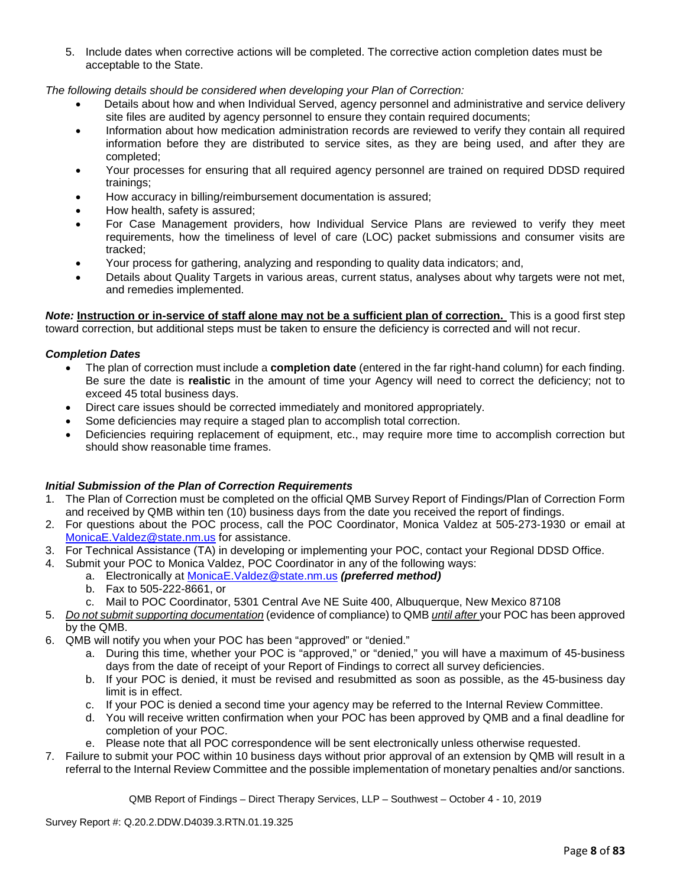5. Include dates when corrective actions will be completed. The corrective action completion dates must be acceptable to the State.

*The following details should be considered when developing your Plan of Correction:*

- Details about how and when Individual Served, agency personnel and administrative and service delivery site files are audited by agency personnel to ensure they contain required documents;
- Information about how medication administration records are reviewed to verify they contain all required information before they are distributed to service sites, as they are being used, and after they are completed;
- Your processes for ensuring that all required agency personnel are trained on required DDSD required trainings;
- How accuracy in billing/reimbursement documentation is assured;
- How health, safety is assured;
- For Case Management providers, how Individual Service Plans are reviewed to verify they meet requirements, how the timeliness of level of care (LOC) packet submissions and consumer visits are tracked;
- Your process for gathering, analyzing and responding to quality data indicators; and,
- Details about Quality Targets in various areas, current status, analyses about why targets were not met, and remedies implemented.

*Note:* **Instruction or in-service of staff alone may not be a sufficient plan of correction.** This is a good first step toward correction, but additional steps must be taken to ensure the deficiency is corrected and will not recur.

#### *Completion Dates*

- The plan of correction must include a **completion date** (entered in the far right-hand column) for each finding. Be sure the date is **realistic** in the amount of time your Agency will need to correct the deficiency; not to exceed 45 total business days.
- Direct care issues should be corrected immediately and monitored appropriately.
- Some deficiencies may require a staged plan to accomplish total correction.
- Deficiencies requiring replacement of equipment, etc., may require more time to accomplish correction but should show reasonable time frames.

#### *Initial Submission of the Plan of Correction Requirements*

- 1. The Plan of Correction must be completed on the official QMB Survey Report of Findings/Plan of Correction Form and received by QMB within ten (10) business days from the date you received the report of findings.
- 2. For questions about the POC process, call the POC Coordinator, Monica Valdez at 505-273-1930 or email at [MonicaE.Valdez@state.nm.us](mailto:MonicaE.Valdez@state.nm.us) for assistance.
- 3. For Technical Assistance (TA) in developing or implementing your POC, contact your Regional DDSD Office.
- 4. Submit your POC to Monica Valdez, POC Coordinator in any of the following ways:
	- a. Electronically at [MonicaE.Valdez@state.nm.us](mailto:MonicaE.Valdez@state.nm.us) *(preferred method)*
	- b. Fax to 505-222-8661, or
	- c. Mail to POC Coordinator, 5301 Central Ave NE Suite 400, Albuquerque, New Mexico 87108
- 5. *Do not submit supporting documentation* (evidence of compliance) to QMB *until after* your POC has been approved by the QMB.
- 6. QMB will notify you when your POC has been "approved" or "denied."
	- a. During this time, whether your POC is "approved," or "denied," you will have a maximum of 45-business days from the date of receipt of your Report of Findings to correct all survey deficiencies.
	- b. If your POC is denied, it must be revised and resubmitted as soon as possible, as the 45-business day limit is in effect.
	- c. If your POC is denied a second time your agency may be referred to the Internal Review Committee.
	- d. You will receive written confirmation when your POC has been approved by QMB and a final deadline for completion of your POC.
	- e. Please note that all POC correspondence will be sent electronically unless otherwise requested.
- 7. Failure to submit your POC within 10 business days without prior approval of an extension by QMB will result in a referral to the Internal Review Committee and the possible implementation of monetary penalties and/or sanctions.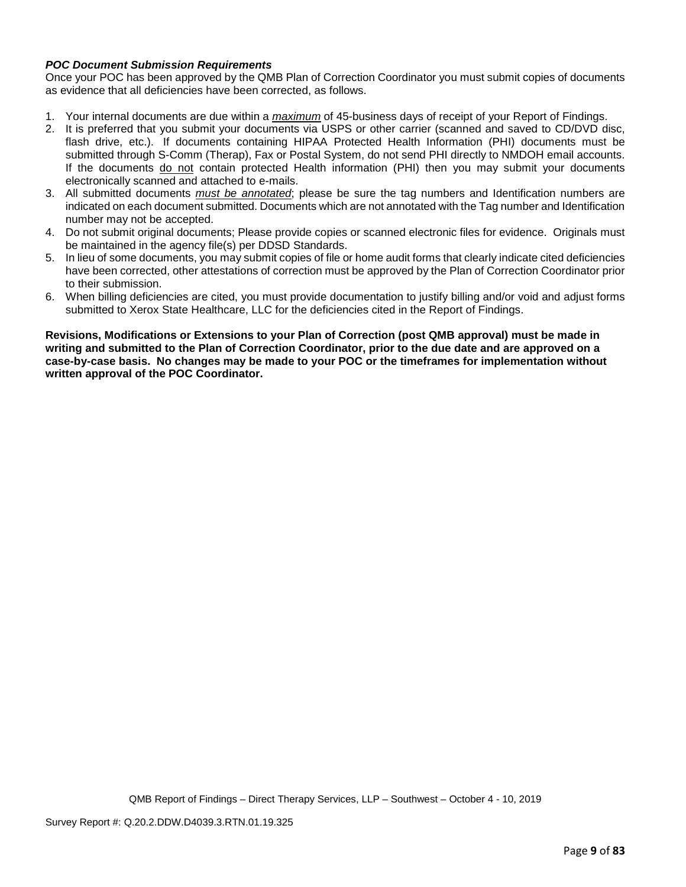## *POC Document Submission Requirements*

Once your POC has been approved by the QMB Plan of Correction Coordinator you must submit copies of documents as evidence that all deficiencies have been corrected, as follows.

- 1. Your internal documents are due within a *maximum* of 45-business days of receipt of your Report of Findings.
- 2. It is preferred that you submit your documents via USPS or other carrier (scanned and saved to CD/DVD disc, flash drive, etc.). If documents containing HIPAA Protected Health Information (PHI) documents must be submitted through S-Comm (Therap), Fax or Postal System, do not send PHI directly to NMDOH email accounts. If the documents do not contain protected Health information (PHI) then you may submit your documents electronically scanned and attached to e-mails.
- 3. All submitted documents *must be annotated*; please be sure the tag numbers and Identification numbers are indicated on each document submitted. Documents which are not annotated with the Tag number and Identification number may not be accepted.
- 4. Do not submit original documents; Please provide copies or scanned electronic files for evidence. Originals must be maintained in the agency file(s) per DDSD Standards.
- 5. In lieu of some documents, you may submit copies of file or home audit forms that clearly indicate cited deficiencies have been corrected, other attestations of correction must be approved by the Plan of Correction Coordinator prior to their submission.
- 6. When billing deficiencies are cited, you must provide documentation to justify billing and/or void and adjust forms submitted to Xerox State Healthcare, LLC for the deficiencies cited in the Report of Findings.

**Revisions, Modifications or Extensions to your Plan of Correction (post QMB approval) must be made in writing and submitted to the Plan of Correction Coordinator, prior to the due date and are approved on a case-by-case basis. No changes may be made to your POC or the timeframes for implementation without written approval of the POC Coordinator.**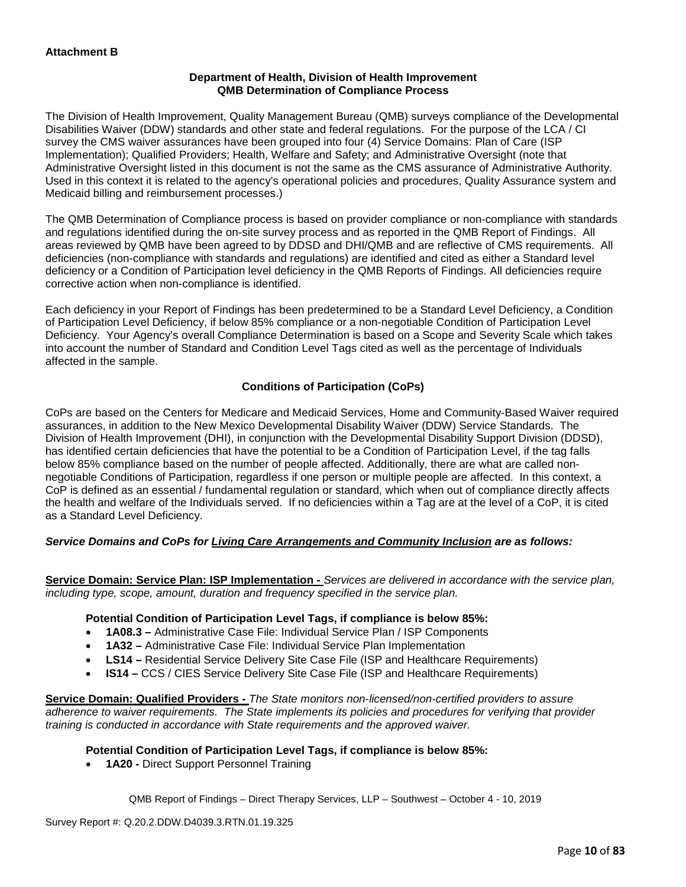## **Department of Health, Division of Health Improvement QMB Determination of Compliance Process**

The Division of Health Improvement, Quality Management Bureau (QMB) surveys compliance of the Developmental Disabilities Waiver (DDW) standards and other state and federal regulations. For the purpose of the LCA / CI survey the CMS waiver assurances have been grouped into four (4) Service Domains: Plan of Care (ISP Implementation); Qualified Providers; Health, Welfare and Safety; and Administrative Oversight (note that Administrative Oversight listed in this document is not the same as the CMS assurance of Administrative Authority. Used in this context it is related to the agency's operational policies and procedures, Quality Assurance system and Medicaid billing and reimbursement processes.)

The QMB Determination of Compliance process is based on provider compliance or non-compliance with standards and regulations identified during the on-site survey process and as reported in the QMB Report of Findings. All areas reviewed by QMB have been agreed to by DDSD and DHI/QMB and are reflective of CMS requirements. All deficiencies (non-compliance with standards and regulations) are identified and cited as either a Standard level deficiency or a Condition of Participation level deficiency in the QMB Reports of Findings. All deficiencies require corrective action when non-compliance is identified.

Each deficiency in your Report of Findings has been predetermined to be a Standard Level Deficiency, a Condition of Participation Level Deficiency, if below 85% compliance or a non-negotiable Condition of Participation Level Deficiency. Your Agency's overall Compliance Determination is based on a Scope and Severity Scale which takes into account the number of Standard and Condition Level Tags cited as well as the percentage of Individuals affected in the sample.

# **Conditions of Participation (CoPs)**

CoPs are based on the Centers for Medicare and Medicaid Services, Home and Community-Based Waiver required assurances, in addition to the New Mexico Developmental Disability Waiver (DDW) Service Standards. The Division of Health Improvement (DHI), in conjunction with the Developmental Disability Support Division (DDSD), has identified certain deficiencies that have the potential to be a Condition of Participation Level, if the tag falls below 85% compliance based on the number of people affected. Additionally, there are what are called nonnegotiable Conditions of Participation, regardless if one person or multiple people are affected. In this context, a CoP is defined as an essential / fundamental regulation or standard, which when out of compliance directly affects the health and welfare of the Individuals served. If no deficiencies within a Tag are at the level of a CoP, it is cited as a Standard Level Deficiency.

#### *Service Domains and CoPs for Living Care Arrangements and Community Inclusion are as follows:*

**Service Domain: Service Plan: ISP Implementation -** *Services are delivered in accordance with the service plan, including type, scope, amount, duration and frequency specified in the service plan.*

#### **Potential Condition of Participation Level Tags, if compliance is below 85%:**

- **1A08.3 –** Administrative Case File: Individual Service Plan / ISP Components
- **1A32 –** Administrative Case File: Individual Service Plan Implementation
- **LS14 –** Residential Service Delivery Site Case File (ISP and Healthcare Requirements)
- **IS14 –** CCS / CIES Service Delivery Site Case File (ISP and Healthcare Requirements)

**Service Domain: Qualified Providers -** *The State monitors non-licensed/non-certified providers to assure adherence to waiver requirements. The State implements its policies and procedures for verifying that provider training is conducted in accordance with State requirements and the approved waiver.*

#### **Potential Condition of Participation Level Tags, if compliance is below 85%:**

• **1A20 -** Direct Support Personnel Training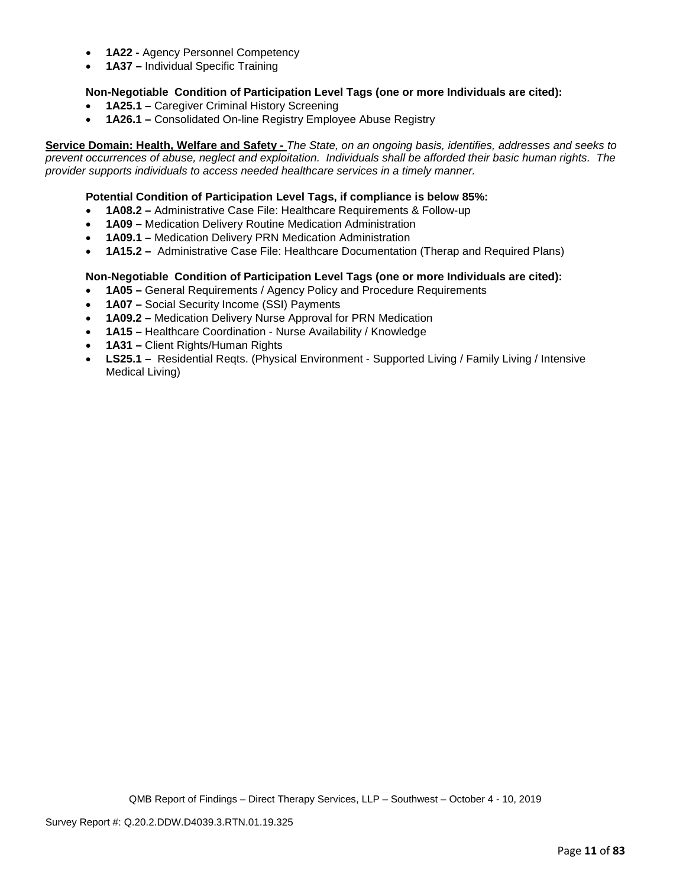- **1A22 -** Agency Personnel Competency
- **1A37 –** Individual Specific Training

## **Non-Negotiable Condition of Participation Level Tags (one or more Individuals are cited):**

- **1A25.1 –** Caregiver Criminal History Screening
- **1A26.1 –** Consolidated On-line Registry Employee Abuse Registry

**Service Domain: Health, Welfare and Safety -** *The State, on an ongoing basis, identifies, addresses and seeks to prevent occurrences of abuse, neglect and exploitation. Individuals shall be afforded their basic human rights. The provider supports individuals to access needed healthcare services in a timely manner.*

## **Potential Condition of Participation Level Tags, if compliance is below 85%:**

- **1A08.2 –** Administrative Case File: Healthcare Requirements & Follow-up
- **1A09 –** Medication Delivery Routine Medication Administration
- **1A09.1 –** Medication Delivery PRN Medication Administration
- **1A15.2 –** Administrative Case File: Healthcare Documentation (Therap and Required Plans)

## **Non-Negotiable Condition of Participation Level Tags (one or more Individuals are cited):**

- **1A05 –** General Requirements / Agency Policy and Procedure Requirements
- **1A07 –** Social Security Income (SSI) Payments
- **1A09.2 –** Medication Delivery Nurse Approval for PRN Medication
- **1A15 –** Healthcare Coordination Nurse Availability / Knowledge
- **1A31 –** Client Rights/Human Rights
- **LS25.1** Residential Reqts. (Physical Environment Supported Living / Family Living / Intensive Medical Living)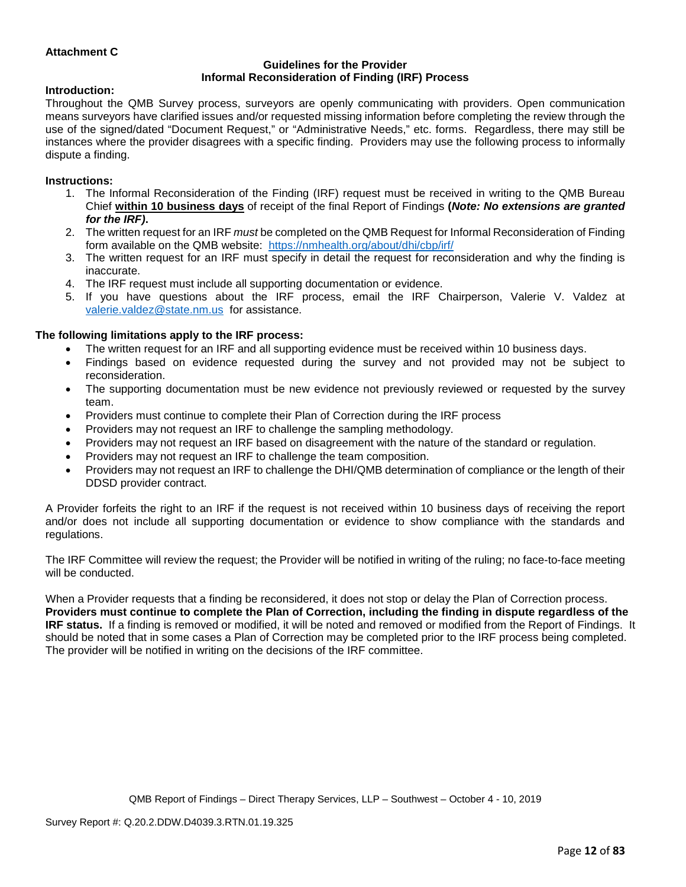## **Attachment C**

#### **Guidelines for the Provider Informal Reconsideration of Finding (IRF) Process**

#### **Introduction:**

Throughout the QMB Survey process, surveyors are openly communicating with providers. Open communication means surveyors have clarified issues and/or requested missing information before completing the review through the use of the signed/dated "Document Request," or "Administrative Needs," etc. forms. Regardless, there may still be instances where the provider disagrees with a specific finding. Providers may use the following process to informally dispute a finding.

#### **Instructions:**

- 1. The Informal Reconsideration of the Finding (IRF) request must be received in writing to the QMB Bureau Chief **within 10 business days** of receipt of the final Report of Findings **(***Note: No extensions are granted for the IRF)***.**
- 2. The written request for an IRF *must* be completed on the QMB Request for Informal Reconsideration of Finding form available on the QMB website: <https://nmhealth.org/about/dhi/cbp/irf/>
- 3. The written request for an IRF must specify in detail the request for reconsideration and why the finding is inaccurate.
- 4. The IRF request must include all supporting documentation or evidence.
- 5. If you have questions about the IRF process, email the IRF Chairperson, Valerie V. Valdez at [valerie.valdez@state.nm.us](mailto:valerie.valdez@state.nm.us) for assistance.

#### **The following limitations apply to the IRF process:**

- The written request for an IRF and all supporting evidence must be received within 10 business days.
- Findings based on evidence requested during the survey and not provided may not be subject to reconsideration.
- The supporting documentation must be new evidence not previously reviewed or requested by the survey team.
- Providers must continue to complete their Plan of Correction during the IRF process
- Providers may not request an IRF to challenge the sampling methodology.
- Providers may not request an IRF based on disagreement with the nature of the standard or regulation.
- Providers may not request an IRF to challenge the team composition.
- Providers may not request an IRF to challenge the DHI/QMB determination of compliance or the length of their DDSD provider contract.

A Provider forfeits the right to an IRF if the request is not received within 10 business days of receiving the report and/or does not include all supporting documentation or evidence to show compliance with the standards and regulations.

The IRF Committee will review the request; the Provider will be notified in writing of the ruling; no face-to-face meeting will be conducted.

When a Provider requests that a finding be reconsidered, it does not stop or delay the Plan of Correction process. **Providers must continue to complete the Plan of Correction, including the finding in dispute regardless of the IRF status.** If a finding is removed or modified, it will be noted and removed or modified from the Report of Findings. It should be noted that in some cases a Plan of Correction may be completed prior to the IRF process being completed. The provider will be notified in writing on the decisions of the IRF committee.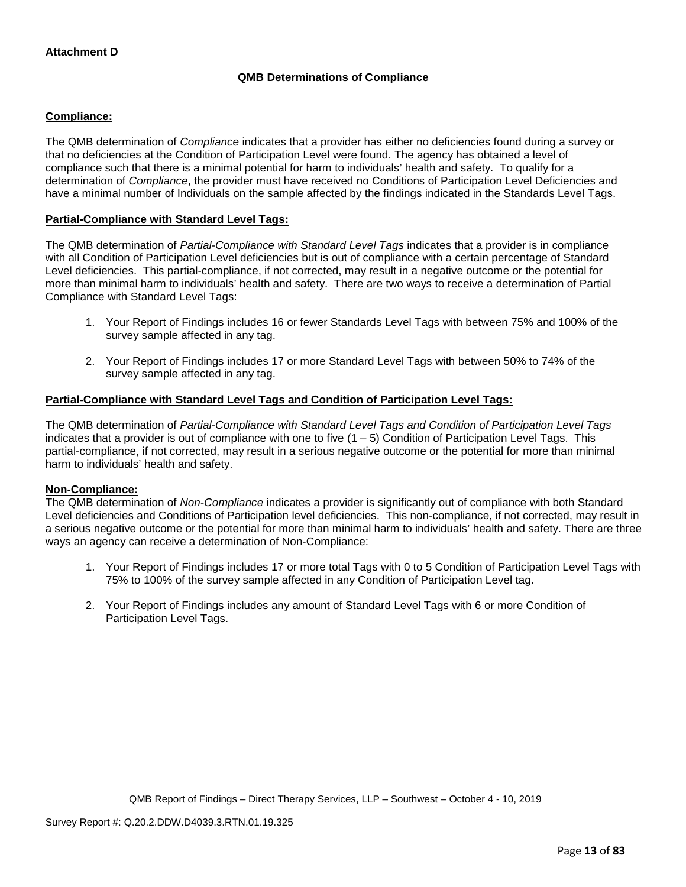# **QMB Determinations of Compliance**

## **Compliance:**

The QMB determination of *Compliance* indicates that a provider has either no deficiencies found during a survey or that no deficiencies at the Condition of Participation Level were found. The agency has obtained a level of compliance such that there is a minimal potential for harm to individuals' health and safety. To qualify for a determination of *Compliance*, the provider must have received no Conditions of Participation Level Deficiencies and have a minimal number of Individuals on the sample affected by the findings indicated in the Standards Level Tags.

## **Partial-Compliance with Standard Level Tags:**

The QMB determination of *Partial-Compliance with Standard Level Tags* indicates that a provider is in compliance with all Condition of Participation Level deficiencies but is out of compliance with a certain percentage of Standard Level deficiencies. This partial-compliance, if not corrected, may result in a negative outcome or the potential for more than minimal harm to individuals' health and safety. There are two ways to receive a determination of Partial Compliance with Standard Level Tags:

- 1. Your Report of Findings includes 16 or fewer Standards Level Tags with between 75% and 100% of the survey sample affected in any tag.
- 2. Your Report of Findings includes 17 or more Standard Level Tags with between 50% to 74% of the survey sample affected in any tag.

#### **Partial-Compliance with Standard Level Tags and Condition of Participation Level Tags:**

The QMB determination of *Partial-Compliance with Standard Level Tags and Condition of Participation Level Tags*  indicates that a provider is out of compliance with one to five (1 – 5) Condition of Participation Level Tags. This partial-compliance, if not corrected, may result in a serious negative outcome or the potential for more than minimal harm to individuals' health and safety.

#### **Non-Compliance:**

The QMB determination of *Non-Compliance* indicates a provider is significantly out of compliance with both Standard Level deficiencies and Conditions of Participation level deficiencies. This non-compliance, if not corrected, may result in a serious negative outcome or the potential for more than minimal harm to individuals' health and safety. There are three ways an agency can receive a determination of Non-Compliance:

- 1. Your Report of Findings includes 17 or more total Tags with 0 to 5 Condition of Participation Level Tags with 75% to 100% of the survey sample affected in any Condition of Participation Level tag.
- 2. Your Report of Findings includes any amount of Standard Level Tags with 6 or more Condition of Participation Level Tags.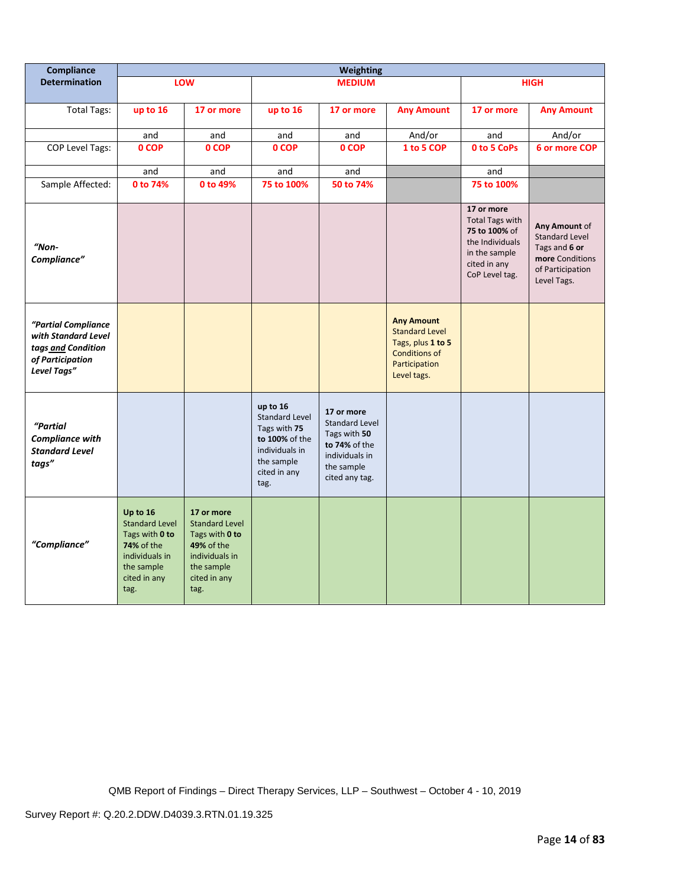| Compliance                                                                                          | <b>Weighting</b>                                                                                                                 |                                                                                                                             |                                                                                                                             |                                                                                                                        |                                                                                                                         |                                                                                                                             |                                                                                                               |
|-----------------------------------------------------------------------------------------------------|----------------------------------------------------------------------------------------------------------------------------------|-----------------------------------------------------------------------------------------------------------------------------|-----------------------------------------------------------------------------------------------------------------------------|------------------------------------------------------------------------------------------------------------------------|-------------------------------------------------------------------------------------------------------------------------|-----------------------------------------------------------------------------------------------------------------------------|---------------------------------------------------------------------------------------------------------------|
| <b>Determination</b>                                                                                |                                                                                                                                  | <b>LOW</b>                                                                                                                  |                                                                                                                             | <b>MEDIUM</b>                                                                                                          |                                                                                                                         |                                                                                                                             | <b>HIGH</b>                                                                                                   |
| Total Tags:                                                                                         | up to 16                                                                                                                         | 17 or more                                                                                                                  | up to 16                                                                                                                    | 17 or more                                                                                                             | <b>Any Amount</b>                                                                                                       | 17 or more                                                                                                                  | <b>Any Amount</b>                                                                                             |
|                                                                                                     | and                                                                                                                              | and                                                                                                                         | and                                                                                                                         | and                                                                                                                    | And/or                                                                                                                  | and                                                                                                                         | And/or                                                                                                        |
| COP Level Tags:                                                                                     | 0 COP                                                                                                                            | 0 COP                                                                                                                       | 0 COP                                                                                                                       | 0 COP                                                                                                                  | 1 to 5 COP                                                                                                              | 0 to 5 CoPs                                                                                                                 | 6 or more COP                                                                                                 |
|                                                                                                     | and                                                                                                                              | and                                                                                                                         | and                                                                                                                         | and                                                                                                                    |                                                                                                                         | and                                                                                                                         |                                                                                                               |
| Sample Affected:                                                                                    | 0 to 74%                                                                                                                         | 0 to 49%                                                                                                                    | 75 to 100%                                                                                                                  | 50 to 74%                                                                                                              |                                                                                                                         | 75 to 100%                                                                                                                  |                                                                                                               |
| $"Non-$<br>Compliance"                                                                              |                                                                                                                                  |                                                                                                                             |                                                                                                                             |                                                                                                                        |                                                                                                                         | 17 or more<br><b>Total Tags with</b><br>75 to 100% of<br>the Individuals<br>in the sample<br>cited in any<br>CoP Level tag. | Any Amount of<br><b>Standard Level</b><br>Tags and 6 or<br>more Conditions<br>of Participation<br>Level Tags. |
| "Partial Compliance<br>with Standard Level<br>tags and Condition<br>of Participation<br>Level Tags" |                                                                                                                                  |                                                                                                                             |                                                                                                                             |                                                                                                                        | <b>Any Amount</b><br><b>Standard Level</b><br>Tags, plus 1 to 5<br><b>Conditions of</b><br>Participation<br>Level tags. |                                                                                                                             |                                                                                                               |
| "Partial<br><b>Compliance with</b><br><b>Standard Level</b><br>tags"                                |                                                                                                                                  |                                                                                                                             | up to 16<br><b>Standard Level</b><br>Tags with 75<br>to 100% of the<br>individuals in<br>the sample<br>cited in any<br>tag. | 17 or more<br><b>Standard Level</b><br>Tags with 50<br>to 74% of the<br>individuals in<br>the sample<br>cited any tag. |                                                                                                                         |                                                                                                                             |                                                                                                               |
| "Compliance"                                                                                        | Up to 16<br><b>Standard Level</b><br>Tags with 0 to<br><b>74% of the</b><br>individuals in<br>the sample<br>cited in any<br>tag. | 17 or more<br><b>Standard Level</b><br>Tags with 0 to<br>49% of the<br>individuals in<br>the sample<br>cited in any<br>tag. |                                                                                                                             |                                                                                                                        |                                                                                                                         |                                                                                                                             |                                                                                                               |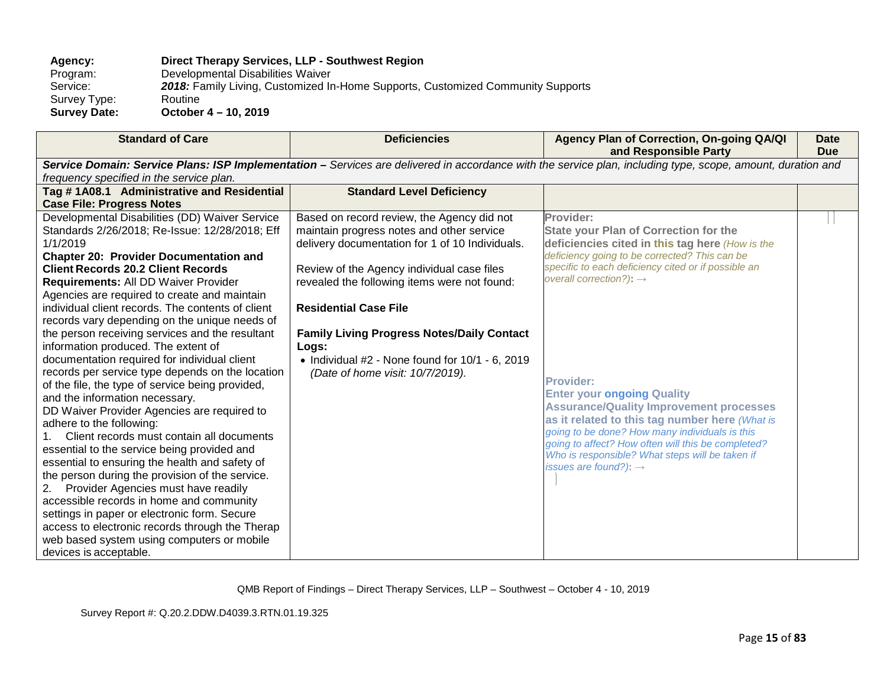# **Agency: Direct Therapy Services, LLP - Southwest Region**

Program: Developmental Disabilities Waiver<br>Service: 2018: Family Living, Customized In 2018: Family Living, Customized In-Home Supports, Customized Community Supports Routine Survey Type:<br>Survey Date: **Survey Date: October 4 – 10, 2019**

| <b>Standard of Care</b>                                                                                                                                     | <b>Deficiencies</b>                                                                     | Agency Plan of Correction, On-going QA/QI<br>and Responsible Party                         | Date<br><b>Due</b> |  |  |  |
|-------------------------------------------------------------------------------------------------------------------------------------------------------------|-----------------------------------------------------------------------------------------|--------------------------------------------------------------------------------------------|--------------------|--|--|--|
| Service Domain: Service Plans: ISP Implementation - Services are delivered in accordance with the service plan, including type, scope, amount, duration and |                                                                                         |                                                                                            |                    |  |  |  |
| frequency specified in the service plan.                                                                                                                    |                                                                                         |                                                                                            |                    |  |  |  |
| Tag #1A08.1 Administrative and Residential                                                                                                                  | <b>Standard Level Deficiency</b>                                                        |                                                                                            |                    |  |  |  |
| <b>Case File: Progress Notes</b>                                                                                                                            |                                                                                         |                                                                                            |                    |  |  |  |
| Developmental Disabilities (DD) Waiver Service                                                                                                              | Based on record review, the Agency did not                                              | Provider:                                                                                  |                    |  |  |  |
| Standards 2/26/2018; Re-Issue: 12/28/2018; Eff                                                                                                              | maintain progress notes and other service                                               | <b>State your Plan of Correction for the</b>                                               |                    |  |  |  |
| 1/1/2019                                                                                                                                                    | delivery documentation for 1 of 10 Individuals.                                         | deficiencies cited in this tag here (How is the                                            |                    |  |  |  |
| <b>Chapter 20: Provider Documentation and</b>                                                                                                               |                                                                                         | deficiency going to be corrected? This can be                                              |                    |  |  |  |
| <b>Client Records 20.2 Client Records</b>                                                                                                                   | Review of the Agency individual case files                                              | specific to each deficiency cited or if possible an<br>overall correction?): $\rightarrow$ |                    |  |  |  |
| Requirements: All DD Waiver Provider                                                                                                                        | revealed the following items were not found:                                            |                                                                                            |                    |  |  |  |
| Agencies are required to create and maintain                                                                                                                |                                                                                         |                                                                                            |                    |  |  |  |
| individual client records. The contents of client                                                                                                           | <b>Residential Case File</b>                                                            |                                                                                            |                    |  |  |  |
| records vary depending on the unique needs of                                                                                                               |                                                                                         |                                                                                            |                    |  |  |  |
| the person receiving services and the resultant                                                                                                             | <b>Family Living Progress Notes/Daily Contact</b>                                       |                                                                                            |                    |  |  |  |
| information produced. The extent of<br>documentation required for individual client                                                                         | Logs:                                                                                   |                                                                                            |                    |  |  |  |
| records per service type depends on the location                                                                                                            | • Individual $#2$ - None found for $10/1$ - 6, 2019<br>(Date of home visit: 10/7/2019). |                                                                                            |                    |  |  |  |
| of the file, the type of service being provided,                                                                                                            |                                                                                         | <b>Provider:</b>                                                                           |                    |  |  |  |
| and the information necessary.                                                                                                                              |                                                                                         | <b>Enter your ongoing Quality</b>                                                          |                    |  |  |  |
| DD Waiver Provider Agencies are required to                                                                                                                 |                                                                                         | <b>Assurance/Quality Improvement processes</b>                                             |                    |  |  |  |
| adhere to the following:                                                                                                                                    |                                                                                         | as it related to this tag number here (What is                                             |                    |  |  |  |
| Client records must contain all documents                                                                                                                   |                                                                                         | going to be done? How many individuals is this                                             |                    |  |  |  |
| essential to the service being provided and                                                                                                                 |                                                                                         | going to affect? How often will this be completed?                                         |                    |  |  |  |
| essential to ensuring the health and safety of                                                                                                              |                                                                                         | Who is responsible? What steps will be taken if<br>issues are found?): $\rightarrow$       |                    |  |  |  |
| the person during the provision of the service.                                                                                                             |                                                                                         |                                                                                            |                    |  |  |  |
| Provider Agencies must have readily                                                                                                                         |                                                                                         |                                                                                            |                    |  |  |  |
| accessible records in home and community                                                                                                                    |                                                                                         |                                                                                            |                    |  |  |  |
| settings in paper or electronic form. Secure                                                                                                                |                                                                                         |                                                                                            |                    |  |  |  |
| access to electronic records through the Therap                                                                                                             |                                                                                         |                                                                                            |                    |  |  |  |
| web based system using computers or mobile                                                                                                                  |                                                                                         |                                                                                            |                    |  |  |  |
| devices is acceptable.                                                                                                                                      |                                                                                         |                                                                                            |                    |  |  |  |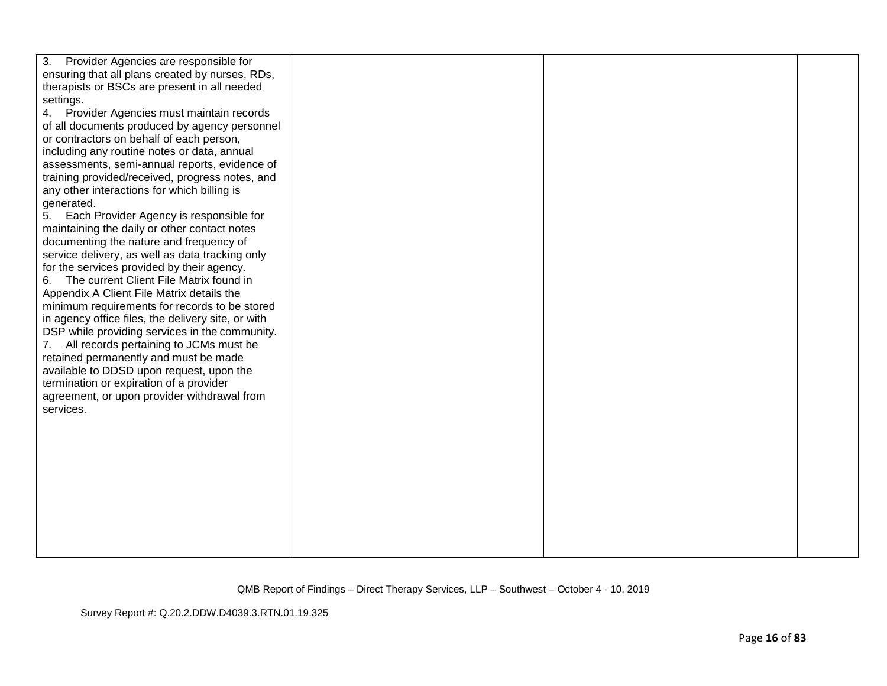| Provider Agencies are responsible for<br>3.        |  |  |
|----------------------------------------------------|--|--|
| ensuring that all plans created by nurses, RDs,    |  |  |
| therapists or BSCs are present in all needed       |  |  |
| settings.                                          |  |  |
| 4. Provider Agencies must maintain records         |  |  |
|                                                    |  |  |
| of all documents produced by agency personnel      |  |  |
| or contractors on behalf of each person,           |  |  |
| including any routine notes or data, annual        |  |  |
| assessments, semi-annual reports, evidence of      |  |  |
| training provided/received, progress notes, and    |  |  |
| any other interactions for which billing is        |  |  |
| generated.                                         |  |  |
| Each Provider Agency is responsible for<br>5.      |  |  |
| maintaining the daily or other contact notes       |  |  |
| documenting the nature and frequency of            |  |  |
| service delivery, as well as data tracking only    |  |  |
| for the services provided by their agency.         |  |  |
| The current Client File Matrix found in<br>6.      |  |  |
| Appendix A Client File Matrix details the          |  |  |
| minimum requirements for records to be stored      |  |  |
| in agency office files, the delivery site, or with |  |  |
| DSP while providing services in the community.     |  |  |
| All records pertaining to JCMs must be<br>7.       |  |  |
| retained permanently and must be made              |  |  |
| available to DDSD upon request, upon the           |  |  |
| termination or expiration of a provider            |  |  |
| agreement, or upon provider withdrawal from        |  |  |
| services.                                          |  |  |
|                                                    |  |  |
|                                                    |  |  |
|                                                    |  |  |
|                                                    |  |  |
|                                                    |  |  |
|                                                    |  |  |
|                                                    |  |  |
|                                                    |  |  |
|                                                    |  |  |
|                                                    |  |  |
|                                                    |  |  |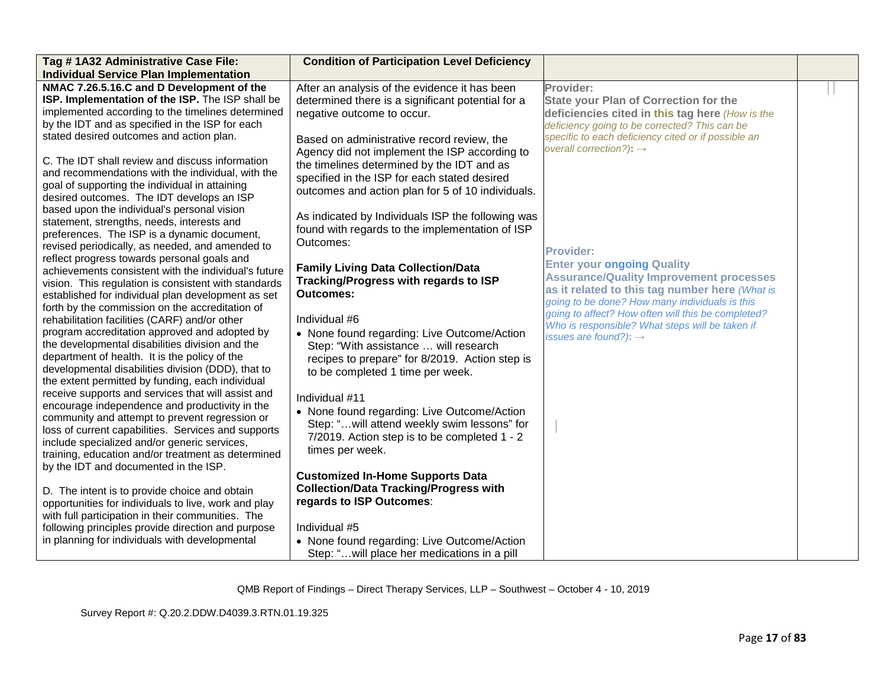| Tag #1A32 Administrative Case File:                                                                 | <b>Condition of Participation Level Deficiency</b>                                         |                                                     |  |
|-----------------------------------------------------------------------------------------------------|--------------------------------------------------------------------------------------------|-----------------------------------------------------|--|
| <b>Individual Service Plan Implementation</b>                                                       |                                                                                            |                                                     |  |
| NMAC 7.26.5.16.C and D Development of the                                                           | After an analysis of the evidence it has been                                              | Provider:                                           |  |
| ISP. Implementation of the ISP. The ISP shall be                                                    | determined there is a significant potential for a                                          | <b>State your Plan of Correction for the</b>        |  |
| implemented according to the timelines determined                                                   | negative outcome to occur.                                                                 | deficiencies cited in this tag here (How is the     |  |
| by the IDT and as specified in the ISP for each                                                     |                                                                                            | deficiency going to be corrected? This can be       |  |
| stated desired outcomes and action plan.                                                            | Based on administrative record review, the                                                 | specific to each deficiency cited or if possible an |  |
|                                                                                                     | Agency did not implement the ISP according to                                              | overall correction?): $\rightarrow$                 |  |
| C. The IDT shall review and discuss information                                                     | the timelines determined by the IDT and as                                                 |                                                     |  |
| and recommendations with the individual, with the                                                   | specified in the ISP for each stated desired                                               |                                                     |  |
| goal of supporting the individual in attaining                                                      | outcomes and action plan for 5 of 10 individuals.                                          |                                                     |  |
| desired outcomes. The IDT develops an ISP                                                           |                                                                                            |                                                     |  |
| based upon the individual's personal vision                                                         | As indicated by Individuals ISP the following was                                          |                                                     |  |
| statement, strengths, needs, interests and                                                          | found with regards to the implementation of ISP                                            |                                                     |  |
| preferences. The ISP is a dynamic document,                                                         | Outcomes:                                                                                  |                                                     |  |
| revised periodically, as needed, and amended to                                                     |                                                                                            | <b>Provider:</b>                                    |  |
| reflect progress towards personal goals and<br>achievements consistent with the individual's future | <b>Family Living Data Collection/Data</b>                                                  | <b>Enter your ongoing Quality</b>                   |  |
| vision. This regulation is consistent with standards                                                | Tracking/Progress with regards to ISP                                                      | <b>Assurance/Quality Improvement processes</b>      |  |
| established for individual plan development as set                                                  | <b>Outcomes:</b>                                                                           | as it related to this tag number here (What is      |  |
| forth by the commission on the accreditation of                                                     |                                                                                            | going to be done? How many individuals is this      |  |
| rehabilitation facilities (CARF) and/or other                                                       | Individual #6                                                                              | going to affect? How often will this be completed?  |  |
| program accreditation approved and adopted by                                                       | • None found regarding: Live Outcome/Action                                                | Who is responsible? What steps will be taken if     |  |
| the developmental disabilities division and the                                                     | Step: "With assistance  will research                                                      | issues are found?): $\rightarrow$                   |  |
| department of health. It is the policy of the                                                       | recipes to prepare" for 8/2019. Action step is                                             |                                                     |  |
| developmental disabilities division (DDD), that to                                                  | to be completed 1 time per week.                                                           |                                                     |  |
| the extent permitted by funding, each individual                                                    |                                                                                            |                                                     |  |
| receive supports and services that will assist and                                                  | Individual #11                                                                             |                                                     |  |
| encourage independence and productivity in the                                                      |                                                                                            |                                                     |  |
| community and attempt to prevent regression or                                                      | • None found regarding: Live Outcome/Action<br>Step: "will attend weekly swim lessons" for |                                                     |  |
| loss of current capabilities. Services and supports                                                 |                                                                                            |                                                     |  |
| include specialized and/or generic services,                                                        | 7/2019. Action step is to be completed 1 - 2                                               |                                                     |  |
| training, education and/or treatment as determined                                                  | times per week.                                                                            |                                                     |  |
| by the IDT and documented in the ISP.                                                               |                                                                                            |                                                     |  |
|                                                                                                     | <b>Customized In-Home Supports Data</b>                                                    |                                                     |  |
| D. The intent is to provide choice and obtain                                                       | <b>Collection/Data Tracking/Progress with</b>                                              |                                                     |  |
| opportunities for individuals to live, work and play                                                | regards to ISP Outcomes:                                                                   |                                                     |  |
| with full participation in their communities. The                                                   |                                                                                            |                                                     |  |
| following principles provide direction and purpose                                                  | Individual #5                                                                              |                                                     |  |
| in planning for individuals with developmental                                                      | • None found regarding: Live Outcome/Action                                                |                                                     |  |
|                                                                                                     | Step: " will place her medications in a pill                                               |                                                     |  |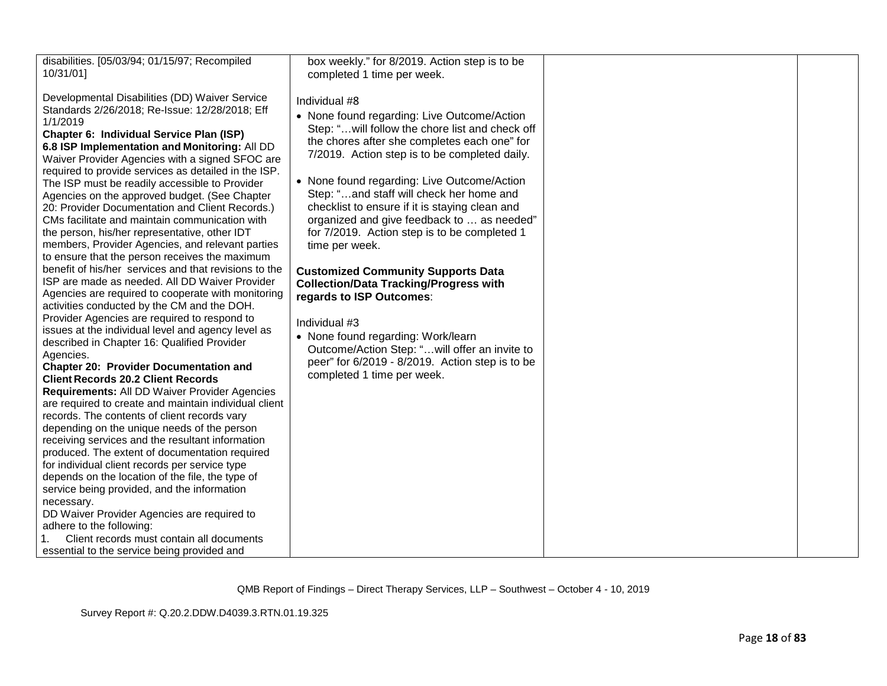| disabilities. [05/03/94; 01/15/97; Recompiled<br>10/31/01]                                                                                                                                                                                                                                                                                                                                                                                                                                                                                                                                                                                                                                                                                                                                                                                                                                                                                                                                                                                                                                                                                                                                                                                                                                                                                                                                                                                                                                                                                                                                                                                                                                                                                                                                                                   | box weekly." for 8/2019. Action step is to be<br>completed 1 time per week.                                                                                                                                                                                                                                                                                                                                                                                                                                                                                                                                                                                                                                                                                                                        |  |
|------------------------------------------------------------------------------------------------------------------------------------------------------------------------------------------------------------------------------------------------------------------------------------------------------------------------------------------------------------------------------------------------------------------------------------------------------------------------------------------------------------------------------------------------------------------------------------------------------------------------------------------------------------------------------------------------------------------------------------------------------------------------------------------------------------------------------------------------------------------------------------------------------------------------------------------------------------------------------------------------------------------------------------------------------------------------------------------------------------------------------------------------------------------------------------------------------------------------------------------------------------------------------------------------------------------------------------------------------------------------------------------------------------------------------------------------------------------------------------------------------------------------------------------------------------------------------------------------------------------------------------------------------------------------------------------------------------------------------------------------------------------------------------------------------------------------------|----------------------------------------------------------------------------------------------------------------------------------------------------------------------------------------------------------------------------------------------------------------------------------------------------------------------------------------------------------------------------------------------------------------------------------------------------------------------------------------------------------------------------------------------------------------------------------------------------------------------------------------------------------------------------------------------------------------------------------------------------------------------------------------------------|--|
| Developmental Disabilities (DD) Waiver Service<br>Standards 2/26/2018; Re-Issue: 12/28/2018; Eff<br>1/1/2019<br>Chapter 6: Individual Service Plan (ISP)<br>6.8 ISP Implementation and Monitoring: All DD<br>Waiver Provider Agencies with a signed SFOC are<br>required to provide services as detailed in the ISP.<br>The ISP must be readily accessible to Provider<br>Agencies on the approved budget. (See Chapter<br>20: Provider Documentation and Client Records.)<br>CMs facilitate and maintain communication with<br>the person, his/her representative, other IDT<br>members, Provider Agencies, and relevant parties<br>to ensure that the person receives the maximum<br>benefit of his/her services and that revisions to the<br>ISP are made as needed. All DD Waiver Provider<br>Agencies are required to cooperate with monitoring<br>activities conducted by the CM and the DOH.<br>Provider Agencies are required to respond to<br>issues at the individual level and agency level as<br>described in Chapter 16: Qualified Provider<br>Agencies.<br><b>Chapter 20: Provider Documentation and</b><br><b>Client Records 20.2 Client Records</b><br>Requirements: All DD Waiver Provider Agencies<br>are required to create and maintain individual client<br>records. The contents of client records vary<br>depending on the unique needs of the person<br>receiving services and the resultant information<br>produced. The extent of documentation required<br>for individual client records per service type<br>depends on the location of the file, the type of<br>service being provided, and the information<br>necessary.<br>DD Waiver Provider Agencies are required to<br>adhere to the following:<br>Client records must contain all documents<br>essential to the service being provided and | Individual #8<br>• None found regarding: Live Outcome/Action<br>Step: " will follow the chore list and check off<br>the chores after she completes each one" for<br>7/2019. Action step is to be completed daily.<br>• None found regarding: Live Outcome/Action<br>Step: "and staff will check her home and<br>checklist to ensure if it is staying clean and<br>organized and give feedback to  as needed"<br>for 7/2019. Action step is to be completed 1<br>time per week.<br><b>Customized Community Supports Data</b><br><b>Collection/Data Tracking/Progress with</b><br>regards to ISP Outcomes:<br>Individual #3<br>• None found regarding: Work/learn<br>Outcome/Action Step: " will offer an invite to<br>peer" for 6/2019 - 8/2019. Action step is to be<br>completed 1 time per week. |  |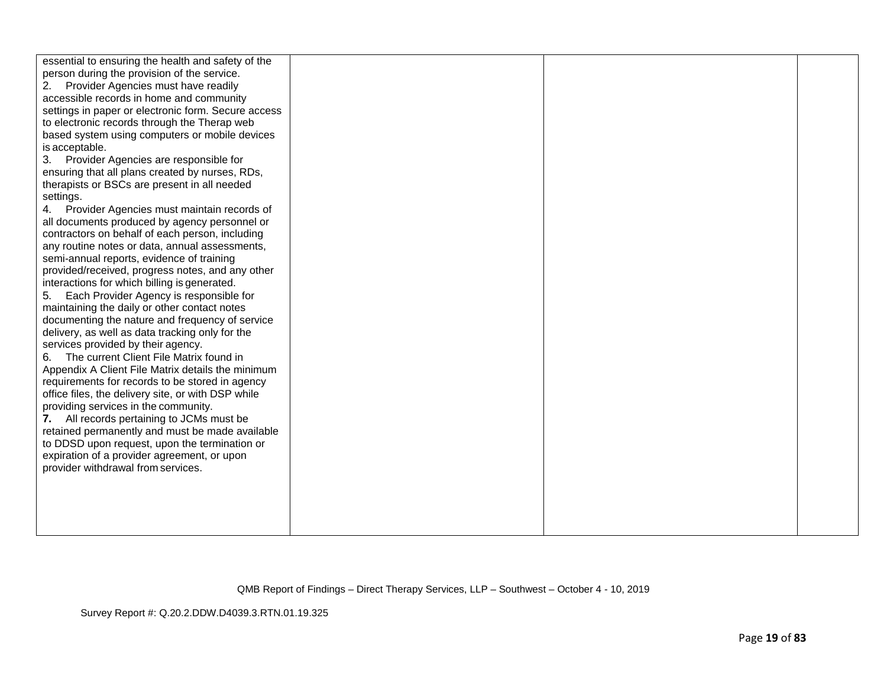Survey Report #: Q.20.2.DDW.D4039.3.RTN.01.19.325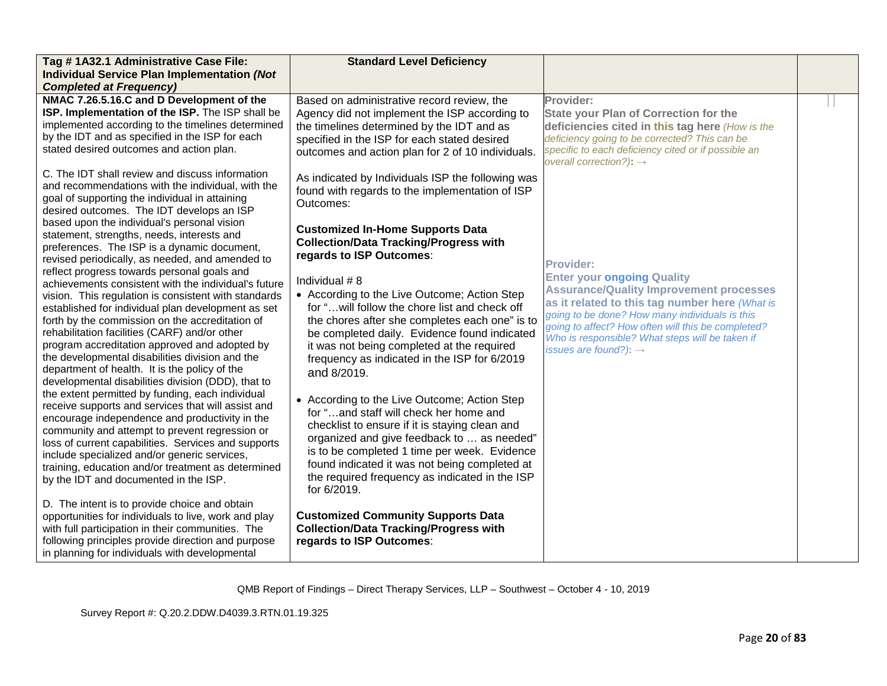| Tag #1A32.1 Administrative Case File:                                                                                                                                                                                                                                                                                                                                                                                                                                                                                                                                                                                                                                                                                                                                                                                                     | <b>Standard Level Deficiency</b>                                                                                                                                                                                                                                                                                                                                                                                                                                                                                                                 |                                                                                                                                                                                                                                                                                                                                                           |  |
|-------------------------------------------------------------------------------------------------------------------------------------------------------------------------------------------------------------------------------------------------------------------------------------------------------------------------------------------------------------------------------------------------------------------------------------------------------------------------------------------------------------------------------------------------------------------------------------------------------------------------------------------------------------------------------------------------------------------------------------------------------------------------------------------------------------------------------------------|--------------------------------------------------------------------------------------------------------------------------------------------------------------------------------------------------------------------------------------------------------------------------------------------------------------------------------------------------------------------------------------------------------------------------------------------------------------------------------------------------------------------------------------------------|-----------------------------------------------------------------------------------------------------------------------------------------------------------------------------------------------------------------------------------------------------------------------------------------------------------------------------------------------------------|--|
| <b>Individual Service Plan Implementation (Not</b>                                                                                                                                                                                                                                                                                                                                                                                                                                                                                                                                                                                                                                                                                                                                                                                        |                                                                                                                                                                                                                                                                                                                                                                                                                                                                                                                                                  |                                                                                                                                                                                                                                                                                                                                                           |  |
| <b>Completed at Frequency)</b>                                                                                                                                                                                                                                                                                                                                                                                                                                                                                                                                                                                                                                                                                                                                                                                                            |                                                                                                                                                                                                                                                                                                                                                                                                                                                                                                                                                  |                                                                                                                                                                                                                                                                                                                                                           |  |
| NMAC 7.26.5.16.C and D Development of the<br>ISP. Implementation of the ISP. The ISP shall be<br>implemented according to the timelines determined<br>by the IDT and as specified in the ISP for each<br>stated desired outcomes and action plan.                                                                                                                                                                                                                                                                                                                                                                                                                                                                                                                                                                                         | Based on administrative record review, the<br>Agency did not implement the ISP according to<br>the timelines determined by the IDT and as<br>specified in the ISP for each stated desired<br>outcomes and action plan for 2 of 10 individuals.                                                                                                                                                                                                                                                                                                   | Provider:<br><b>State your Plan of Correction for the</b><br>deficiencies cited in this tag here (How is the<br>deficiency going to be corrected? This can be<br>specific to each deficiency cited or if possible an<br>overall correction?): $\rightarrow$                                                                                               |  |
| C. The IDT shall review and discuss information<br>and recommendations with the individual, with the<br>goal of supporting the individual in attaining<br>desired outcomes. The IDT develops an ISP                                                                                                                                                                                                                                                                                                                                                                                                                                                                                                                                                                                                                                       | As indicated by Individuals ISP the following was<br>found with regards to the implementation of ISP<br>Outcomes:                                                                                                                                                                                                                                                                                                                                                                                                                                |                                                                                                                                                                                                                                                                                                                                                           |  |
| based upon the individual's personal vision<br>statement, strengths, needs, interests and<br>preferences. The ISP is a dynamic document,<br>revised periodically, as needed, and amended to<br>reflect progress towards personal goals and<br>achievements consistent with the individual's future<br>vision. This regulation is consistent with standards<br>established for individual plan development as set<br>forth by the commission on the accreditation of<br>rehabilitation facilities (CARF) and/or other<br>program accreditation approved and adopted by<br>the developmental disabilities division and the<br>department of health. It is the policy of the<br>developmental disabilities division (DDD), that to<br>the extent permitted by funding, each individual<br>receive supports and services that will assist and | <b>Customized In-Home Supports Data</b><br><b>Collection/Data Tracking/Progress with</b><br>regards to ISP Outcomes:<br>Individual #8<br>• According to the Live Outcome; Action Step<br>for " will follow the chore list and check off<br>the chores after she completes each one" is to<br>be completed daily. Evidence found indicated<br>it was not being completed at the required<br>frequency as indicated in the ISP for 6/2019<br>and 8/2019.<br>• According to the Live Outcome; Action Step<br>for "and staff will check her home and | <b>Provider:</b><br><b>Enter your ongoing Quality</b><br><b>Assurance/Quality Improvement processes</b><br>as it related to this tag number here (What is<br>going to be done? How many individuals is this<br>going to affect? How often will this be completed?<br>Who is responsible? What steps will be taken if<br>issues are found?): $\rightarrow$ |  |
| encourage independence and productivity in the<br>community and attempt to prevent regression or<br>loss of current capabilities. Services and supports<br>include specialized and/or generic services,<br>training, education and/or treatment as determined<br>by the IDT and documented in the ISP.<br>D. The intent is to provide choice and obtain<br>opportunities for individuals to live, work and play<br>with full participation in their communities. The<br>following principles provide direction and purpose<br>in planning for individuals with developmental                                                                                                                                                                                                                                                              | checklist to ensure if it is staying clean and<br>organized and give feedback to  as needed"<br>is to be completed 1 time per week. Evidence<br>found indicated it was not being completed at<br>the required frequency as indicated in the ISP<br>for 6/2019.<br><b>Customized Community Supports Data</b><br><b>Collection/Data Tracking/Progress with</b><br>regards to ISP Outcomes:                                                                                                                                                         |                                                                                                                                                                                                                                                                                                                                                           |  |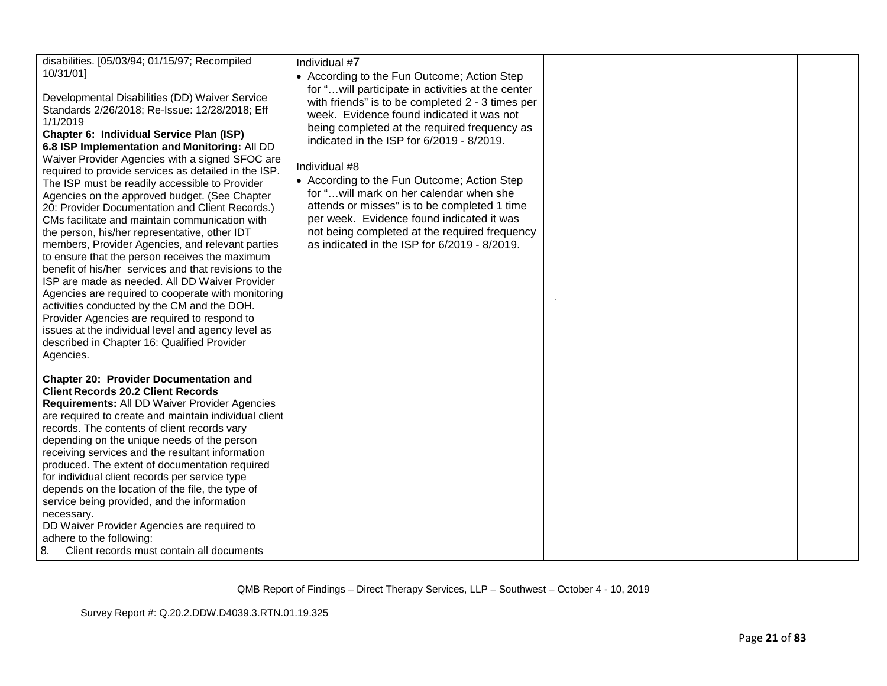| disabilities. [05/03/94; 01/15/97; Recompiled<br>10/31/01]<br>Developmental Disabilities (DD) Waiver Service<br>Standards 2/26/2018; Re-Issue: 12/28/2018; Eff<br>1/1/2019<br>Chapter 6: Individual Service Plan (ISP)<br>6.8 ISP Implementation and Monitoring: All DD<br>Waiver Provider Agencies with a signed SFOC are<br>required to provide services as detailed in the ISP.<br>The ISP must be readily accessible to Provider<br>Agencies on the approved budget. (See Chapter<br>20: Provider Documentation and Client Records.)<br>CMs facilitate and maintain communication with<br>the person, his/her representative, other IDT<br>members, Provider Agencies, and relevant parties<br>to ensure that the person receives the maximum<br>benefit of his/her services and that revisions to the<br>ISP are made as needed. All DD Waiver Provider<br>Agencies are required to cooperate with monitoring<br>activities conducted by the CM and the DOH.<br>Provider Agencies are required to respond to<br>issues at the individual level and agency level as<br>described in Chapter 16: Qualified Provider<br>Agencies. | Individual #7<br>• According to the Fun Outcome; Action Step<br>for " will participate in activities at the center<br>with friends" is to be completed 2 - 3 times per<br>week. Evidence found indicated it was not<br>being completed at the required frequency as<br>indicated in the ISP for 6/2019 - 8/2019.<br>Individual #8<br>• According to the Fun Outcome; Action Step<br>for " will mark on her calendar when she<br>attends or misses" is to be completed 1 time<br>per week. Evidence found indicated it was<br>not being completed at the required frequency<br>as indicated in the ISP for 6/2019 - 8/2019. |  |
|-------------------------------------------------------------------------------------------------------------------------------------------------------------------------------------------------------------------------------------------------------------------------------------------------------------------------------------------------------------------------------------------------------------------------------------------------------------------------------------------------------------------------------------------------------------------------------------------------------------------------------------------------------------------------------------------------------------------------------------------------------------------------------------------------------------------------------------------------------------------------------------------------------------------------------------------------------------------------------------------------------------------------------------------------------------------------------------------------------------------------------------|----------------------------------------------------------------------------------------------------------------------------------------------------------------------------------------------------------------------------------------------------------------------------------------------------------------------------------------------------------------------------------------------------------------------------------------------------------------------------------------------------------------------------------------------------------------------------------------------------------------------------|--|
| <b>Chapter 20: Provider Documentation and</b><br><b>Client Records 20.2 Client Records</b><br>Requirements: All DD Waiver Provider Agencies<br>are required to create and maintain individual client<br>records. The contents of client records vary<br>depending on the unique needs of the person<br>receiving services and the resultant information<br>produced. The extent of documentation required<br>for individual client records per service type<br>depends on the location of the file, the type of<br>service being provided, and the information<br>necessary.<br>DD Waiver Provider Agencies are required to<br>adhere to the following:<br>Client records must contain all documents<br>8.                                                                                                                                                                                                                                                                                                                                                                                                                          |                                                                                                                                                                                                                                                                                                                                                                                                                                                                                                                                                                                                                            |  |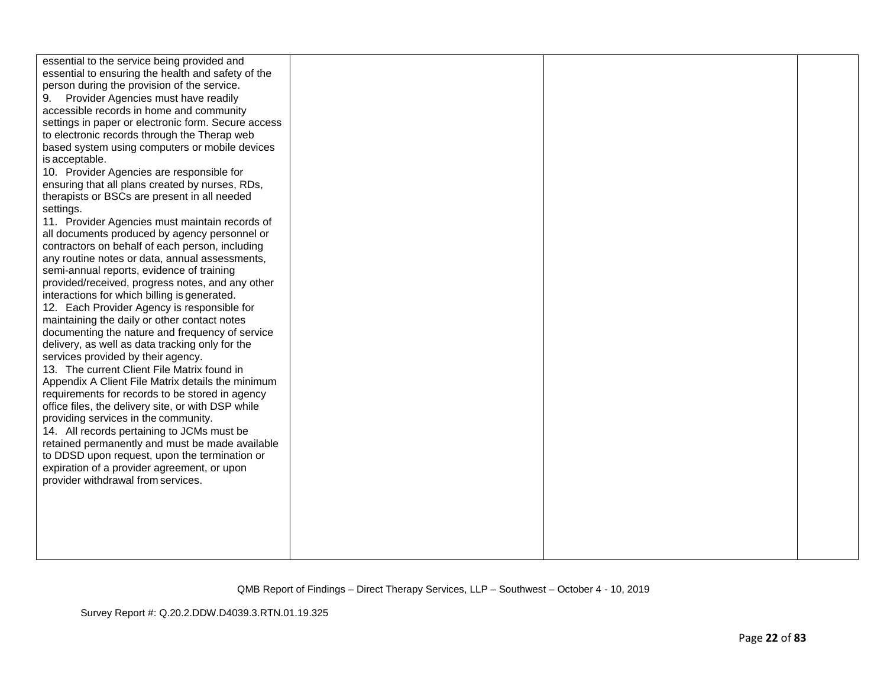| essential to the service being provided and         |  |  |
|-----------------------------------------------------|--|--|
| essential to ensuring the health and safety of the  |  |  |
| person during the provision of the service.         |  |  |
| Provider Agencies must have readily                 |  |  |
| accessible records in home and community            |  |  |
| settings in paper or electronic form. Secure access |  |  |
| to electronic records through the Therap web        |  |  |
| based system using computers or mobile devices      |  |  |
|                                                     |  |  |
| is acceptable.                                      |  |  |
| 10. Provider Agencies are responsible for           |  |  |
| ensuring that all plans created by nurses, RDs,     |  |  |
| therapists or BSCs are present in all needed        |  |  |
| settings.                                           |  |  |
| 11. Provider Agencies must maintain records of      |  |  |
| all documents produced by agency personnel or       |  |  |
| contractors on behalf of each person, including     |  |  |
| any routine notes or data, annual assessments,      |  |  |
| semi-annual reports, evidence of training           |  |  |
| provided/received, progress notes, and any other    |  |  |
| interactions for which billing is generated.        |  |  |
| 12. Each Provider Agency is responsible for         |  |  |
| maintaining the daily or other contact notes        |  |  |
| documenting the nature and frequency of service     |  |  |
| delivery, as well as data tracking only for the     |  |  |
| services provided by their agency.                  |  |  |
| 13. The current Client File Matrix found in         |  |  |
| Appendix A Client File Matrix details the minimum   |  |  |
| requirements for records to be stored in agency     |  |  |
|                                                     |  |  |
| office files, the delivery site, or with DSP while  |  |  |
| providing services in the community.                |  |  |
| 14. All records pertaining to JCMs must be          |  |  |
| retained permanently and must be made available     |  |  |
| to DDSD upon request, upon the termination or       |  |  |
| expiration of a provider agreement, or upon         |  |  |
| provider withdrawal from services.                  |  |  |
|                                                     |  |  |
|                                                     |  |  |
|                                                     |  |  |
|                                                     |  |  |
|                                                     |  |  |
|                                                     |  |  |

Survey Report #: Q.20.2.DDW.D4039.3.RTN.01.19.325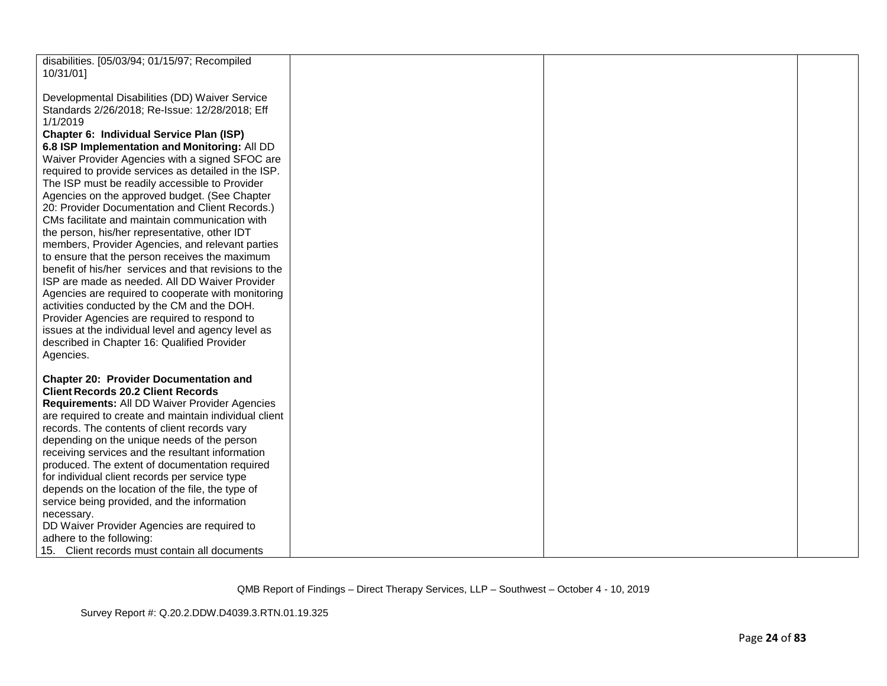| disabilities. [05/03/94; 01/15/97; Recompiled<br>10/31/01]                                                   |  |  |
|--------------------------------------------------------------------------------------------------------------|--|--|
| Developmental Disabilities (DD) Waiver Service<br>Standards 2/26/2018; Re-Issue: 12/28/2018; Eff<br>1/1/2019 |  |  |
| Chapter 6: Individual Service Plan (ISP)<br>6.8 ISP Implementation and Monitoring: All DD                    |  |  |
| Waiver Provider Agencies with a signed SFOC are<br>required to provide services as detailed in the ISP.      |  |  |
| The ISP must be readily accessible to Provider<br>Agencies on the approved budget. (See Chapter              |  |  |
| 20: Provider Documentation and Client Records.)                                                              |  |  |
| CMs facilitate and maintain communication with<br>the person, his/her representative, other IDT              |  |  |
| members, Provider Agencies, and relevant parties<br>to ensure that the person receives the maximum           |  |  |
| benefit of his/her services and that revisions to the<br>ISP are made as needed. All DD Waiver Provider      |  |  |
| Agencies are required to cooperate with monitoring<br>activities conducted by the CM and the DOH.            |  |  |
| Provider Agencies are required to respond to<br>issues at the individual level and agency level as           |  |  |
| described in Chapter 16: Qualified Provider<br>Agencies.                                                     |  |  |
| <b>Chapter 20: Provider Documentation and</b>                                                                |  |  |
| <b>Client Records 20.2 Client Records</b><br>Requirements: All DD Waiver Provider Agencies                   |  |  |
| are required to create and maintain individual client<br>records. The contents of client records vary        |  |  |
| depending on the unique needs of the person<br>receiving services and the resultant information              |  |  |
| produced. The extent of documentation required<br>for individual client records per service type             |  |  |
| depends on the location of the file, the type of<br>service being provided, and the information              |  |  |
| necessary.                                                                                                   |  |  |
| DD Waiver Provider Agencies are required to<br>adhere to the following:                                      |  |  |
| 15. Client records must contain all documents                                                                |  |  |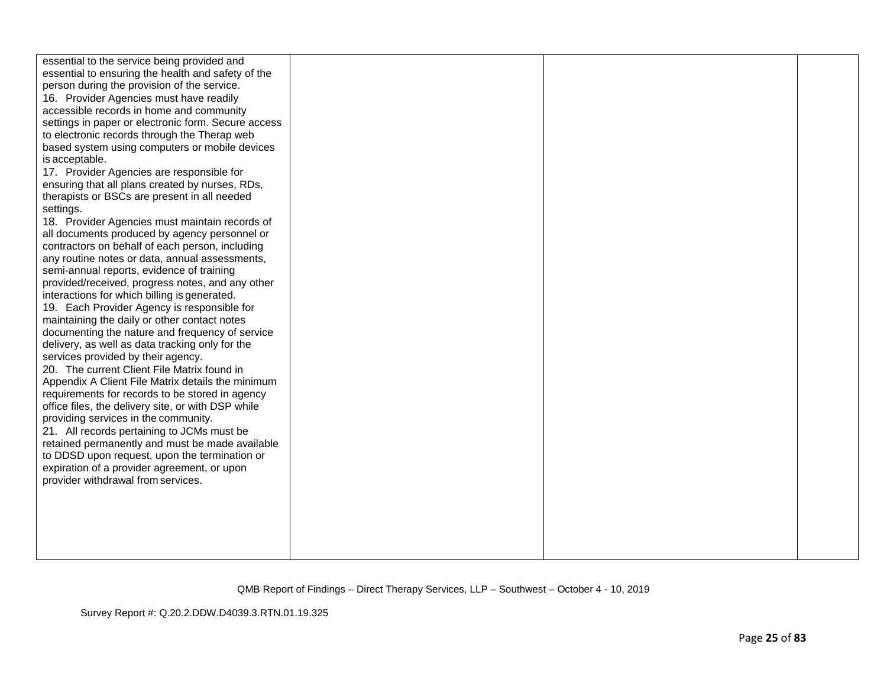| essential to the service being provided and                                       |  |  |
|-----------------------------------------------------------------------------------|--|--|
| essential to ensuring the health and safety of the                                |  |  |
| person during the provision of the service.                                       |  |  |
| 16. Provider Agencies must have readily                                           |  |  |
| accessible records in home and community                                          |  |  |
| settings in paper or electronic form. Secure access                               |  |  |
| to electronic records through the Therap web                                      |  |  |
| based system using computers or mobile devices                                    |  |  |
| is acceptable.                                                                    |  |  |
| 17. Provider Agencies are responsible for                                         |  |  |
| ensuring that all plans created by nurses, RDs,                                   |  |  |
| therapists or BSCs are present in all needed                                      |  |  |
| settings.                                                                         |  |  |
| 18. Provider Agencies must maintain records of                                    |  |  |
| all documents produced by agency personnel or                                     |  |  |
| contractors on behalf of each person, including                                   |  |  |
| any routine notes or data, annual assessments,                                    |  |  |
| semi-annual reports, evidence of training                                         |  |  |
| provided/received, progress notes, and any other                                  |  |  |
| interactions for which billing is generated.                                      |  |  |
| 19. Each Provider Agency is responsible for                                       |  |  |
| maintaining the daily or other contact notes                                      |  |  |
| documenting the nature and frequency of service                                   |  |  |
| delivery, as well as data tracking only for the                                   |  |  |
| services provided by their agency.                                                |  |  |
| 20. The current Client File Matrix found in                                       |  |  |
| Appendix A Client File Matrix details the minimum                                 |  |  |
|                                                                                   |  |  |
| requirements for records to be stored in agency                                   |  |  |
| office files, the delivery site, or with DSP while                                |  |  |
| providing services in the community.                                              |  |  |
| 21. All records pertaining to JCMs must be                                        |  |  |
| retained permanently and must be made available                                   |  |  |
| to DDSD upon request, upon the termination or                                     |  |  |
| expiration of a provider agreement, or upon<br>provider withdrawal from services. |  |  |
|                                                                                   |  |  |
|                                                                                   |  |  |
|                                                                                   |  |  |
|                                                                                   |  |  |
|                                                                                   |  |  |
|                                                                                   |  |  |
|                                                                                   |  |  |

Survey Report #: Q.20.2.DDW.D4039.3.RTN.01.19.325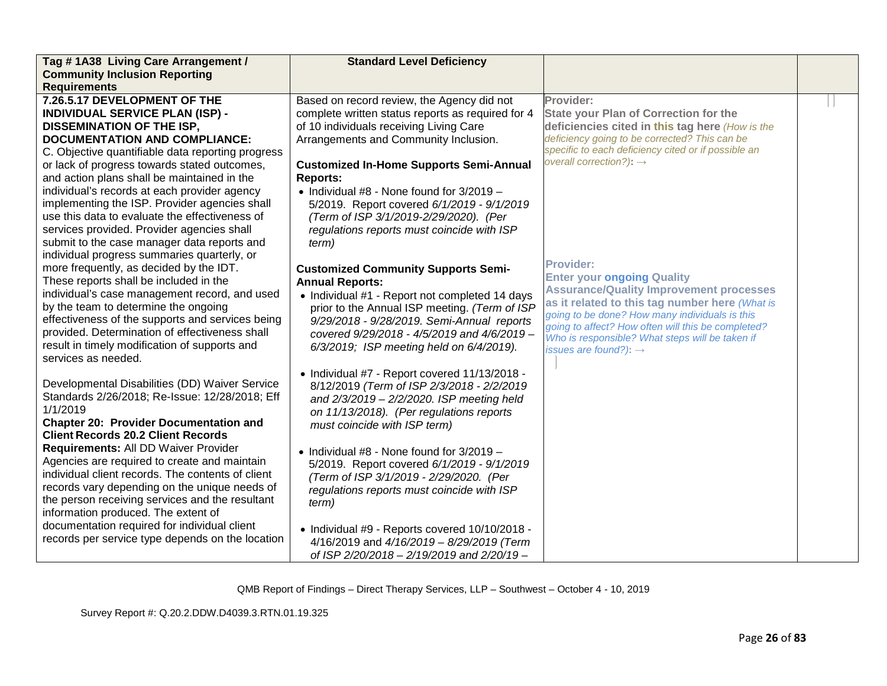| Tag #1A38 Living Care Arrangement /               | <b>Standard Level Deficiency</b>                  |                                                                                                       |  |
|---------------------------------------------------|---------------------------------------------------|-------------------------------------------------------------------------------------------------------|--|
| <b>Community Inclusion Reporting</b>              |                                                   |                                                                                                       |  |
| <b>Requirements</b>                               |                                                   |                                                                                                       |  |
| 7.26.5.17 DEVELOPMENT OF THE                      | Based on record review, the Agency did not        | Provider:                                                                                             |  |
| <b>INDIVIDUAL SERVICE PLAN (ISP) -</b>            | complete written status reports as required for 4 | <b>State your Plan of Correction for the</b>                                                          |  |
| <b>DISSEMINATION OF THE ISP,</b>                  | of 10 individuals receiving Living Care           | deficiencies cited in this tag here (How is the                                                       |  |
| <b>DOCUMENTATION AND COMPLIANCE:</b>              | Arrangements and Community Inclusion.             | deficiency going to be corrected? This can be                                                         |  |
| C. Objective quantifiable data reporting progress |                                                   | specific to each deficiency cited or if possible an                                                   |  |
| or lack of progress towards stated outcomes,      | <b>Customized In-Home Supports Semi-Annual</b>    | overall correction?): $\rightarrow$                                                                   |  |
| and action plans shall be maintained in the       | <b>Reports:</b>                                   |                                                                                                       |  |
| individual's records at each provider agency      | • Individual #8 - None found for $3/2019 -$       |                                                                                                       |  |
| implementing the ISP. Provider agencies shall     | 5/2019. Report covered 6/1/2019 - 9/1/2019        |                                                                                                       |  |
| use this data to evaluate the effectiveness of    | (Term of ISP 3/1/2019-2/29/2020). (Per            |                                                                                                       |  |
| services provided. Provider agencies shall        | regulations reports must coincide with ISP        |                                                                                                       |  |
| submit to the case manager data reports and       | term)                                             |                                                                                                       |  |
| individual progress summaries quarterly, or       |                                                   |                                                                                                       |  |
| more frequently, as decided by the IDT.           | <b>Customized Community Supports Semi-</b>        | <b>Provider:</b>                                                                                      |  |
| These reports shall be included in the            | <b>Annual Reports:</b>                            | <b>Enter your ongoing Quality</b>                                                                     |  |
| individual's case management record, and used     | • Individual #1 - Report not completed 14 days    | <b>Assurance/Quality Improvement processes</b>                                                        |  |
| by the team to determine the ongoing              | prior to the Annual ISP meeting. (Term of ISP     | as it related to this tag number here (What is                                                        |  |
| effectiveness of the supports and services being  | 9/29/2018 - 9/28/2019. Semi-Annual reports        | going to be done? How many individuals is this                                                        |  |
| provided. Determination of effectiveness shall    | covered 9/29/2018 - 4/5/2019 and 4/6/2019 -       | going to affect? How often will this be completed?<br>Who is responsible? What steps will be taken if |  |
| result in timely modification of supports and     | 6/3/2019; ISP meeting held on 6/4/2019).          | issues are found?): $\rightarrow$                                                                     |  |
| services as needed.                               |                                                   |                                                                                                       |  |
|                                                   | • Individual #7 - Report covered 11/13/2018 -     |                                                                                                       |  |
| Developmental Disabilities (DD) Waiver Service    | 8/12/2019 (Term of ISP 2/3/2018 - 2/2/2019        |                                                                                                       |  |
| Standards 2/26/2018; Re-Issue: 12/28/2018; Eff    | and $2/3/2019 - 2/2/2020$ . ISP meeting held      |                                                                                                       |  |
| 1/1/2019                                          | on 11/13/2018). (Per regulations reports          |                                                                                                       |  |
| <b>Chapter 20: Provider Documentation and</b>     | must coincide with ISP term)                      |                                                                                                       |  |
| <b>Client Records 20.2 Client Records</b>         |                                                   |                                                                                                       |  |
| Requirements: All DD Waiver Provider              | • Individual $#8$ - None found for $3/2019$ -     |                                                                                                       |  |
| Agencies are required to create and maintain      | 5/2019. Report covered 6/1/2019 - 9/1/2019        |                                                                                                       |  |
| individual client records. The contents of client | (Term of ISP 3/1/2019 - 2/29/2020. (Per           |                                                                                                       |  |
| records vary depending on the unique needs of     | regulations reports must coincide with ISP        |                                                                                                       |  |
| the person receiving services and the resultant   | term)                                             |                                                                                                       |  |
| information produced. The extent of               |                                                   |                                                                                                       |  |
| documentation required for individual client      | • Individual #9 - Reports covered 10/10/2018 -    |                                                                                                       |  |
| records per service type depends on the location  | 4/16/2019 and 4/16/2019 - 8/29/2019 (Term         |                                                                                                       |  |
|                                                   | of ISP 2/20/2018 - 2/19/2019 and 2/20/19 -        |                                                                                                       |  |
|                                                   |                                                   |                                                                                                       |  |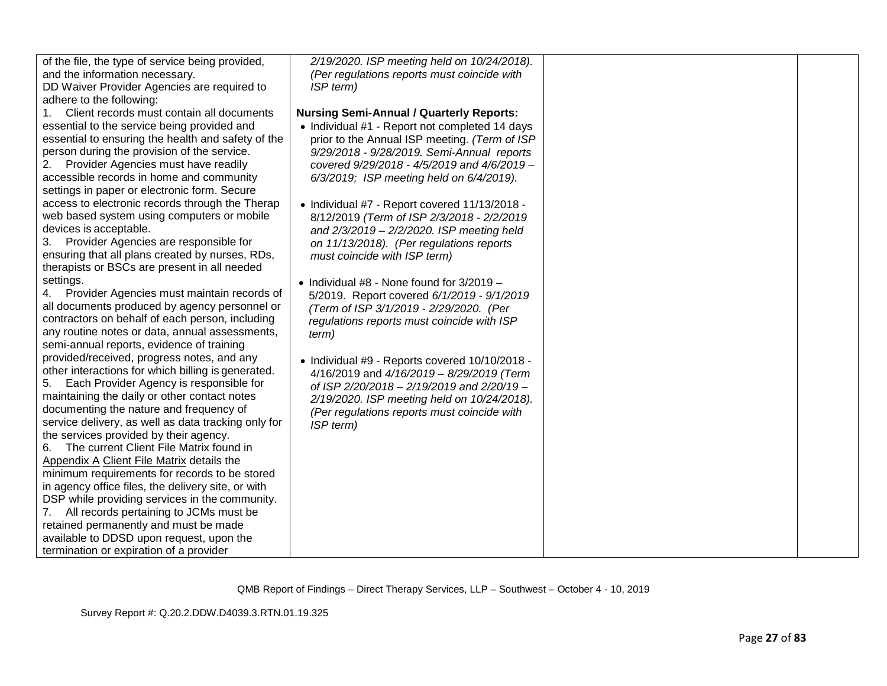| of the file, the type of service being provided,    | 2/19/2020. ISP meeting held on 10/24/2018).     |  |
|-----------------------------------------------------|-------------------------------------------------|--|
| and the information necessary.                      | (Per regulations reports must coincide with     |  |
| DD Waiver Provider Agencies are required to         | ISP term)                                       |  |
| adhere to the following:                            |                                                 |  |
| 1.<br>Client records must contain all documents     | <b>Nursing Semi-Annual / Quarterly Reports:</b> |  |
| essential to the service being provided and         | • Individual #1 - Report not completed 14 days  |  |
| essential to ensuring the health and safety of the  | prior to the Annual ISP meeting. (Term of ISP   |  |
| person during the provision of the service.         | 9/29/2018 - 9/28/2019. Semi-Annual reports      |  |
| Provider Agencies must have readily<br>2.           | covered 9/29/2018 - 4/5/2019 and 4/6/2019 -     |  |
| accessible records in home and community            | 6/3/2019; ISP meeting held on 6/4/2019).        |  |
| settings in paper or electronic form. Secure        |                                                 |  |
| access to electronic records through the Therap     | • Individual #7 - Report covered 11/13/2018 -   |  |
| web based system using computers or mobile          | 8/12/2019 (Term of ISP 2/3/2018 - 2/2/2019      |  |
| devices is acceptable.                              | and 2/3/2019 - 2/2/2020. ISP meeting held       |  |
| Provider Agencies are responsible for<br>3.         | on 11/13/2018). (Per regulations reports        |  |
| ensuring that all plans created by nurses, RDs,     | must coincide with ISP term)                    |  |
| therapists or BSCs are present in all needed        |                                                 |  |
| settings.                                           | • Individual $#8$ - None found for $3/2019 -$   |  |
| Provider Agencies must maintain records of          | 5/2019. Report covered 6/1/2019 - 9/1/2019      |  |
| all documents produced by agency personnel or       | (Term of ISP 3/1/2019 - 2/29/2020. (Per         |  |
| contractors on behalf of each person, including     | regulations reports must coincide with ISP      |  |
| any routine notes or data, annual assessments,      |                                                 |  |
| semi-annual reports, evidence of training           | term)                                           |  |
| provided/received, progress notes, and any          |                                                 |  |
| other interactions for which billing is generated.  | • Individual #9 - Reports covered 10/10/2018 -  |  |
| Each Provider Agency is responsible for<br>5.       | 4/16/2019 and 4/16/2019 - 8/29/2019 (Term       |  |
| maintaining the daily or other contact notes        | of ISP 2/20/2018 - 2/19/2019 and 2/20/19 -      |  |
| documenting the nature and frequency of             | 2/19/2020. ISP meeting held on 10/24/2018).     |  |
|                                                     | (Per regulations reports must coincide with     |  |
| service delivery, as well as data tracking only for | ISP term)                                       |  |
| the services provided by their agency.              |                                                 |  |
| The current Client File Matrix found in<br>6.       |                                                 |  |
| Appendix A Client File Matrix details the           |                                                 |  |
| minimum requirements for records to be stored       |                                                 |  |
| in agency office files, the delivery site, or with  |                                                 |  |
| DSP while providing services in the community.      |                                                 |  |
| 7. All records pertaining to JCMs must be           |                                                 |  |
| retained permanently and must be made               |                                                 |  |
| available to DDSD upon request, upon the            |                                                 |  |
| termination or expiration of a provider             |                                                 |  |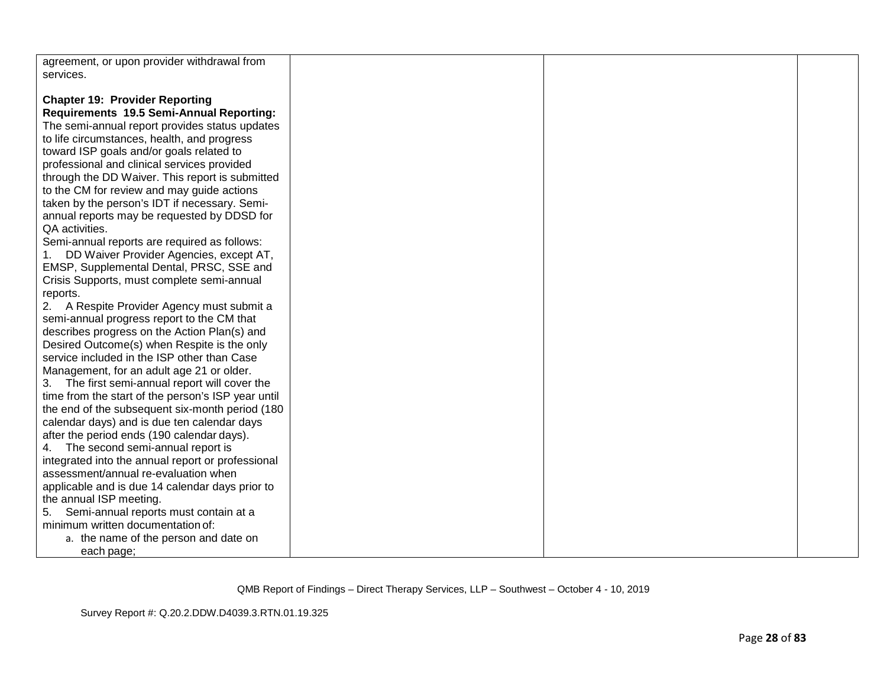| agreement, or upon provider withdrawal from<br>services.                                      |  |  |
|-----------------------------------------------------------------------------------------------|--|--|
| <b>Chapter 19: Provider Reporting</b><br>Requirements 19.5 Semi-Annual Reporting:             |  |  |
| The semi-annual report provides status updates<br>to life circumstances, health, and progress |  |  |
| toward ISP goals and/or goals related to                                                      |  |  |
| professional and clinical services provided                                                   |  |  |
| through the DD Waiver. This report is submitted                                               |  |  |
| to the CM for review and may guide actions                                                    |  |  |
| taken by the person's IDT if necessary. Semi-                                                 |  |  |
| annual reports may be requested by DDSD for                                                   |  |  |
| QA activities.<br>Semi-annual reports are required as follows:                                |  |  |
| DD Waiver Provider Agencies, except AT,<br>1.                                                 |  |  |
| EMSP, Supplemental Dental, PRSC, SSE and                                                      |  |  |
| Crisis Supports, must complete semi-annual                                                    |  |  |
| reports.                                                                                      |  |  |
| 2. A Respite Provider Agency must submit a                                                    |  |  |
| semi-annual progress report to the CM that                                                    |  |  |
| describes progress on the Action Plan(s) and                                                  |  |  |
| Desired Outcome(s) when Respite is the only                                                   |  |  |
| service included in the ISP other than Case                                                   |  |  |
| Management, for an adult age 21 or older.<br>3. The first semi-annual report will cover the   |  |  |
| time from the start of the person's ISP year until                                            |  |  |
| the end of the subsequent six-month period (180                                               |  |  |
| calendar days) and is due ten calendar days                                                   |  |  |
| after the period ends (190 calendar days).                                                    |  |  |
| 4. The second semi-annual report is                                                           |  |  |
| integrated into the annual report or professional                                             |  |  |
| assessment/annual re-evaluation when                                                          |  |  |
| applicable and is due 14 calendar days prior to<br>the annual ISP meeting.                    |  |  |
| Semi-annual reports must contain at a<br>5.                                                   |  |  |
| minimum written documentation of:                                                             |  |  |
| a. the name of the person and date on                                                         |  |  |
| each page;                                                                                    |  |  |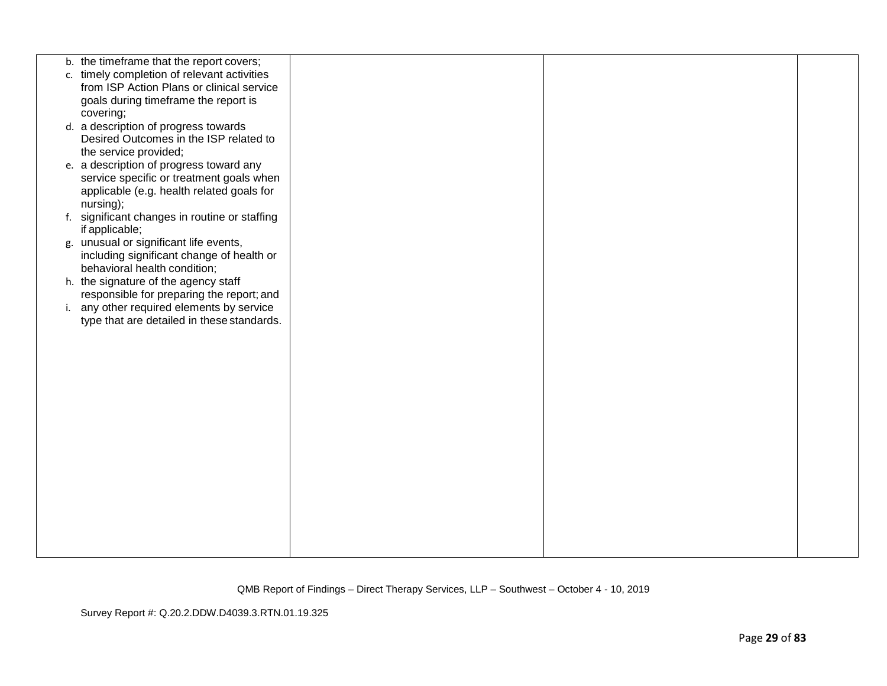| b. the timeframe that the report covers;                                          |  |  |
|-----------------------------------------------------------------------------------|--|--|
| c. timely completion of relevant activities                                       |  |  |
| from ISP Action Plans or clinical service<br>goals during timeframe the report is |  |  |
| covering;                                                                         |  |  |
| d. a description of progress towards                                              |  |  |
| Desired Outcomes in the ISP related to                                            |  |  |
| the service provided;                                                             |  |  |
| e. a description of progress toward any                                           |  |  |
| service specific or treatment goals when                                          |  |  |
| applicable (e.g. health related goals for                                         |  |  |
| nursing);                                                                         |  |  |
| f. significant changes in routine or staffing                                     |  |  |
| if applicable;                                                                    |  |  |
| g. unusual or significant life events,                                            |  |  |
| including significant change of health or<br>behavioral health condition;         |  |  |
| h. the signature of the agency staff                                              |  |  |
| responsible for preparing the report; and                                         |  |  |
| i. any other required elements by service                                         |  |  |
| type that are detailed in these standards.                                        |  |  |
|                                                                                   |  |  |
|                                                                                   |  |  |
|                                                                                   |  |  |
|                                                                                   |  |  |
|                                                                                   |  |  |
|                                                                                   |  |  |
|                                                                                   |  |  |
|                                                                                   |  |  |
|                                                                                   |  |  |
|                                                                                   |  |  |
|                                                                                   |  |  |
|                                                                                   |  |  |
|                                                                                   |  |  |
|                                                                                   |  |  |
|                                                                                   |  |  |
|                                                                                   |  |  |
|                                                                                   |  |  |

Survey Report #: Q.20.2.DDW.D4039.3.RTN.01.19.325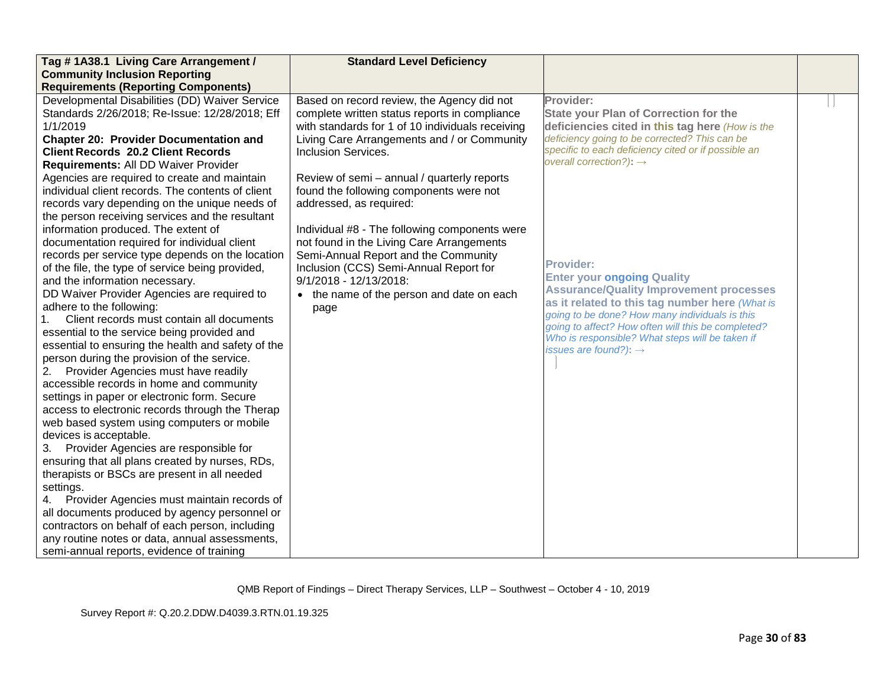| Tag #1A38.1 Living Care Arrangement /                                                            | <b>Standard Level Deficiency</b>                                                            |                                                                                                  |  |
|--------------------------------------------------------------------------------------------------|---------------------------------------------------------------------------------------------|--------------------------------------------------------------------------------------------------|--|
| <b>Community Inclusion Reporting</b>                                                             |                                                                                             |                                                                                                  |  |
| <b>Requirements (Reporting Components)</b>                                                       |                                                                                             |                                                                                                  |  |
| Developmental Disabilities (DD) Waiver Service<br>Standards 2/26/2018; Re-Issue: 12/28/2018; Eff | Based on record review, the Agency did not<br>complete written status reports in compliance | Provider:<br><b>State your Plan of Correction for the</b>                                        |  |
| 1/1/2019                                                                                         | with standards for 1 of 10 individuals receiving                                            | deficiencies cited in this tag here (How is the                                                  |  |
| <b>Chapter 20: Provider Documentation and</b>                                                    | Living Care Arrangements and / or Community                                                 | deficiency going to be corrected? This can be                                                    |  |
| <b>Client Records 20.2 Client Records</b>                                                        | <b>Inclusion Services.</b>                                                                  | specific to each deficiency cited or if possible an                                              |  |
| Requirements: All DD Waiver Provider                                                             |                                                                                             | overall correction?): $\rightarrow$                                                              |  |
| Agencies are required to create and maintain                                                     | Review of semi - annual / quarterly reports                                                 |                                                                                                  |  |
| individual client records. The contents of client                                                | found the following components were not                                                     |                                                                                                  |  |
| records vary depending on the unique needs of                                                    | addressed, as required:                                                                     |                                                                                                  |  |
| the person receiving services and the resultant                                                  |                                                                                             |                                                                                                  |  |
| information produced. The extent of                                                              | Individual #8 - The following components were                                               |                                                                                                  |  |
| documentation required for individual client                                                     | not found in the Living Care Arrangements                                                   |                                                                                                  |  |
| records per service type depends on the location                                                 | Semi-Annual Report and the Community                                                        |                                                                                                  |  |
| of the file, the type of service being provided,                                                 | Inclusion (CCS) Semi-Annual Report for                                                      | <b>Provider:</b>                                                                                 |  |
| and the information necessary.                                                                   | $9/1/2018 - 12/13/2018$ :                                                                   | <b>Enter your ongoing Quality</b>                                                                |  |
| DD Waiver Provider Agencies are required to                                                      | • the name of the person and date on each                                                   | <b>Assurance/Quality Improvement processes</b>                                                   |  |
| adhere to the following:                                                                         | page                                                                                        | as it related to this tag number here (What is<br>going to be done? How many individuals is this |  |
| Client records must contain all documents                                                        |                                                                                             | going to affect? How often will this be completed?                                               |  |
| essential to the service being provided and                                                      |                                                                                             | Who is responsible? What steps will be taken if                                                  |  |
| essential to ensuring the health and safety of the                                               |                                                                                             | issues are found?): $\rightarrow$                                                                |  |
| person during the provision of the service.                                                      |                                                                                             |                                                                                                  |  |
| Provider Agencies must have readily<br>2.                                                        |                                                                                             |                                                                                                  |  |
| accessible records in home and community                                                         |                                                                                             |                                                                                                  |  |
| settings in paper or electronic form. Secure                                                     |                                                                                             |                                                                                                  |  |
| access to electronic records through the Therap                                                  |                                                                                             |                                                                                                  |  |
| web based system using computers or mobile                                                       |                                                                                             |                                                                                                  |  |
| devices is acceptable.                                                                           |                                                                                             |                                                                                                  |  |
| Provider Agencies are responsible for<br>3.                                                      |                                                                                             |                                                                                                  |  |
| ensuring that all plans created by nurses, RDs,                                                  |                                                                                             |                                                                                                  |  |
| therapists or BSCs are present in all needed                                                     |                                                                                             |                                                                                                  |  |
| settings.                                                                                        |                                                                                             |                                                                                                  |  |
| 4. Provider Agencies must maintain records of                                                    |                                                                                             |                                                                                                  |  |
| all documents produced by agency personnel or                                                    |                                                                                             |                                                                                                  |  |
| contractors on behalf of each person, including                                                  |                                                                                             |                                                                                                  |  |
| any routine notes or data, annual assessments,                                                   |                                                                                             |                                                                                                  |  |
| semi-annual reports, evidence of training                                                        |                                                                                             |                                                                                                  |  |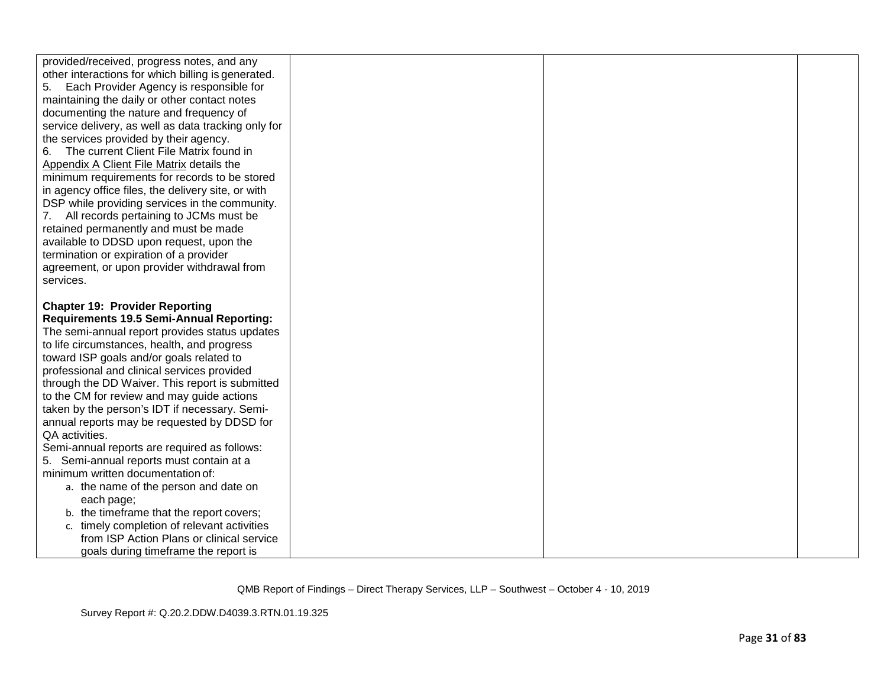| provided/received, progress notes, and any          |  |  |
|-----------------------------------------------------|--|--|
| other interactions for which billing is generated.  |  |  |
| Each Provider Agency is responsible for<br>5.       |  |  |
| maintaining the daily or other contact notes        |  |  |
| documenting the nature and frequency of             |  |  |
| service delivery, as well as data tracking only for |  |  |
| the services provided by their agency.              |  |  |
| The current Client File Matrix found in             |  |  |
| Appendix A Client File Matrix details the           |  |  |
| minimum requirements for records to be stored       |  |  |
| in agency office files, the delivery site, or with  |  |  |
| DSP while providing services in the community.      |  |  |
| 7. All records pertaining to JCMs must be           |  |  |
| retained permanently and must be made               |  |  |
| available to DDSD upon request, upon the            |  |  |
| termination or expiration of a provider             |  |  |
| agreement, or upon provider withdrawal from         |  |  |
| services.                                           |  |  |
|                                                     |  |  |
| <b>Chapter 19: Provider Reporting</b>               |  |  |
| <b>Requirements 19.5 Semi-Annual Reporting:</b>     |  |  |
| The semi-annual report provides status updates      |  |  |
| to life circumstances, health, and progress         |  |  |
| toward ISP goals and/or goals related to            |  |  |
| professional and clinical services provided         |  |  |
| through the DD Waiver. This report is submitted     |  |  |
| to the CM for review and may guide actions          |  |  |
| taken by the person's IDT if necessary. Semi-       |  |  |
| annual reports may be requested by DDSD for         |  |  |
| QA activities.                                      |  |  |
| Semi-annual reports are required as follows:        |  |  |
| 5. Semi-annual reports must contain at a            |  |  |
| minimum written documentation of:                   |  |  |
| a. the name of the person and date on               |  |  |
| each page;                                          |  |  |
| b. the timeframe that the report covers;            |  |  |
| c. timely completion of relevant activities         |  |  |
| from ISP Action Plans or clinical service           |  |  |
| goals during timeframe the report is                |  |  |
|                                                     |  |  |

Survey Report #: Q.20.2.DDW.D4039.3.RTN.01.19.325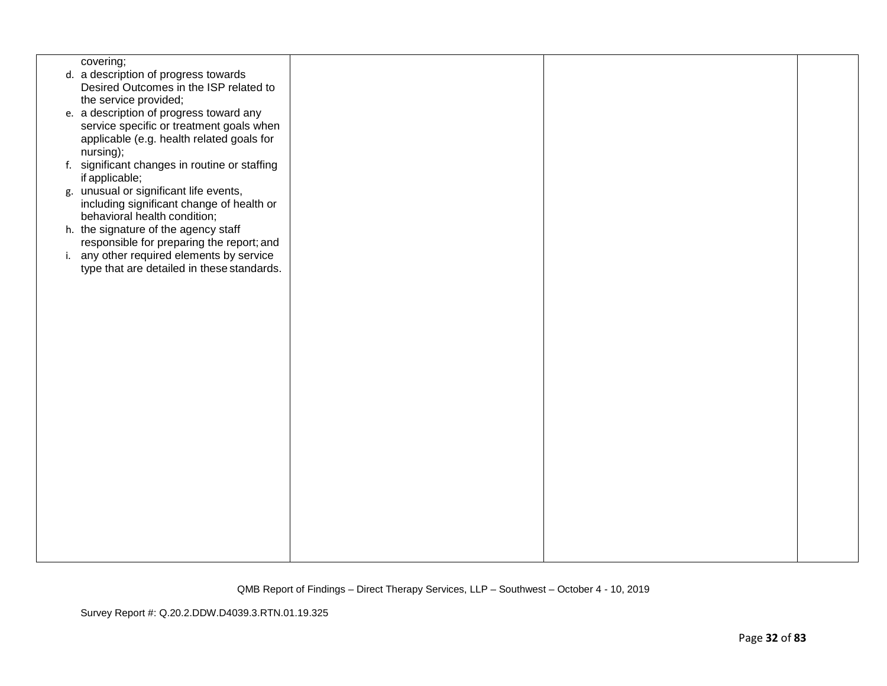| covering;                                     |  |  |
|-----------------------------------------------|--|--|
| d. a description of progress towards          |  |  |
| Desired Outcomes in the ISP related to        |  |  |
| the service provided;                         |  |  |
|                                               |  |  |
| e. a description of progress toward any       |  |  |
| service specific or treatment goals when      |  |  |
| applicable (e.g. health related goals for     |  |  |
| nursing);                                     |  |  |
| f. significant changes in routine or staffing |  |  |
| if applicable;                                |  |  |
|                                               |  |  |
| g. unusual or significant life events,        |  |  |
| including significant change of health or     |  |  |
| behavioral health condition;                  |  |  |
| h. the signature of the agency staff          |  |  |
| responsible for preparing the report; and     |  |  |
| i. any other required elements by service     |  |  |
| type that are detailed in these standards.    |  |  |
|                                               |  |  |
|                                               |  |  |
|                                               |  |  |
|                                               |  |  |
|                                               |  |  |
|                                               |  |  |
|                                               |  |  |
|                                               |  |  |
|                                               |  |  |
|                                               |  |  |
|                                               |  |  |
|                                               |  |  |
|                                               |  |  |
|                                               |  |  |
|                                               |  |  |
|                                               |  |  |
|                                               |  |  |
|                                               |  |  |
|                                               |  |  |
|                                               |  |  |
|                                               |  |  |
|                                               |  |  |
|                                               |  |  |
|                                               |  |  |
|                                               |  |  |
|                                               |  |  |

Survey Report #: Q.20.2.DDW.D4039.3.RTN.01.19.325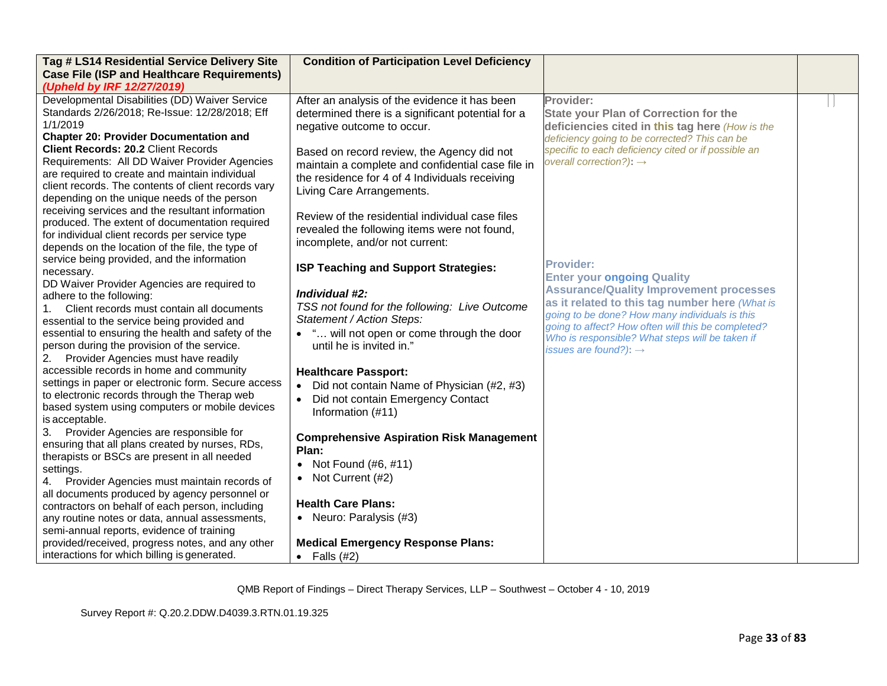| Tag # LS14 Residential Service Delivery Site<br><b>Case File (ISP and Healthcare Requirements)</b>                                                                                                                                                                                                                                                                                                                                                                                                                                                                                                                                                             | <b>Condition of Participation Level Deficiency</b>                                                                                                                                                                                                                                                                                                                                                                                                       |                                                                                                                                                                                                                                                                                                                                                           |  |
|----------------------------------------------------------------------------------------------------------------------------------------------------------------------------------------------------------------------------------------------------------------------------------------------------------------------------------------------------------------------------------------------------------------------------------------------------------------------------------------------------------------------------------------------------------------------------------------------------------------------------------------------------------------|----------------------------------------------------------------------------------------------------------------------------------------------------------------------------------------------------------------------------------------------------------------------------------------------------------------------------------------------------------------------------------------------------------------------------------------------------------|-----------------------------------------------------------------------------------------------------------------------------------------------------------------------------------------------------------------------------------------------------------------------------------------------------------------------------------------------------------|--|
| (Upheld by IRF 12/27/2019)<br>Developmental Disabilities (DD) Waiver Service<br>Standards 2/26/2018; Re-Issue: 12/28/2018; Eff<br>1/1/2019<br><b>Chapter 20: Provider Documentation and</b><br><b>Client Records: 20.2 Client Records</b><br>Requirements: All DD Waiver Provider Agencies<br>are required to create and maintain individual<br>client records. The contents of client records vary<br>depending on the unique needs of the person<br>receiving services and the resultant information<br>produced. The extent of documentation required<br>for individual client records per service type<br>depends on the location of the file, the type of | After an analysis of the evidence it has been<br>determined there is a significant potential for a<br>negative outcome to occur.<br>Based on record review, the Agency did not<br>maintain a complete and confidential case file in<br>the residence for 4 of 4 Individuals receiving<br>Living Care Arrangements.<br>Review of the residential individual case files<br>revealed the following items were not found,<br>incomplete, and/or not current: | Provider:<br><b>State your Plan of Correction for the</b><br>deficiencies cited in this tag here (How is the<br>deficiency going to be corrected? This can be<br>specific to each deficiency cited or if possible an<br>overall correction?): $\rightarrow$                                                                                               |  |
| service being provided, and the information<br>necessary.<br>DD Waiver Provider Agencies are required to<br>adhere to the following:<br>Client records must contain all documents<br>1.<br>essential to the service being provided and<br>essential to ensuring the health and safety of the<br>person during the provision of the service.<br>Provider Agencies must have readily                                                                                                                                                                                                                                                                             | ISP Teaching and Support Strategies:<br>Individual #2:<br>TSS not found for the following: Live Outcome<br>Statement / Action Steps:<br>• " will not open or come through the door<br>until he is invited in."                                                                                                                                                                                                                                           | <b>Provider:</b><br><b>Enter your ongoing Quality</b><br><b>Assurance/Quality Improvement processes</b><br>as it related to this tag number here (What is<br>going to be done? How many individuals is this<br>going to affect? How often will this be completed?<br>Who is responsible? What steps will be taken if<br>issues are found?): $\rightarrow$ |  |
| accessible records in home and community<br>settings in paper or electronic form. Secure access<br>to electronic records through the Therap web<br>based system using computers or mobile devices<br>is acceptable.<br>Provider Agencies are responsible for<br>3.<br>ensuring that all plans created by nurses, RDs,<br>therapists or BSCs are present in all needed<br>settings.<br>Provider Agencies must maintain records of<br>4.<br>all documents produced by agency personnel or<br>contractors on behalf of each person, including<br>any routine notes or data, annual assessments,<br>semi-annual reports, evidence of training                      | <b>Healthcare Passport:</b><br>• Did not contain Name of Physician (#2, #3)<br>• Did not contain Emergency Contact<br>Information (#11)<br><b>Comprehensive Aspiration Risk Management</b><br>Plan:<br>• Not Found $(\#6, \#11)$<br>• Not Current (#2)<br><b>Health Care Plans:</b><br>• Neuro: Paralysis (#3)                                                                                                                                           |                                                                                                                                                                                                                                                                                                                                                           |  |
| provided/received, progress notes, and any other<br>interactions for which billing is generated.                                                                                                                                                                                                                                                                                                                                                                                                                                                                                                                                                               | <b>Medical Emergency Response Plans:</b><br>• Falls $(#2)$                                                                                                                                                                                                                                                                                                                                                                                               |                                                                                                                                                                                                                                                                                                                                                           |  |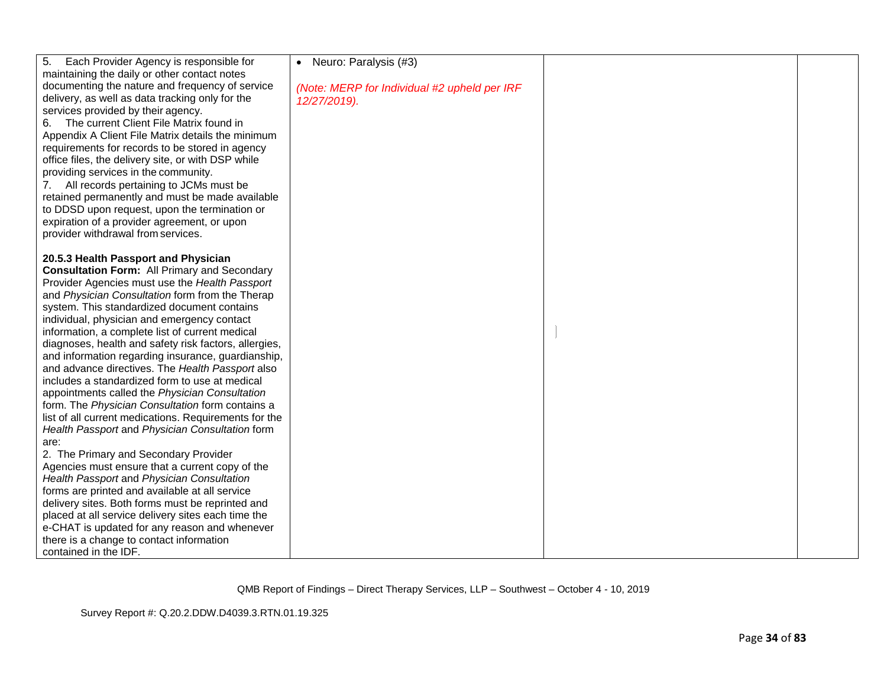| 5.<br>Each Provider Agency is responsible for         | • Neuro: Paralysis (#3)                      |  |
|-------------------------------------------------------|----------------------------------------------|--|
| maintaining the daily or other contact notes          |                                              |  |
| documenting the nature and frequency of service       |                                              |  |
| delivery, as well as data tracking only for the       | (Note: MERP for Individual #2 upheld per IRF |  |
| services provided by their agency.                    | 12/27/2019).                                 |  |
| The current Client File Matrix found in               |                                              |  |
| 6.                                                    |                                              |  |
| Appendix A Client File Matrix details the minimum     |                                              |  |
| requirements for records to be stored in agency       |                                              |  |
| office files, the delivery site, or with DSP while    |                                              |  |
| providing services in the community.                  |                                              |  |
| 7. All records pertaining to JCMs must be             |                                              |  |
| retained permanently and must be made available       |                                              |  |
| to DDSD upon request, upon the termination or         |                                              |  |
| expiration of a provider agreement, or upon           |                                              |  |
| provider withdrawal from services.                    |                                              |  |
|                                                       |                                              |  |
| 20.5.3 Health Passport and Physician                  |                                              |  |
| <b>Consultation Form: All Primary and Secondary</b>   |                                              |  |
| Provider Agencies must use the Health Passport        |                                              |  |
| and Physician Consultation form from the Therap       |                                              |  |
| system. This standardized document contains           |                                              |  |
| individual, physician and emergency contact           |                                              |  |
| information, a complete list of current medical       |                                              |  |
| diagnoses, health and safety risk factors, allergies, |                                              |  |
| and information regarding insurance, guardianship,    |                                              |  |
| and advance directives. The Health Passport also      |                                              |  |
| includes a standardized form to use at medical        |                                              |  |
| appointments called the Physician Consultation        |                                              |  |
| form. The Physician Consultation form contains a      |                                              |  |
| list of all current medications. Requirements for the |                                              |  |
| Health Passport and Physician Consultation form       |                                              |  |
| are:                                                  |                                              |  |
| 2. The Primary and Secondary Provider                 |                                              |  |
| Agencies must ensure that a current copy of the       |                                              |  |
| Health Passport and Physician Consultation            |                                              |  |
| forms are printed and available at all service        |                                              |  |
| delivery sites. Both forms must be reprinted and      |                                              |  |
| placed at all service delivery sites each time the    |                                              |  |
| e-CHAT is updated for any reason and whenever         |                                              |  |
| there is a change to contact information              |                                              |  |
| contained in the IDF.                                 |                                              |  |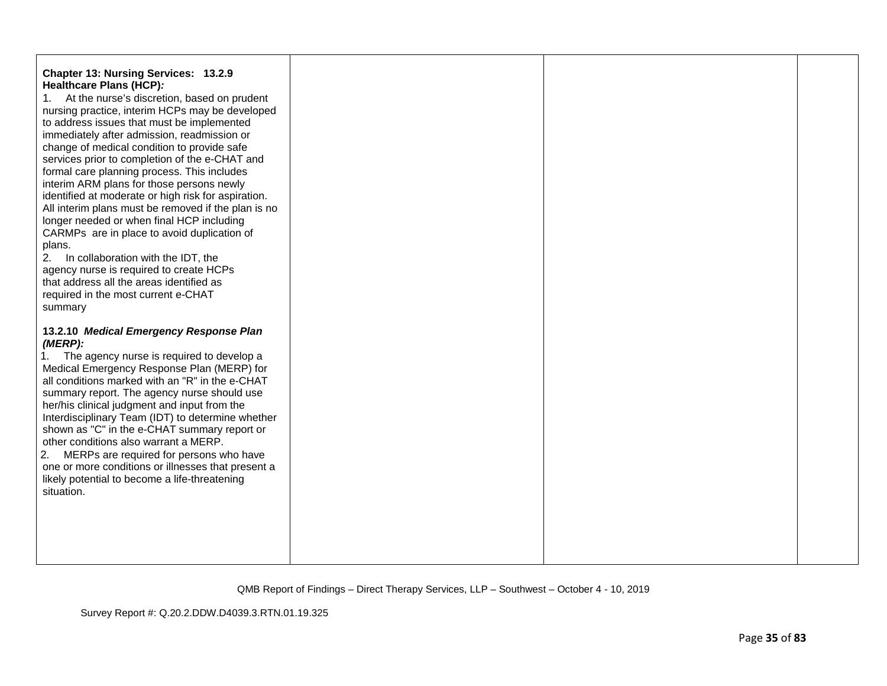| Chapter 13: Nursing Services: 13.2.9<br>Healthcare Plans (HCP):<br>At the nurse's discretion, based on prudent<br>1.<br>nursing practice, interim HCPs may be developed<br>to address issues that must be implemented<br>immediately after admission, readmission or<br>change of medical condition to provide safe<br>services prior to completion of the e-CHAT and<br>formal care planning process. This includes<br>interim ARM plans for those persons newly<br>identified at moderate or high risk for aspiration.<br>All interim plans must be removed if the plan is no<br>longer needed or when final HCP including<br>CARMPs are in place to avoid duplication of<br>plans.<br>2.<br>In collaboration with the IDT, the<br>agency nurse is required to create HCPs<br>that address all the areas identified as<br>required in the most current e-CHAT<br>summary |  |  |
|----------------------------------------------------------------------------------------------------------------------------------------------------------------------------------------------------------------------------------------------------------------------------------------------------------------------------------------------------------------------------------------------------------------------------------------------------------------------------------------------------------------------------------------------------------------------------------------------------------------------------------------------------------------------------------------------------------------------------------------------------------------------------------------------------------------------------------------------------------------------------|--|--|
| 13.2.10 Medical Emergency Response Plan<br>(MERP):<br>The agency nurse is required to develop a<br>1.<br>Medical Emergency Response Plan (MERP) for<br>all conditions marked with an "R" in the e-CHAT<br>summary report. The agency nurse should use<br>her/his clinical judgment and input from the<br>Interdisciplinary Team (IDT) to determine whether<br>shown as "C" in the e-CHAT summary report or<br>other conditions also warrant a MERP.<br>2.<br>MERPs are required for persons who have<br>one or more conditions or illnesses that present a<br>likely potential to become a life-threatening<br>situation.                                                                                                                                                                                                                                                  |  |  |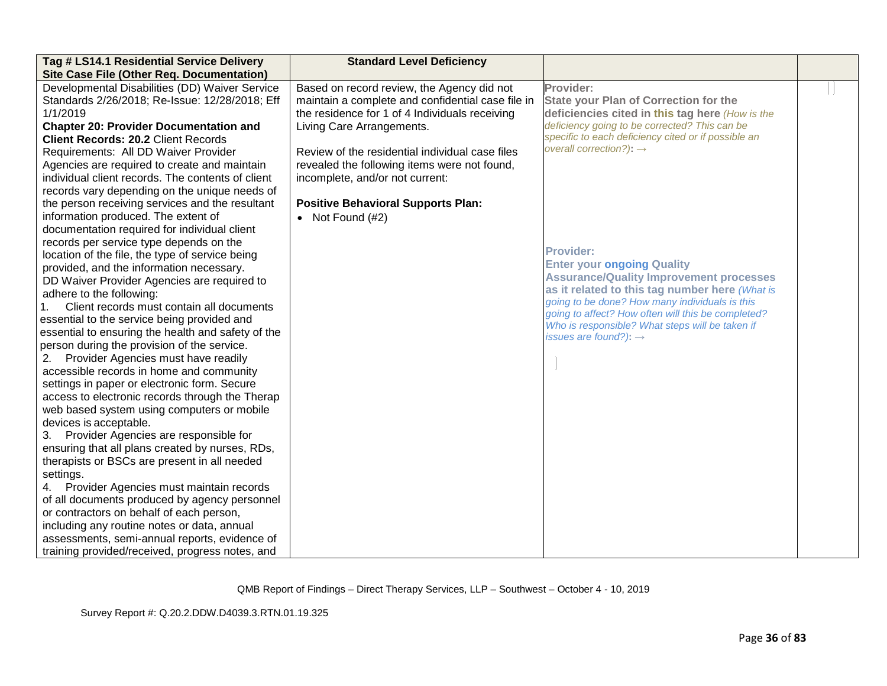| Tag # LS14.1 Residential Service Delivery          | <b>Standard Level Deficiency</b>                  |                                                                                                  |  |
|----------------------------------------------------|---------------------------------------------------|--------------------------------------------------------------------------------------------------|--|
| Site Case File (Other Req. Documentation)          |                                                   |                                                                                                  |  |
| Developmental Disabilities (DD) Waiver Service     | Based on record review, the Agency did not        | Provider:                                                                                        |  |
| Standards 2/26/2018; Re-Issue: 12/28/2018; Eff     | maintain a complete and confidential case file in | <b>State your Plan of Correction for the</b>                                                     |  |
| 1/1/2019                                           | the residence for 1 of 4 Individuals receiving    | deficiencies cited in this tag here (How is the                                                  |  |
| <b>Chapter 20: Provider Documentation and</b>      | Living Care Arrangements.                         | deficiency going to be corrected? This can be                                                    |  |
| <b>Client Records: 20.2 Client Records</b>         |                                                   | specific to each deficiency cited or if possible an                                              |  |
| Requirements: All DD Waiver Provider               | Review of the residential individual case files   | overall correction?): $\rightarrow$                                                              |  |
| Agencies are required to create and maintain       | revealed the following items were not found,      |                                                                                                  |  |
| individual client records. The contents of client  | incomplete, and/or not current:                   |                                                                                                  |  |
| records vary depending on the unique needs of      |                                                   |                                                                                                  |  |
| the person receiving services and the resultant    | <b>Positive Behavioral Supports Plan:</b>         |                                                                                                  |  |
| information produced. The extent of                | • Not Found $(H2)$                                |                                                                                                  |  |
| documentation required for individual client       |                                                   |                                                                                                  |  |
| records per service type depends on the            |                                                   | Provider:                                                                                        |  |
| location of the file, the type of service being    |                                                   |                                                                                                  |  |
| provided, and the information necessary.           |                                                   | <b>Enter your ongoing Quality</b>                                                                |  |
| DD Waiver Provider Agencies are required to        |                                                   | <b>Assurance/Quality Improvement processes</b>                                                   |  |
| adhere to the following:                           |                                                   | as it related to this tag number here (What is<br>going to be done? How many individuals is this |  |
| Client records must contain all documents          |                                                   | going to affect? How often will this be completed?                                               |  |
| essential to the service being provided and        |                                                   | Who is responsible? What steps will be taken if                                                  |  |
| essential to ensuring the health and safety of the |                                                   | issues are found?): $\rightarrow$                                                                |  |
| person during the provision of the service.        |                                                   |                                                                                                  |  |
| 2. Provider Agencies must have readily             |                                                   |                                                                                                  |  |
| accessible records in home and community           |                                                   |                                                                                                  |  |
| settings in paper or electronic form. Secure       |                                                   |                                                                                                  |  |
| access to electronic records through the Therap    |                                                   |                                                                                                  |  |
| web based system using computers or mobile         |                                                   |                                                                                                  |  |
| devices is acceptable.                             |                                                   |                                                                                                  |  |
| 3. Provider Agencies are responsible for           |                                                   |                                                                                                  |  |
| ensuring that all plans created by nurses, RDs,    |                                                   |                                                                                                  |  |
| therapists or BSCs are present in all needed       |                                                   |                                                                                                  |  |
| settings.                                          |                                                   |                                                                                                  |  |
| 4. Provider Agencies must maintain records         |                                                   |                                                                                                  |  |
| of all documents produced by agency personnel      |                                                   |                                                                                                  |  |
| or contractors on behalf of each person,           |                                                   |                                                                                                  |  |
| including any routine notes or data, annual        |                                                   |                                                                                                  |  |
| assessments, semi-annual reports, evidence of      |                                                   |                                                                                                  |  |
| training provided/received, progress notes, and    |                                                   |                                                                                                  |  |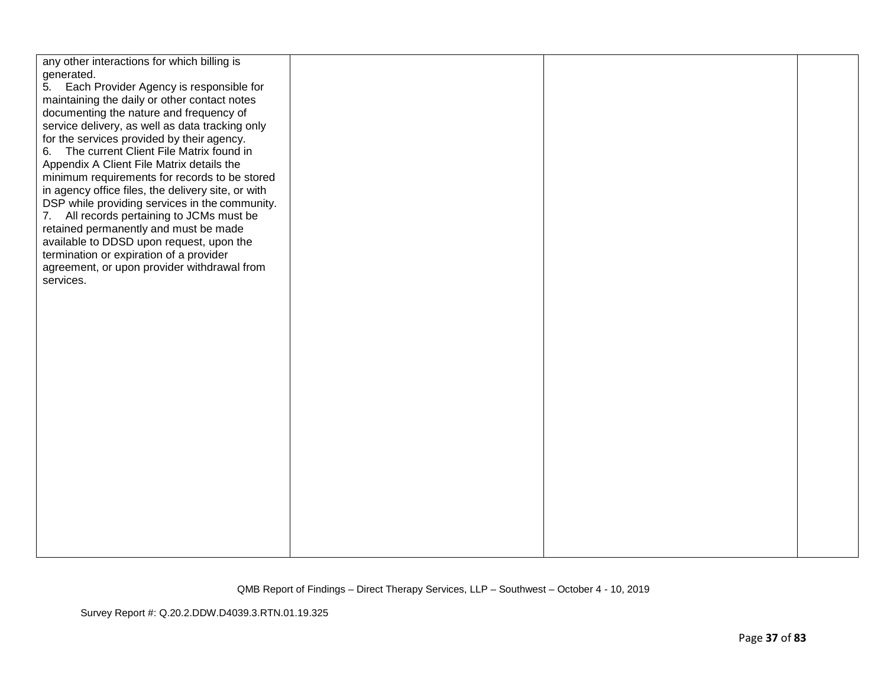| any other interactions for which billing is        |  |  |
|----------------------------------------------------|--|--|
| generated.                                         |  |  |
| Each Provider Agency is responsible for<br>5.      |  |  |
| maintaining the daily or other contact notes       |  |  |
| documenting the nature and frequency of            |  |  |
| service delivery, as well as data tracking only    |  |  |
| for the services provided by their agency.         |  |  |
| 6. The current Client File Matrix found in         |  |  |
| Appendix A Client File Matrix details the          |  |  |
| minimum requirements for records to be stored      |  |  |
| in agency office files, the delivery site, or with |  |  |
| DSP while providing services in the community.     |  |  |
| 7. All records pertaining to JCMs must be          |  |  |
| retained permanently and must be made              |  |  |
| available to DDSD upon request, upon the           |  |  |
| termination or expiration of a provider            |  |  |
| agreement, or upon provider withdrawal from        |  |  |
| services.                                          |  |  |
|                                                    |  |  |
|                                                    |  |  |
|                                                    |  |  |
|                                                    |  |  |
|                                                    |  |  |
|                                                    |  |  |
|                                                    |  |  |
|                                                    |  |  |
|                                                    |  |  |
|                                                    |  |  |
|                                                    |  |  |
|                                                    |  |  |
|                                                    |  |  |
|                                                    |  |  |
|                                                    |  |  |
|                                                    |  |  |
|                                                    |  |  |
|                                                    |  |  |
|                                                    |  |  |
|                                                    |  |  |
|                                                    |  |  |
|                                                    |  |  |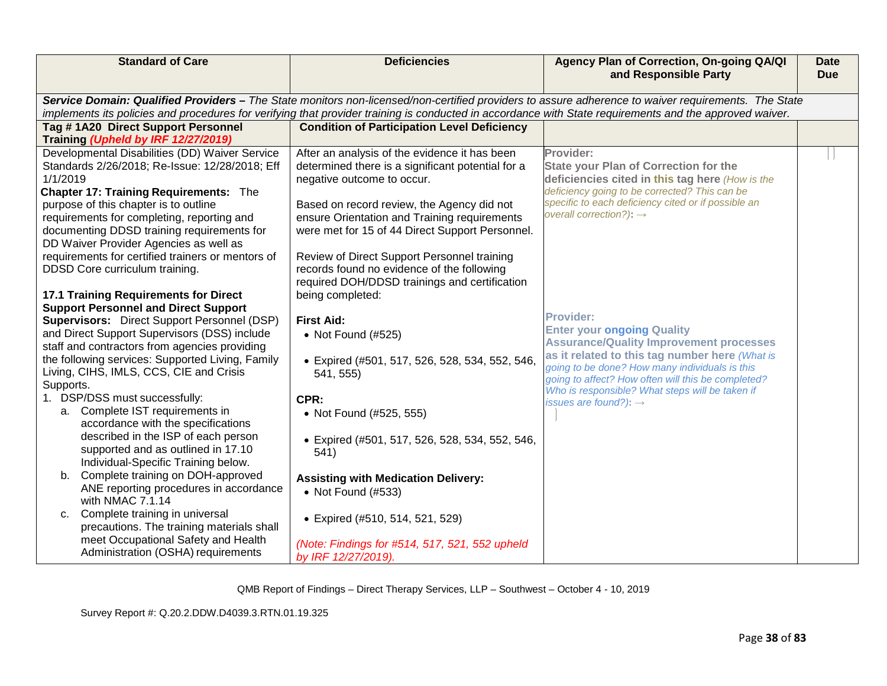| <b>Standard of Care</b>                                                                                                                                                                                                                                                                                                                                                                           | <b>Deficiencies</b>                                                                                                                                                                                                                                                                                                              | Agency Plan of Correction, On-going QA/QI<br>and Responsible Party                                                                                                                                                                                                | <b>Date</b><br><b>Due</b> |
|---------------------------------------------------------------------------------------------------------------------------------------------------------------------------------------------------------------------------------------------------------------------------------------------------------------------------------------------------------------------------------------------------|----------------------------------------------------------------------------------------------------------------------------------------------------------------------------------------------------------------------------------------------------------------------------------------------------------------------------------|-------------------------------------------------------------------------------------------------------------------------------------------------------------------------------------------------------------------------------------------------------------------|---------------------------|
|                                                                                                                                                                                                                                                                                                                                                                                                   | Service Domain: Qualified Providers - The State monitors non-licensed/non-certified providers to assure adherence to waiver requirements. The State                                                                                                                                                                              |                                                                                                                                                                                                                                                                   |                           |
|                                                                                                                                                                                                                                                                                                                                                                                                   | implements its policies and procedures for verifying that provider training is conducted in accordance with State requirements and the approved waiver.                                                                                                                                                                          |                                                                                                                                                                                                                                                                   |                           |
| Tag #1A20 Direct Support Personnel<br>Training (Upheld by IRF 12/27/2019)                                                                                                                                                                                                                                                                                                                         | <b>Condition of Participation Level Deficiency</b>                                                                                                                                                                                                                                                                               |                                                                                                                                                                                                                                                                   |                           |
| Developmental Disabilities (DD) Waiver Service<br>Standards 2/26/2018; Re-Issue: 12/28/2018; Eff<br>1/1/2019<br><b>Chapter 17: Training Requirements: The</b><br>purpose of this chapter is to outline<br>requirements for completing, reporting and<br>documenting DDSD training requirements for<br>DD Waiver Provider Agencies as well as<br>requirements for certified trainers or mentors of | After an analysis of the evidence it has been<br>determined there is a significant potential for a<br>negative outcome to occur.<br>Based on record review, the Agency did not<br>ensure Orientation and Training requirements<br>were met for 15 of 44 Direct Support Personnel.<br>Review of Direct Support Personnel training | Provider:<br><b>State your Plan of Correction for the</b><br>deficiencies cited in this tag here (How is the<br>deficiency going to be corrected? This can be<br>specific to each deficiency cited or if possible an<br>overall correction?): $\rightarrow$       |                           |
| DDSD Core curriculum training.<br><b>17.1 Training Requirements for Direct</b><br><b>Support Personnel and Direct Support</b>                                                                                                                                                                                                                                                                     | records found no evidence of the following<br>required DOH/DDSD trainings and certification<br>being completed:                                                                                                                                                                                                                  |                                                                                                                                                                                                                                                                   |                           |
| <b>Supervisors:</b> Direct Support Personnel (DSP)<br>and Direct Support Supervisors (DSS) include<br>staff and contractors from agencies providing<br>the following services: Supported Living, Family<br>Living, CIHS, IMLS, CCS, CIE and Crisis                                                                                                                                                | <b>First Aid:</b><br>• Not Found (#525)<br>· Expired (#501, 517, 526, 528, 534, 552, 546,<br>541, 555)                                                                                                                                                                                                                           | <b>Provider:</b><br><b>Enter your ongoing Quality</b><br><b>Assurance/Quality Improvement processes</b><br>as it related to this tag number here (What is<br>going to be done? How many individuals is this<br>going to affect? How often will this be completed? |                           |
| Supports.<br>1. DSP/DSS must successfully:<br>a. Complete IST requirements in<br>accordance with the specifications<br>described in the ISP of each person<br>supported and as outlined in 17.10<br>Individual-Specific Training below.<br>b. Complete training on DOH-approved<br>ANE reporting procedures in accordance                                                                         | CPR:<br>• Not Found (#525, 555)<br>• Expired (#501, 517, 526, 528, 534, 552, 546,<br>541)<br><b>Assisting with Medication Delivery:</b><br>• Not Found (#533)                                                                                                                                                                    | Who is responsible? What steps will be taken if<br>issues are found?): $\rightarrow$                                                                                                                                                                              |                           |
| with NMAC 7.1.14<br>Complete training in universal<br>C.<br>precautions. The training materials shall<br>meet Occupational Safety and Health<br>Administration (OSHA) requirements                                                                                                                                                                                                                | • Expired (#510, 514, 521, 529)<br>(Note: Findings for #514, 517, 521, 552 upheld<br>by IRF 12/27/2019).                                                                                                                                                                                                                         |                                                                                                                                                                                                                                                                   |                           |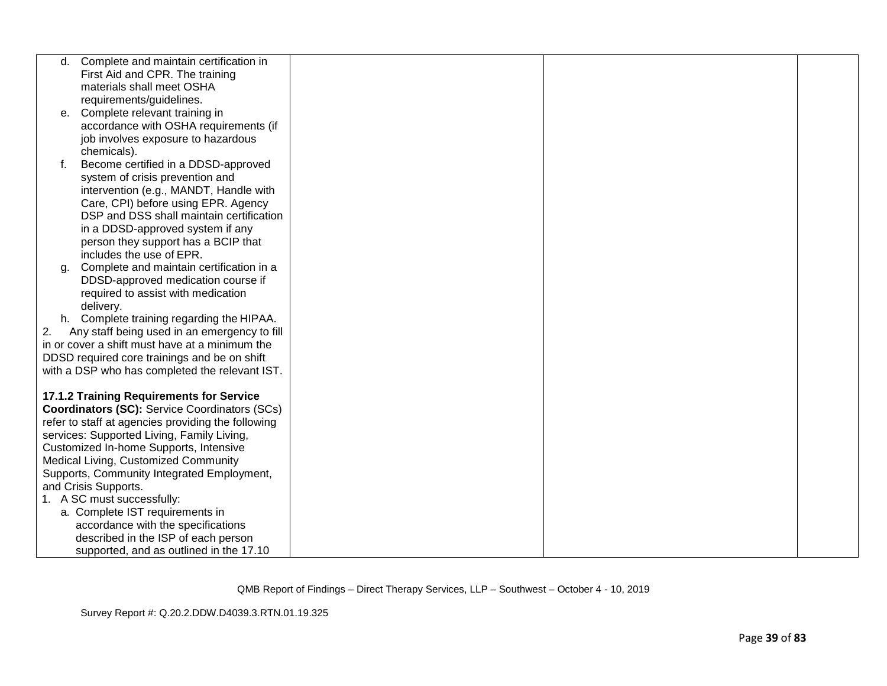| d. | Complete and maintain certification in               |  |  |
|----|------------------------------------------------------|--|--|
|    | First Aid and CPR. The training                      |  |  |
|    | materials shall meet OSHA                            |  |  |
|    | requirements/guidelines.                             |  |  |
| е. | Complete relevant training in                        |  |  |
|    | accordance with OSHA requirements (if                |  |  |
|    | job involves exposure to hazardous                   |  |  |
|    | chemicals).                                          |  |  |
| f. | Become certified in a DDSD-approved                  |  |  |
|    | system of crisis prevention and                      |  |  |
|    | intervention (e.g., MANDT, Handle with               |  |  |
|    | Care, CPI) before using EPR. Agency                  |  |  |
|    | DSP and DSS shall maintain certification             |  |  |
|    | in a DDSD-approved system if any                     |  |  |
|    | person they support has a BCIP that                  |  |  |
|    | includes the use of EPR.                             |  |  |
| α. | Complete and maintain certification in a             |  |  |
|    | DDSD-approved medication course if                   |  |  |
|    | required to assist with medication                   |  |  |
|    | delivery.                                            |  |  |
|    | h. Complete training regarding the HIPAA.            |  |  |
| 2. | Any staff being used in an emergency to fill         |  |  |
|    | in or cover a shift must have at a minimum the       |  |  |
|    | DDSD required core trainings and be on shift         |  |  |
|    | with a DSP who has completed the relevant IST.       |  |  |
|    |                                                      |  |  |
|    | <b>17.1.2 Training Requirements for Service</b>      |  |  |
|    | <b>Coordinators (SC): Service Coordinators (SCs)</b> |  |  |
|    | refer to staff at agencies providing the following   |  |  |
|    | services: Supported Living, Family Living,           |  |  |
|    | Customized In-home Supports, Intensive               |  |  |
|    | Medical Living, Customized Community                 |  |  |
|    | Supports, Community Integrated Employment,           |  |  |
|    | and Crisis Supports.                                 |  |  |
|    | 1. A SC must successfully:                           |  |  |
|    | a. Complete IST requirements in                      |  |  |
|    | accordance with the specifications                   |  |  |
|    | described in the ISP of each person                  |  |  |
|    | supported, and as outlined in the 17.10              |  |  |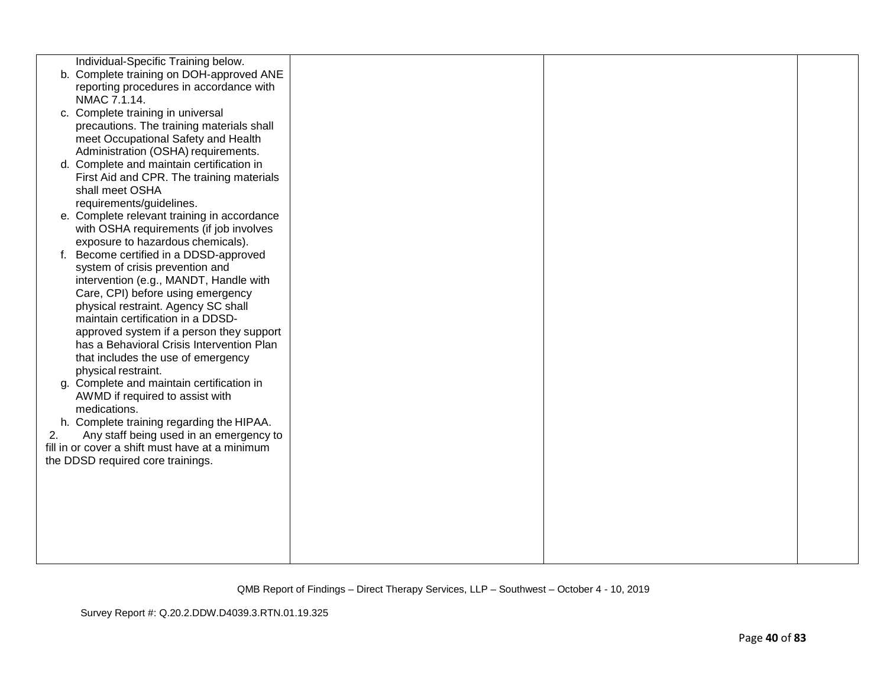|    | Individual-Specific Training below.             |  |  |
|----|-------------------------------------------------|--|--|
|    | b. Complete training on DOH-approved ANE        |  |  |
|    | reporting procedures in accordance with         |  |  |
|    | NMAC 7.1.14.                                    |  |  |
|    | c. Complete training in universal               |  |  |
|    | precautions. The training materials shall       |  |  |
|    | meet Occupational Safety and Health             |  |  |
|    | Administration (OSHA) requirements.             |  |  |
|    | d. Complete and maintain certification in       |  |  |
|    | First Aid and CPR. The training materials       |  |  |
|    | shall meet OSHA                                 |  |  |
|    | requirements/guidelines.                        |  |  |
|    | e. Complete relevant training in accordance     |  |  |
|    | with OSHA requirements (if job involves         |  |  |
|    | exposure to hazardous chemicals).               |  |  |
| f. | Become certified in a DDSD-approved             |  |  |
|    | system of crisis prevention and                 |  |  |
|    | intervention (e.g., MANDT, Handle with          |  |  |
|    | Care, CPI) before using emergency               |  |  |
|    | physical restraint. Agency SC shall             |  |  |
|    | maintain certification in a DDSD-               |  |  |
|    | approved system if a person they support        |  |  |
|    | has a Behavioral Crisis Intervention Plan       |  |  |
|    | that includes the use of emergency              |  |  |
|    | physical restraint.                             |  |  |
|    | g. Complete and maintain certification in       |  |  |
|    | AWMD if required to assist with                 |  |  |
|    | medications.                                    |  |  |
|    | h. Complete training regarding the HIPAA.       |  |  |
| 2. | Any staff being used in an emergency to         |  |  |
|    | fill in or cover a shift must have at a minimum |  |  |
|    | the DDSD required core trainings.               |  |  |
|    |                                                 |  |  |
|    |                                                 |  |  |
|    |                                                 |  |  |
|    |                                                 |  |  |
|    |                                                 |  |  |
|    |                                                 |  |  |
|    |                                                 |  |  |
|    |                                                 |  |  |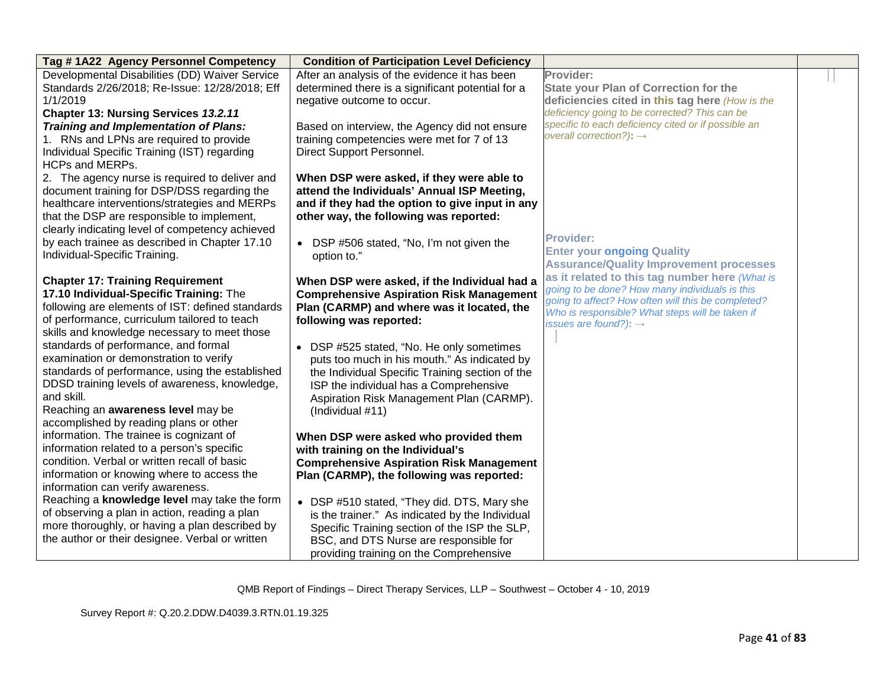| Tag #1A22 Agency Personnel Competency                                                       | <b>Condition of Participation Level Deficiency</b>                                               |                                                                                                  |  |
|---------------------------------------------------------------------------------------------|--------------------------------------------------------------------------------------------------|--------------------------------------------------------------------------------------------------|--|
| Developmental Disabilities (DD) Waiver Service                                              | After an analysis of the evidence it has been                                                    | Provider:                                                                                        |  |
| Standards 2/26/2018; Re-Issue: 12/28/2018; Eff                                              | determined there is a significant potential for a                                                | <b>State your Plan of Correction for the</b>                                                     |  |
| 1/1/2019<br><b>Chapter 13: Nursing Services 13.2.11</b>                                     | negative outcome to occur.                                                                       | deficiencies cited in this tag here (How is the<br>deficiency going to be corrected? This can be |  |
| Training and Implementation of Plans:                                                       | Based on interview, the Agency did not ensure                                                    | specific to each deficiency cited or if possible an                                              |  |
| 1. RNs and LPNs are required to provide                                                     | training competencies were met for 7 of 13                                                       | overall correction?): $\rightarrow$                                                              |  |
| Individual Specific Training (IST) regarding                                                | Direct Support Personnel.                                                                        |                                                                                                  |  |
| <b>HCPs and MERPs.</b>                                                                      |                                                                                                  |                                                                                                  |  |
| 2. The agency nurse is required to deliver and                                              | When DSP were asked, if they were able to                                                        |                                                                                                  |  |
| document training for DSP/DSS regarding the                                                 | attend the Individuals' Annual ISP Meeting,                                                      |                                                                                                  |  |
| healthcare interventions/strategies and MERPs                                               | and if they had the option to give input in any                                                  |                                                                                                  |  |
| that the DSP are responsible to implement,                                                  | other way, the following was reported:                                                           |                                                                                                  |  |
| clearly indicating level of competency achieved                                             |                                                                                                  | <b>Provider:</b>                                                                                 |  |
| by each trainee as described in Chapter 17.10                                               | • DSP #506 stated, "No, I'm not given the                                                        | <b>Enter your ongoing Quality</b>                                                                |  |
| Individual-Specific Training.                                                               | option to."                                                                                      | <b>Assurance/Quality Improvement processes</b>                                                   |  |
|                                                                                             |                                                                                                  | as it related to this tag number here (What is                                                   |  |
| <b>Chapter 17: Training Requirement</b>                                                     | When DSP were asked, if the Individual had a                                                     | going to be done? How many individuals is this                                                   |  |
| 17.10 Individual-Specific Training: The<br>following are elements of IST: defined standards | <b>Comprehensive Aspiration Risk Management</b><br>Plan (CARMP) and where was it located, the    | going to affect? How often will this be completed?                                               |  |
| of performance, curriculum tailored to teach                                                | following was reported:                                                                          | Who is responsible? What steps will be taken if                                                  |  |
| skills and knowledge necessary to meet those                                                |                                                                                                  | issues are found?): $\rightarrow$                                                                |  |
| standards of performance, and formal                                                        | • DSP #525 stated, "No. He only sometimes                                                        |                                                                                                  |  |
| examination or demonstration to verify                                                      | puts too much in his mouth." As indicated by                                                     |                                                                                                  |  |
| standards of performance, using the established                                             | the Individual Specific Training section of the                                                  |                                                                                                  |  |
| DDSD training levels of awareness, knowledge,                                               | ISP the individual has a Comprehensive                                                           |                                                                                                  |  |
| and skill.                                                                                  | Aspiration Risk Management Plan (CARMP).                                                         |                                                                                                  |  |
| Reaching an awareness level may be                                                          | (Individual #11)                                                                                 |                                                                                                  |  |
| accomplished by reading plans or other                                                      |                                                                                                  |                                                                                                  |  |
| information. The trainee is cognizant of                                                    | When DSP were asked who provided them                                                            |                                                                                                  |  |
| information related to a person's specific                                                  | with training on the Individual's                                                                |                                                                                                  |  |
| condition. Verbal or written recall of basic                                                | <b>Comprehensive Aspiration Risk Management</b>                                                  |                                                                                                  |  |
| information or knowing where to access the                                                  | Plan (CARMP), the following was reported:                                                        |                                                                                                  |  |
| information can verify awareness.<br>Reaching a knowledge level may take the form           |                                                                                                  |                                                                                                  |  |
| of observing a plan in action, reading a plan                                               | • DSP #510 stated, "They did. DTS, Mary she                                                      |                                                                                                  |  |
| more thoroughly, or having a plan described by                                              | is the trainer." As indicated by the Individual<br>Specific Training section of the ISP the SLP, |                                                                                                  |  |
| the author or their designee. Verbal or written                                             | BSC, and DTS Nurse are responsible for                                                           |                                                                                                  |  |
|                                                                                             | providing training on the Comprehensive                                                          |                                                                                                  |  |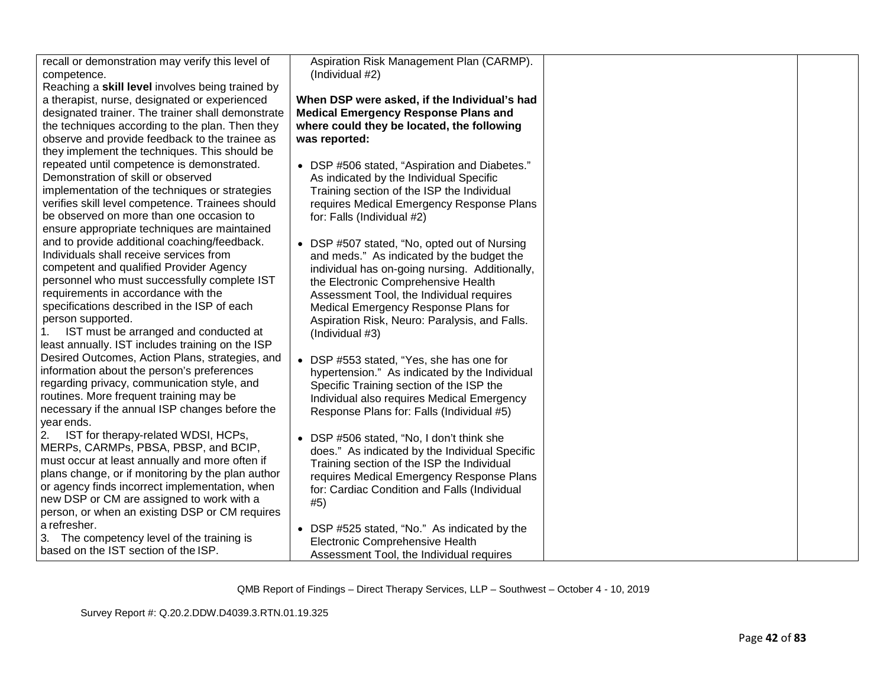| recall or demonstration may verify this level of  | Aspiration Risk Management Plan (CARMP).       |  |
|---------------------------------------------------|------------------------------------------------|--|
| competence.                                       | (Individual #2)                                |  |
| Reaching a skill level involves being trained by  |                                                |  |
| a therapist, nurse, designated or experienced     | When DSP were asked, if the Individual's had   |  |
| designated trainer. The trainer shall demonstrate | <b>Medical Emergency Response Plans and</b>    |  |
| the techniques according to the plan. Then they   | where could they be located, the following     |  |
| observe and provide feedback to the trainee as    | was reported:                                  |  |
| they implement the techniques. This should be     |                                                |  |
| repeated until competence is demonstrated.        | • DSP #506 stated, "Aspiration and Diabetes."  |  |
| Demonstration of skill or observed                | As indicated by the Individual Specific        |  |
| implementation of the techniques or strategies    | Training section of the ISP the Individual     |  |
| verifies skill level competence. Trainees should  | requires Medical Emergency Response Plans      |  |
| be observed on more than one occasion to          | for: Falls (Individual #2)                     |  |
| ensure appropriate techniques are maintained      |                                                |  |
| and to provide additional coaching/feedback.      | • DSP #507 stated, "No, opted out of Nursing   |  |
| Individuals shall receive services from           | and meds." As indicated by the budget the      |  |
| competent and qualified Provider Agency           | individual has on-going nursing. Additionally, |  |
| personnel who must successfully complete IST      | the Electronic Comprehensive Health            |  |
| requirements in accordance with the               |                                                |  |
| specifications described in the ISP of each       | Assessment Tool, the Individual requires       |  |
|                                                   | Medical Emergency Response Plans for           |  |
| person supported.                                 | Aspiration Risk, Neuro: Paralysis, and Falls.  |  |
| IST must be arranged and conducted at             | (Individual #3)                                |  |
| least annually. IST includes training on the ISP  |                                                |  |
| Desired Outcomes, Action Plans, strategies, and   | • DSP #553 stated, "Yes, she has one for       |  |
| information about the person's preferences        | hypertension." As indicated by the Individual  |  |
| regarding privacy, communication style, and       | Specific Training section of the ISP the       |  |
| routines. More frequent training may be           | Individual also requires Medical Emergency     |  |
| necessary if the annual ISP changes before the    | Response Plans for: Falls (Individual #5)      |  |
| year ends.                                        |                                                |  |
| IST for therapy-related WDSI, HCPs,<br>2.         | • DSP #506 stated, "No, I don't think she      |  |
| MERPs, CARMPs, PBSA, PBSP, and BCIP,              | does." As indicated by the Individual Specific |  |
| must occur at least annually and more often if    | Training section of the ISP the Individual     |  |
| plans change, or if monitoring by the plan author | requires Medical Emergency Response Plans      |  |
| or agency finds incorrect implementation, when    | for: Cardiac Condition and Falls (Individual   |  |
| new DSP or CM are assigned to work with a         | #5)                                            |  |
| person, or when an existing DSP or CM requires    |                                                |  |
| a refresher.                                      | • DSP #525 stated, "No." As indicated by the   |  |
| 3. The competency level of the training is        | Electronic Comprehensive Health                |  |
| based on the IST section of the ISP.              |                                                |  |
|                                                   | Assessment Tool, the Individual requires       |  |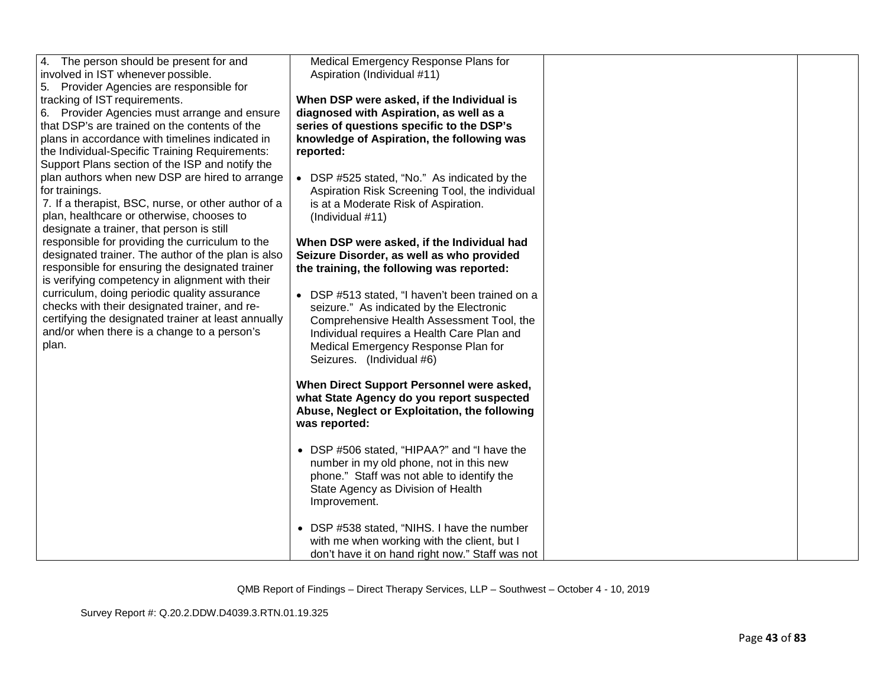| 4. The person should be present for and<br>involved in IST whenever possible.<br>5. Provider Agencies are responsible for<br>tracking of IST requirements.<br>6. Provider Agencies must arrange and ensure<br>that DSP's are trained on the contents of the<br>plans in accordance with timelines indicated in<br>the Individual-Specific Training Requirements:<br>Support Plans section of the ISP and notify the<br>plan authors when new DSP are hired to arrange<br>for trainings.<br>7. If a therapist, BSC, nurse, or other author of a<br>plan, healthcare or otherwise, chooses to<br>designate a trainer, that person is still<br>responsible for providing the curriculum to the<br>designated trainer. The author of the plan is also<br>responsible for ensuring the designated trainer<br>is verifying competency in alignment with their<br>curriculum, doing periodic quality assurance<br>checks with their designated trainer, and re-<br>certifying the designated trainer at least annually<br>and/or when there is a change to a person's<br>plan. | Medical Emergency Response Plans for<br>Aspiration (Individual #11)<br>When DSP were asked, if the Individual is<br>diagnosed with Aspiration, as well as a<br>series of questions specific to the DSP's<br>knowledge of Aspiration, the following was<br>reported:<br>• DSP #525 stated, "No." As indicated by the<br>Aspiration Risk Screening Tool, the individual<br>is at a Moderate Risk of Aspiration.<br>(Individual #11)<br>When DSP were asked, if the Individual had<br>Seizure Disorder, as well as who provided<br>the training, the following was reported:<br>• DSP #513 stated, "I haven't been trained on a<br>seizure." As indicated by the Electronic<br>Comprehensive Health Assessment Tool, the<br>Individual requires a Health Care Plan and<br>Medical Emergency Response Plan for<br>Seizures. (Individual #6)<br>When Direct Support Personnel were asked,<br>what State Agency do you report suspected<br>Abuse, Neglect or Exploitation, the following<br>was reported:<br>• DSP #506 stated, "HIPAA?" and "I have the<br>number in my old phone, not in this new |  |
|-------------------------------------------------------------------------------------------------------------------------------------------------------------------------------------------------------------------------------------------------------------------------------------------------------------------------------------------------------------------------------------------------------------------------------------------------------------------------------------------------------------------------------------------------------------------------------------------------------------------------------------------------------------------------------------------------------------------------------------------------------------------------------------------------------------------------------------------------------------------------------------------------------------------------------------------------------------------------------------------------------------------------------------------------------------------------|-----------------------------------------------------------------------------------------------------------------------------------------------------------------------------------------------------------------------------------------------------------------------------------------------------------------------------------------------------------------------------------------------------------------------------------------------------------------------------------------------------------------------------------------------------------------------------------------------------------------------------------------------------------------------------------------------------------------------------------------------------------------------------------------------------------------------------------------------------------------------------------------------------------------------------------------------------------------------------------------------------------------------------------------------------------------------------------------------|--|
|                                                                                                                                                                                                                                                                                                                                                                                                                                                                                                                                                                                                                                                                                                                                                                                                                                                                                                                                                                                                                                                                         | phone." Staff was not able to identify the<br>State Agency as Division of Health<br>Improvement.                                                                                                                                                                                                                                                                                                                                                                                                                                                                                                                                                                                                                                                                                                                                                                                                                                                                                                                                                                                              |  |
|                                                                                                                                                                                                                                                                                                                                                                                                                                                                                                                                                                                                                                                                                                                                                                                                                                                                                                                                                                                                                                                                         | • DSP #538 stated, "NIHS. I have the number<br>with me when working with the client, but I<br>don't have it on hand right now." Staff was not                                                                                                                                                                                                                                                                                                                                                                                                                                                                                                                                                                                                                                                                                                                                                                                                                                                                                                                                                 |  |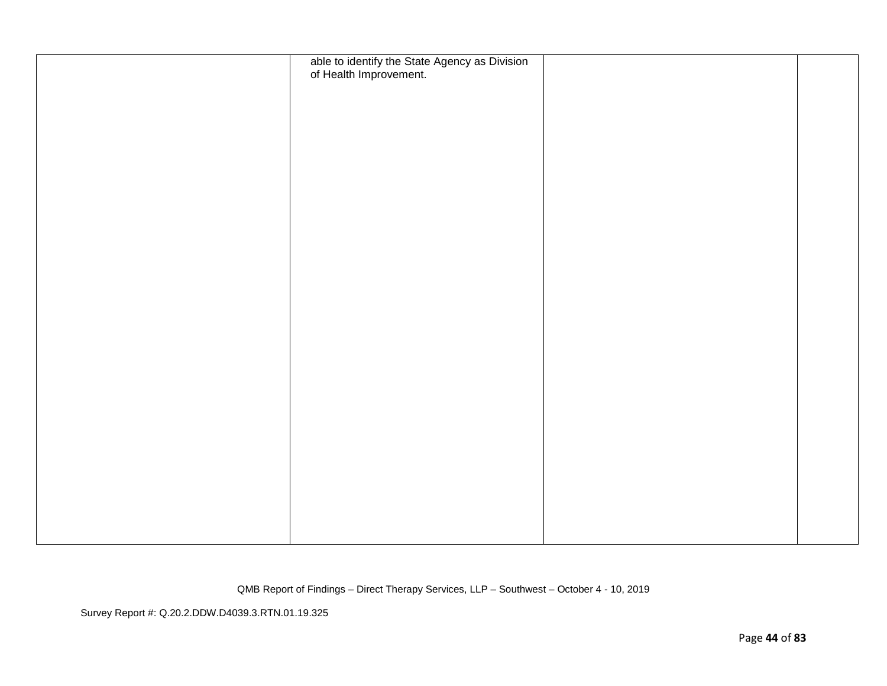| able to identify the State Agency as Division<br>of Health Improvement. |  |
|-------------------------------------------------------------------------|--|
|                                                                         |  |
|                                                                         |  |
|                                                                         |  |
|                                                                         |  |
|                                                                         |  |
|                                                                         |  |
|                                                                         |  |
|                                                                         |  |
|                                                                         |  |
|                                                                         |  |
|                                                                         |  |
|                                                                         |  |
|                                                                         |  |
|                                                                         |  |
|                                                                         |  |
|                                                                         |  |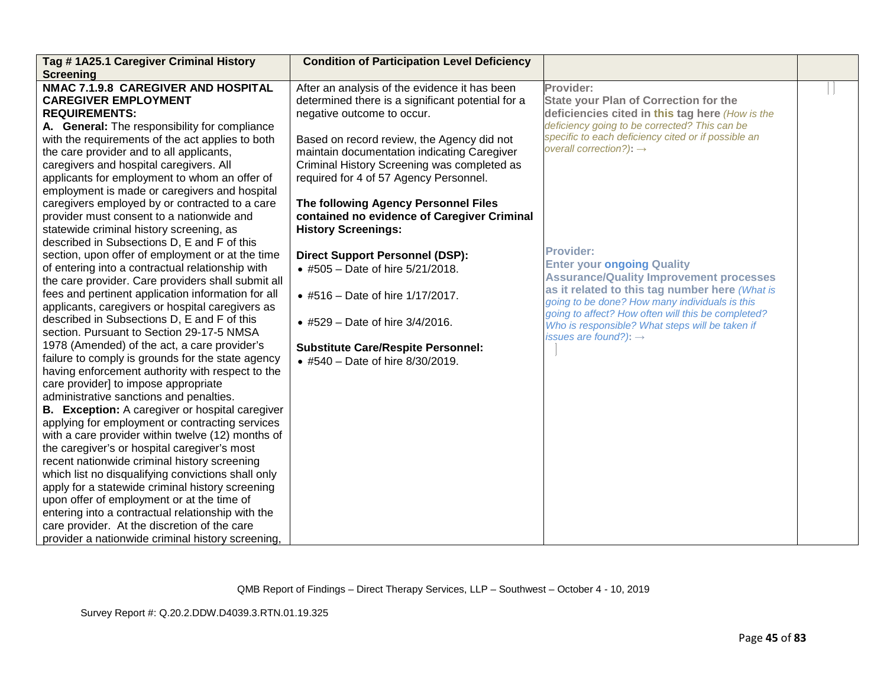| Tag #1A25.1 Caregiver Criminal History                 | <b>Condition of Participation Level Deficiency</b> |                                                                                                  |  |
|--------------------------------------------------------|----------------------------------------------------|--------------------------------------------------------------------------------------------------|--|
| <b>Screening</b>                                       |                                                    |                                                                                                  |  |
| NMAC 7.1.9.8 CAREGIVER AND HOSPITAL                    | After an analysis of the evidence it has been      | Provider:                                                                                        |  |
| <b>CAREGIVER EMPLOYMENT</b>                            | determined there is a significant potential for a  | <b>State your Plan of Correction for the</b>                                                     |  |
| <b>REQUIREMENTS:</b>                                   | negative outcome to occur.                         | deficiencies cited in this tag here (How is the                                                  |  |
| A. General: The responsibility for compliance          |                                                    | deficiency going to be corrected? This can be                                                    |  |
| with the requirements of the act applies to both       | Based on record review, the Agency did not         | specific to each deficiency cited or if possible an                                              |  |
| the care provider and to all applicants,               | maintain documentation indicating Caregiver        | overall correction?): $\rightarrow$                                                              |  |
| caregivers and hospital caregivers. All                | Criminal History Screening was completed as        |                                                                                                  |  |
| applicants for employment to whom an offer of          | required for 4 of 57 Agency Personnel.             |                                                                                                  |  |
| employment is made or caregivers and hospital          |                                                    |                                                                                                  |  |
| caregivers employed by or contracted to a care         | The following Agency Personnel Files               |                                                                                                  |  |
| provider must consent to a nationwide and              | contained no evidence of Caregiver Criminal        |                                                                                                  |  |
| statewide criminal history screening, as               | <b>History Screenings:</b>                         |                                                                                                  |  |
| described in Subsections D, E and F of this            |                                                    | <b>Provider:</b>                                                                                 |  |
| section, upon offer of employment or at the time       | <b>Direct Support Personnel (DSP):</b>             |                                                                                                  |  |
| of entering into a contractual relationship with       | • #505 - Date of hire 5/21/2018.                   | <b>Enter your ongoing Quality</b>                                                                |  |
| the care provider. Care providers shall submit all     |                                                    | <b>Assurance/Quality Improvement processes</b>                                                   |  |
| fees and pertinent application information for all     | • #516 - Date of hire 1/17/2017.                   | as it related to this tag number here (What is<br>going to be done? How many individuals is this |  |
| applicants, caregivers or hospital caregivers as       |                                                    | going to affect? How often will this be completed?                                               |  |
| described in Subsections D, E and F of this            | • #529 - Date of hire 3/4/2016.                    | Who is responsible? What steps will be taken if                                                  |  |
| section. Pursuant to Section 29-17-5 NMSA              |                                                    | issues are found?): $\rightarrow$                                                                |  |
| 1978 (Amended) of the act, a care provider's           | <b>Substitute Care/Respite Personnel:</b>          |                                                                                                  |  |
| failure to comply is grounds for the state agency      | • #540 - Date of hire 8/30/2019.                   |                                                                                                  |  |
| having enforcement authority with respect to the       |                                                    |                                                                                                  |  |
| care provider] to impose appropriate                   |                                                    |                                                                                                  |  |
| administrative sanctions and penalties.                |                                                    |                                                                                                  |  |
| <b>B.</b> Exception: A caregiver or hospital caregiver |                                                    |                                                                                                  |  |
| applying for employment or contracting services        |                                                    |                                                                                                  |  |
| with a care provider within twelve (12) months of      |                                                    |                                                                                                  |  |
| the caregiver's or hospital caregiver's most           |                                                    |                                                                                                  |  |
| recent nationwide criminal history screening           |                                                    |                                                                                                  |  |
| which list no disqualifying convictions shall only     |                                                    |                                                                                                  |  |
| apply for a statewide criminal history screening       |                                                    |                                                                                                  |  |
| upon offer of employment or at the time of             |                                                    |                                                                                                  |  |
| entering into a contractual relationship with the      |                                                    |                                                                                                  |  |
| care provider. At the discretion of the care           |                                                    |                                                                                                  |  |
| provider a nationwide criminal history screening,      |                                                    |                                                                                                  |  |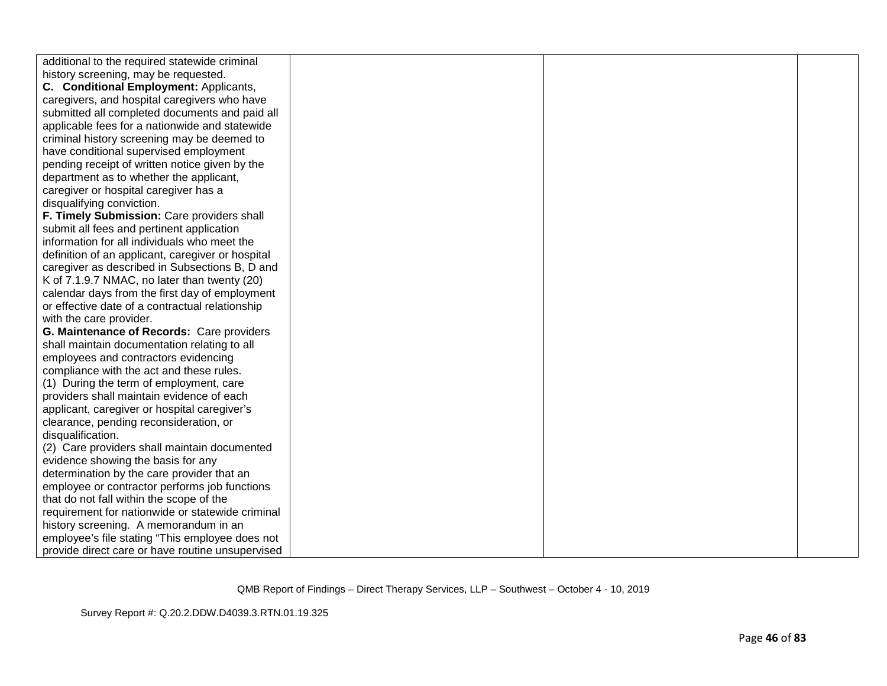| additional to the required statewide criminal<br>history screening, may be requested. |  |  |
|---------------------------------------------------------------------------------------|--|--|
| C. Conditional Employment: Applicants,                                                |  |  |
| caregivers, and hospital caregivers who have                                          |  |  |
| submitted all completed documents and paid all                                        |  |  |
| applicable fees for a nationwide and statewide                                        |  |  |
| criminal history screening may be deemed to                                           |  |  |
| have conditional supervised employment                                                |  |  |
| pending receipt of written notice given by the                                        |  |  |
| department as to whether the applicant,                                               |  |  |
| caregiver or hospital caregiver has a                                                 |  |  |
| disqualifying conviction.                                                             |  |  |
| F. Timely Submission: Care providers shall                                            |  |  |
| submit all fees and pertinent application                                             |  |  |
| information for all individuals who meet the                                          |  |  |
| definition of an applicant, caregiver or hospital                                     |  |  |
| caregiver as described in Subsections B, D and                                        |  |  |
| K of 7.1.9.7 NMAC, no later than twenty (20)                                          |  |  |
| calendar days from the first day of employment                                        |  |  |
| or effective date of a contractual relationship                                       |  |  |
| with the care provider.                                                               |  |  |
| G. Maintenance of Records: Care providers                                             |  |  |
| shall maintain documentation relating to all<br>employees and contractors evidencing  |  |  |
| compliance with the act and these rules.                                              |  |  |
| (1) During the term of employment, care                                               |  |  |
| providers shall maintain evidence of each                                             |  |  |
| applicant, caregiver or hospital caregiver's                                          |  |  |
| clearance, pending reconsideration, or                                                |  |  |
| disqualification.                                                                     |  |  |
| (2) Care providers shall maintain documented                                          |  |  |
| evidence showing the basis for any                                                    |  |  |
| determination by the care provider that an                                            |  |  |
| employee or contractor performs job functions                                         |  |  |
| that do not fall within the scope of the                                              |  |  |
| requirement for nationwide or statewide criminal                                      |  |  |
| history screening. A memorandum in an                                                 |  |  |
| employee's file stating "This employee does not                                       |  |  |
| provide direct care or have routine unsupervised                                      |  |  |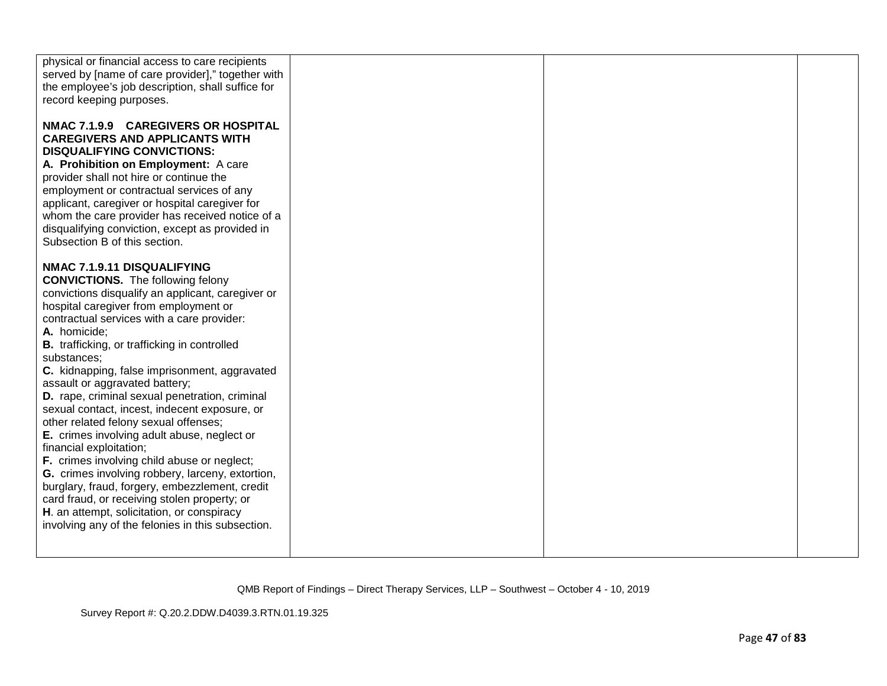| physical or financial access to care recipients<br>served by [name of care provider]," together with<br>the employee's job description, shall suffice for<br>record keeping purposes.<br>NMAC 7.1.9.9 CAREGIVERS OR HOSPITAL<br><b>CAREGIVERS AND APPLICANTS WITH</b><br><b>DISQUALIFYING CONVICTIONS:</b><br>A. Prohibition on Employment: A care<br>provider shall not hire or continue the<br>employment or contractual services of any                                                                                                                                                                                                                                                                                                                                                                                                                                                                          |  |
|---------------------------------------------------------------------------------------------------------------------------------------------------------------------------------------------------------------------------------------------------------------------------------------------------------------------------------------------------------------------------------------------------------------------------------------------------------------------------------------------------------------------------------------------------------------------------------------------------------------------------------------------------------------------------------------------------------------------------------------------------------------------------------------------------------------------------------------------------------------------------------------------------------------------|--|
|                                                                                                                                                                                                                                                                                                                                                                                                                                                                                                                                                                                                                                                                                                                                                                                                                                                                                                                     |  |
|                                                                                                                                                                                                                                                                                                                                                                                                                                                                                                                                                                                                                                                                                                                                                                                                                                                                                                                     |  |
| applicant, caregiver or hospital caregiver for<br>whom the care provider has received notice of a<br>disqualifying conviction, except as provided in<br>Subsection B of this section.                                                                                                                                                                                                                                                                                                                                                                                                                                                                                                                                                                                                                                                                                                                               |  |
| NMAC 7.1.9.11 DISQUALIFYING<br><b>CONVICTIONS.</b> The following felony<br>convictions disqualify an applicant, caregiver or<br>hospital caregiver from employment or<br>contractual services with a care provider:<br>A. homicide;<br>B. trafficking, or trafficking in controlled<br>substances;<br>C. kidnapping, false imprisonment, aggravated<br>assault or aggravated battery;<br>D. rape, criminal sexual penetration, criminal<br>sexual contact, incest, indecent exposure, or<br>other related felony sexual offenses;<br>E. crimes involving adult abuse, neglect or<br>financial exploitation;<br>F. crimes involving child abuse or neglect;<br>G. crimes involving robbery, larceny, extortion,<br>burglary, fraud, forgery, embezzlement, credit<br>card fraud, or receiving stolen property; or<br>H. an attempt, solicitation, or conspiracy<br>involving any of the felonies in this subsection. |  |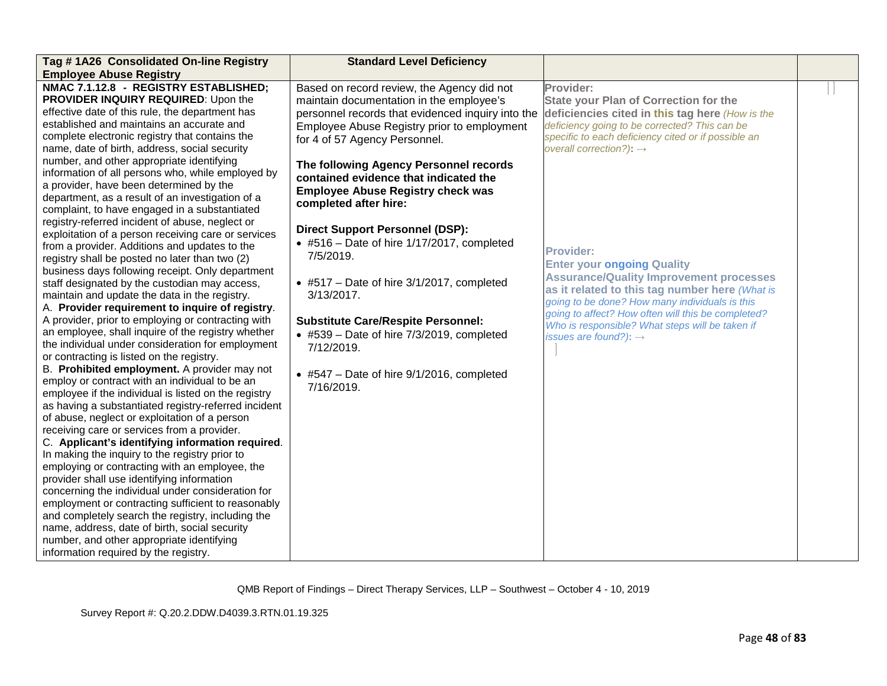| Tag #1A26 Consolidated On-line Registry                                                        | <b>Standard Level Deficiency</b>                   |                                                     |  |
|------------------------------------------------------------------------------------------------|----------------------------------------------------|-----------------------------------------------------|--|
| <b>Employee Abuse Registry</b>                                                                 |                                                    |                                                     |  |
| NMAC 7.1.12.8 - REGISTRY ESTABLISHED;                                                          | Based on record review, the Agency did not         | Provider:                                           |  |
| PROVIDER INQUIRY REQUIRED: Upon the                                                            | maintain documentation in the employee's           | <b>State your Plan of Correction for the</b>        |  |
| effective date of this rule, the department has                                                | personnel records that evidenced inquiry into the  | deficiencies cited in this tag here (How is the     |  |
| established and maintains an accurate and                                                      | Employee Abuse Registry prior to employment        | deficiency going to be corrected? This can be       |  |
| complete electronic registry that contains the                                                 | for 4 of 57 Agency Personnel.                      | specific to each deficiency cited or if possible an |  |
| name, date of birth, address, social security                                                  |                                                    | overall correction?): $\rightarrow$                 |  |
| number, and other appropriate identifying                                                      | The following Agency Personnel records             |                                                     |  |
| information of all persons who, while employed by                                              | contained evidence that indicated the              |                                                     |  |
| a provider, have been determined by the                                                        | <b>Employee Abuse Registry check was</b>           |                                                     |  |
| department, as a result of an investigation of a                                               | completed after hire:                              |                                                     |  |
| complaint, to have engaged in a substantiated                                                  |                                                    |                                                     |  |
| registry-referred incident of abuse, neglect or                                                | <b>Direct Support Personnel (DSP):</b>             |                                                     |  |
| exploitation of a person receiving care or services                                            | $\bullet$ #516 - Date of hire 1/17/2017, completed |                                                     |  |
| from a provider. Additions and updates to the                                                  | 7/5/2019.                                          | <b>Provider:</b>                                    |  |
| registry shall be posted no later than two (2)                                                 |                                                    | <b>Enter your ongoing Quality</b>                   |  |
| business days following receipt. Only department                                               |                                                    | <b>Assurance/Quality Improvement processes</b>      |  |
| staff designated by the custodian may access,                                                  | $\bullet$ #517 – Date of hire 3/1/2017, completed  | as it related to this tag number here (What is      |  |
| maintain and update the data in the registry.                                                  | $3/13/2017$ .                                      | going to be done? How many individuals is this      |  |
| A. Provider requirement to inquire of registry.                                                |                                                    | going to affect? How often will this be completed?  |  |
| A provider, prior to employing or contracting with                                             | <b>Substitute Care/Respite Personnel:</b>          | Who is responsible? What steps will be taken if     |  |
| an employee, shall inquire of the registry whether                                             | $\bullet$ #539 - Date of hire 7/3/2019, completed  | issues are found?): $\rightarrow$                   |  |
| the individual under consideration for employment                                              | 7/12/2019.                                         |                                                     |  |
| or contracting is listed on the registry.                                                      |                                                    |                                                     |  |
| B. Prohibited employment. A provider may not<br>employ or contract with an individual to be an | $\bullet$ #547 – Date of hire 9/1/2016, completed  |                                                     |  |
| employee if the individual is listed on the registry                                           | 7/16/2019.                                         |                                                     |  |
| as having a substantiated registry-referred incident                                           |                                                    |                                                     |  |
| of abuse, neglect or exploitation of a person                                                  |                                                    |                                                     |  |
| receiving care or services from a provider.                                                    |                                                    |                                                     |  |
| C. Applicant's identifying information required.                                               |                                                    |                                                     |  |
| In making the inquiry to the registry prior to                                                 |                                                    |                                                     |  |
| employing or contracting with an employee, the                                                 |                                                    |                                                     |  |
| provider shall use identifying information                                                     |                                                    |                                                     |  |
| concerning the individual under consideration for                                              |                                                    |                                                     |  |
| employment or contracting sufficient to reasonably                                             |                                                    |                                                     |  |
| and completely search the registry, including the                                              |                                                    |                                                     |  |
| name, address, date of birth, social security                                                  |                                                    |                                                     |  |
| number, and other appropriate identifying                                                      |                                                    |                                                     |  |
| information required by the registry.                                                          |                                                    |                                                     |  |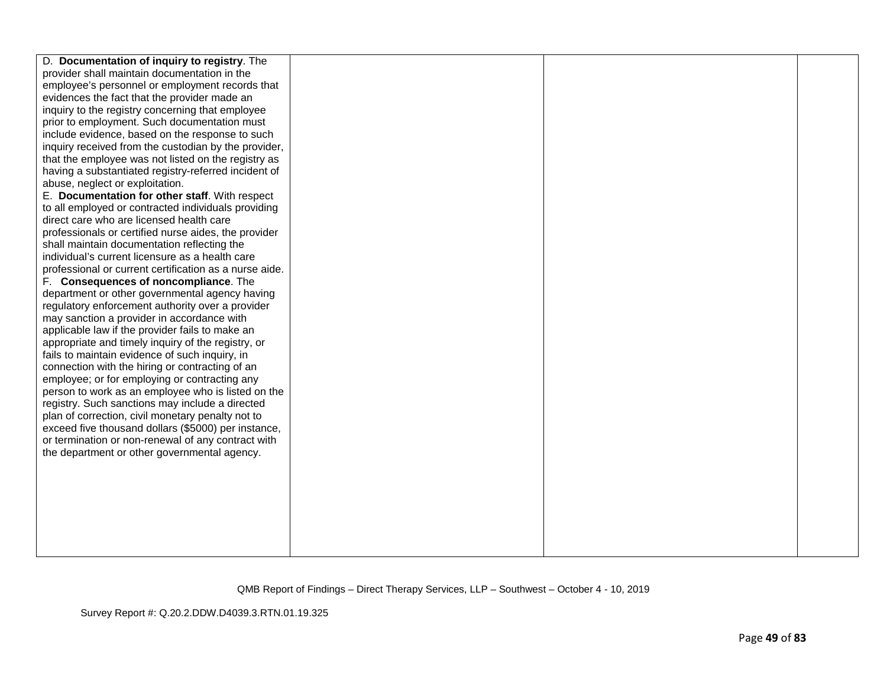| D. Documentation of inquiry to registry. The           |  |  |
|--------------------------------------------------------|--|--|
| provider shall maintain documentation in the           |  |  |
| employee's personnel or employment records that        |  |  |
| evidences the fact that the provider made an           |  |  |
| inquiry to the registry concerning that employee       |  |  |
| prior to employment. Such documentation must           |  |  |
| include evidence, based on the response to such        |  |  |
| inquiry received from the custodian by the provider,   |  |  |
| that the employee was not listed on the registry as    |  |  |
| having a substantiated registry-referred incident of   |  |  |
| abuse, neglect or exploitation.                        |  |  |
| E. Documentation for other staff. With respect         |  |  |
| to all employed or contracted individuals providing    |  |  |
| direct care who are licensed health care               |  |  |
| professionals or certified nurse aides, the provider   |  |  |
| shall maintain documentation reflecting the            |  |  |
| individual's current licensure as a health care        |  |  |
| professional or current certification as a nurse aide. |  |  |
| F. Consequences of noncompliance. The                  |  |  |
| department or other governmental agency having         |  |  |
| regulatory enforcement authority over a provider       |  |  |
| may sanction a provider in accordance with             |  |  |
| applicable law if the provider fails to make an        |  |  |
| appropriate and timely inquiry of the registry, or     |  |  |
| fails to maintain evidence of such inquiry, in         |  |  |
| connection with the hiring or contracting of an        |  |  |
| employee; or for employing or contracting any          |  |  |
| person to work as an employee who is listed on the     |  |  |
| registry. Such sanctions may include a directed        |  |  |
| plan of correction, civil monetary penalty not to      |  |  |
| exceed five thousand dollars (\$5000) per instance,    |  |  |
| or termination or non-renewal of any contract with     |  |  |
| the department or other governmental agency.           |  |  |
|                                                        |  |  |
|                                                        |  |  |
|                                                        |  |  |
|                                                        |  |  |
|                                                        |  |  |
|                                                        |  |  |
|                                                        |  |  |
|                                                        |  |  |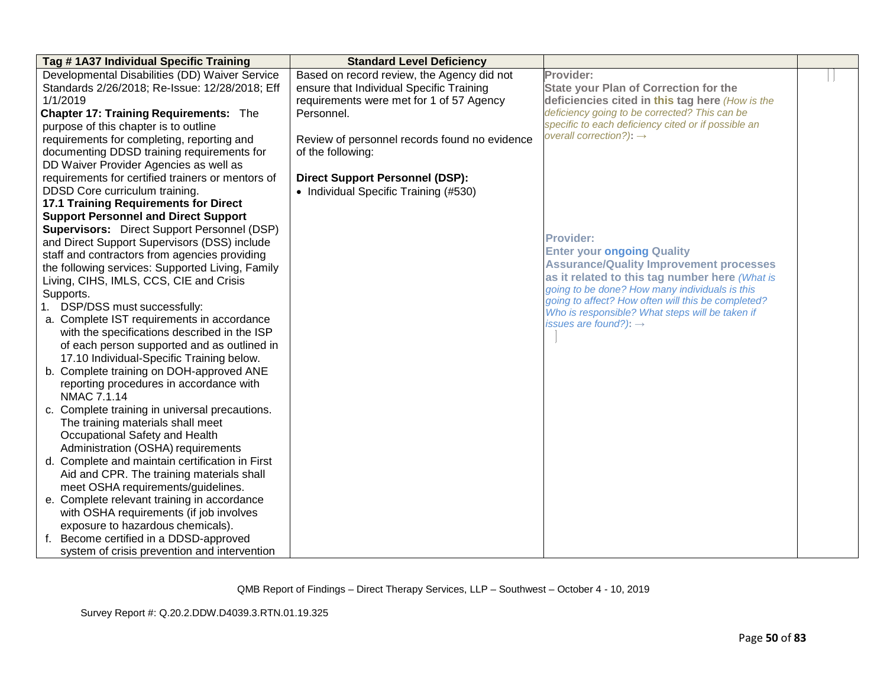| Tag #1A37 Individual Specific Training             | <b>Standard Level Deficiency</b>              |                                                                                                       |  |
|----------------------------------------------------|-----------------------------------------------|-------------------------------------------------------------------------------------------------------|--|
| Developmental Disabilities (DD) Waiver Service     | Based on record review, the Agency did not    | Provider:                                                                                             |  |
| Standards 2/26/2018; Re-Issue: 12/28/2018; Eff     | ensure that Individual Specific Training      | <b>State your Plan of Correction for the</b>                                                          |  |
| 1/1/2019                                           | requirements were met for 1 of 57 Agency      | deficiencies cited in this tag here (How is the                                                       |  |
| <b>Chapter 17: Training Requirements: The</b>      | Personnel.                                    | deficiency going to be corrected? This can be                                                         |  |
| purpose of this chapter is to outline              |                                               | specific to each deficiency cited or if possible an                                                   |  |
| requirements for completing, reporting and         | Review of personnel records found no evidence | overall correction?): $\rightarrow$                                                                   |  |
| documenting DDSD training requirements for         | of the following:                             |                                                                                                       |  |
| DD Waiver Provider Agencies as well as             |                                               |                                                                                                       |  |
| requirements for certified trainers or mentors of  | <b>Direct Support Personnel (DSP):</b>        |                                                                                                       |  |
| DDSD Core curriculum training.                     | • Individual Specific Training (#530)         |                                                                                                       |  |
| <b>17.1 Training Requirements for Direct</b>       |                                               |                                                                                                       |  |
| <b>Support Personnel and Direct Support</b>        |                                               |                                                                                                       |  |
| <b>Supervisors:</b> Direct Support Personnel (DSP) |                                               |                                                                                                       |  |
| and Direct Support Supervisors (DSS) include       |                                               | <b>Provider:</b>                                                                                      |  |
| staff and contractors from agencies providing      |                                               | <b>Enter your ongoing Quality</b>                                                                     |  |
| the following services: Supported Living, Family   |                                               | <b>Assurance/Quality Improvement processes</b>                                                        |  |
| Living, CIHS, IMLS, CCS, CIE and Crisis            |                                               | as it related to this tag number here (What is                                                        |  |
| Supports.                                          |                                               | going to be done? How many individuals is this                                                        |  |
| 1. DSP/DSS must successfully:                      |                                               | going to affect? How often will this be completed?<br>Who is responsible? What steps will be taken if |  |
| a. Complete IST requirements in accordance         |                                               | issues are found?): $\rightarrow$                                                                     |  |
| with the specifications described in the ISP       |                                               |                                                                                                       |  |
| of each person supported and as outlined in        |                                               |                                                                                                       |  |
| 17.10 Individual-Specific Training below.          |                                               |                                                                                                       |  |
| b. Complete training on DOH-approved ANE           |                                               |                                                                                                       |  |
| reporting procedures in accordance with            |                                               |                                                                                                       |  |
| NMAC 7.1.14                                        |                                               |                                                                                                       |  |
| c. Complete training in universal precautions.     |                                               |                                                                                                       |  |
| The training materials shall meet                  |                                               |                                                                                                       |  |
| Occupational Safety and Health                     |                                               |                                                                                                       |  |
| Administration (OSHA) requirements                 |                                               |                                                                                                       |  |
| d. Complete and maintain certification in First    |                                               |                                                                                                       |  |
| Aid and CPR. The training materials shall          |                                               |                                                                                                       |  |
| meet OSHA requirements/guidelines.                 |                                               |                                                                                                       |  |
| e. Complete relevant training in accordance        |                                               |                                                                                                       |  |
| with OSHA requirements (if job involves            |                                               |                                                                                                       |  |
| exposure to hazardous chemicals).                  |                                               |                                                                                                       |  |
| f. Become certified in a DDSD-approved             |                                               |                                                                                                       |  |
| system of crisis prevention and intervention       |                                               |                                                                                                       |  |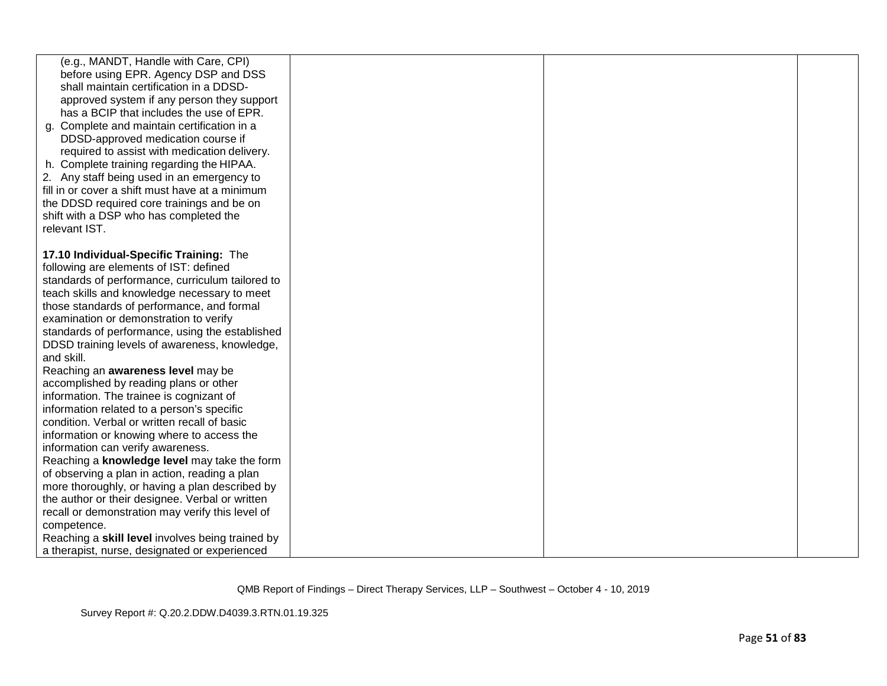| (e.g., MANDT, Handle with Care, CPI)                                                   |  |  |
|----------------------------------------------------------------------------------------|--|--|
| before using EPR. Agency DSP and DSS                                                   |  |  |
| shall maintain certification in a DDSD-                                                |  |  |
| approved system if any person they support<br>has a BCIP that includes the use of EPR. |  |  |
| g. Complete and maintain certification in a                                            |  |  |
| DDSD-approved medication course if                                                     |  |  |
| required to assist with medication delivery.                                           |  |  |
| h. Complete training regarding the HIPAA.                                              |  |  |
| 2. Any staff being used in an emergency to                                             |  |  |
| fill in or cover a shift must have at a minimum                                        |  |  |
| the DDSD required core trainings and be on                                             |  |  |
| shift with a DSP who has completed the                                                 |  |  |
| relevant IST.                                                                          |  |  |
|                                                                                        |  |  |
| 17.10 Individual-Specific Training: The                                                |  |  |
| following are elements of IST: defined                                                 |  |  |
| standards of performance, curriculum tailored to                                       |  |  |
| teach skills and knowledge necessary to meet                                           |  |  |
| those standards of performance, and formal                                             |  |  |
| examination or demonstration to verify                                                 |  |  |
| standards of performance, using the established                                        |  |  |
| DDSD training levels of awareness, knowledge,                                          |  |  |
| and skill.                                                                             |  |  |
| Reaching an awareness level may be                                                     |  |  |
| accomplished by reading plans or other                                                 |  |  |
| information. The trainee is cognizant of<br>information related to a person's specific |  |  |
| condition. Verbal or written recall of basic                                           |  |  |
| information or knowing where to access the                                             |  |  |
| information can verify awareness.                                                      |  |  |
| Reaching a knowledge level may take the form                                           |  |  |
| of observing a plan in action, reading a plan                                          |  |  |
| more thoroughly, or having a plan described by                                         |  |  |
| the author or their designee. Verbal or written                                        |  |  |
| recall or demonstration may verify this level of                                       |  |  |
| competence.                                                                            |  |  |
| Reaching a skill level involves being trained by                                       |  |  |
| a therapist, nurse, designated or experienced                                          |  |  |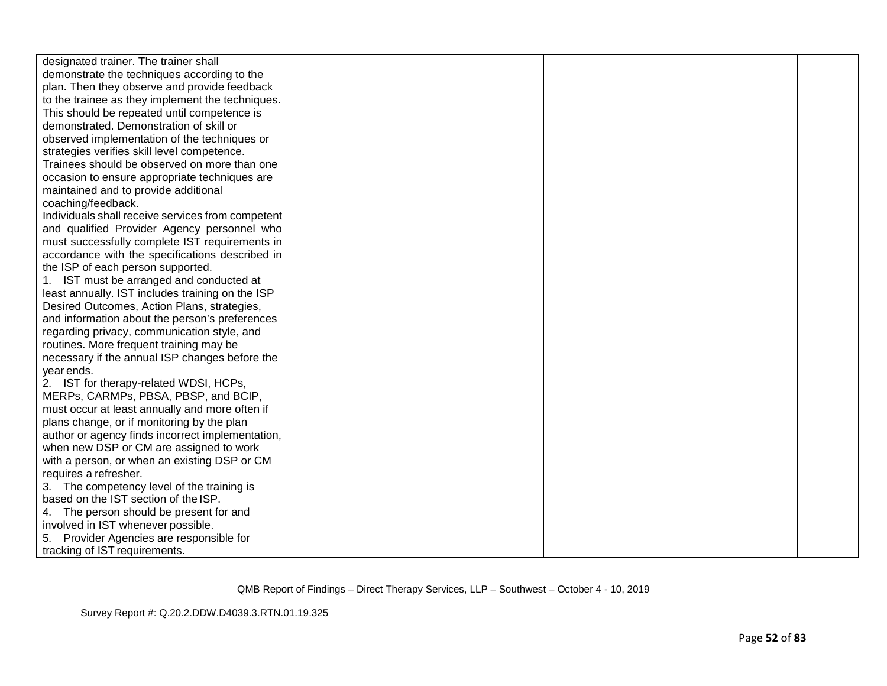| designated trainer. The trainer shall             |  |  |
|---------------------------------------------------|--|--|
| demonstrate the techniques according to the       |  |  |
| plan. Then they observe and provide feedback      |  |  |
| to the trainee as they implement the techniques.  |  |  |
| This should be repeated until competence is       |  |  |
| demonstrated. Demonstration of skill or           |  |  |
| observed implementation of the techniques or      |  |  |
| strategies verifies skill level competence.       |  |  |
| Trainees should be observed on more than one      |  |  |
| occasion to ensure appropriate techniques are     |  |  |
| maintained and to provide additional              |  |  |
| coaching/feedback.                                |  |  |
| Individuals shall receive services from competent |  |  |
| and qualified Provider Agency personnel who       |  |  |
| must successfully complete IST requirements in    |  |  |
| accordance with the specifications described in   |  |  |
| the ISP of each person supported.                 |  |  |
| 1. IST must be arranged and conducted at          |  |  |
| least annually. IST includes training on the ISP  |  |  |
| Desired Outcomes, Action Plans, strategies,       |  |  |
| and information about the person's preferences    |  |  |
| regarding privacy, communication style, and       |  |  |
| routines. More frequent training may be           |  |  |
| necessary if the annual ISP changes before the    |  |  |
| year ends.                                        |  |  |
| 2. IST for therapy-related WDSI, HCPs,            |  |  |
| MERPs, CARMPs, PBSA, PBSP, and BCIP,              |  |  |
| must occur at least annually and more often if    |  |  |
| plans change, or if monitoring by the plan        |  |  |
| author or agency finds incorrect implementation,  |  |  |
| when new DSP or CM are assigned to work           |  |  |
| with a person, or when an existing DSP or CM      |  |  |
| requires a refresher.                             |  |  |
| 3. The competency level of the training is        |  |  |
| based on the IST section of the ISP.              |  |  |
| 4. The person should be present for and           |  |  |
| involved in IST whenever possible.                |  |  |
| Provider Agencies are responsible for<br>5.       |  |  |
| tracking of IST requirements.                     |  |  |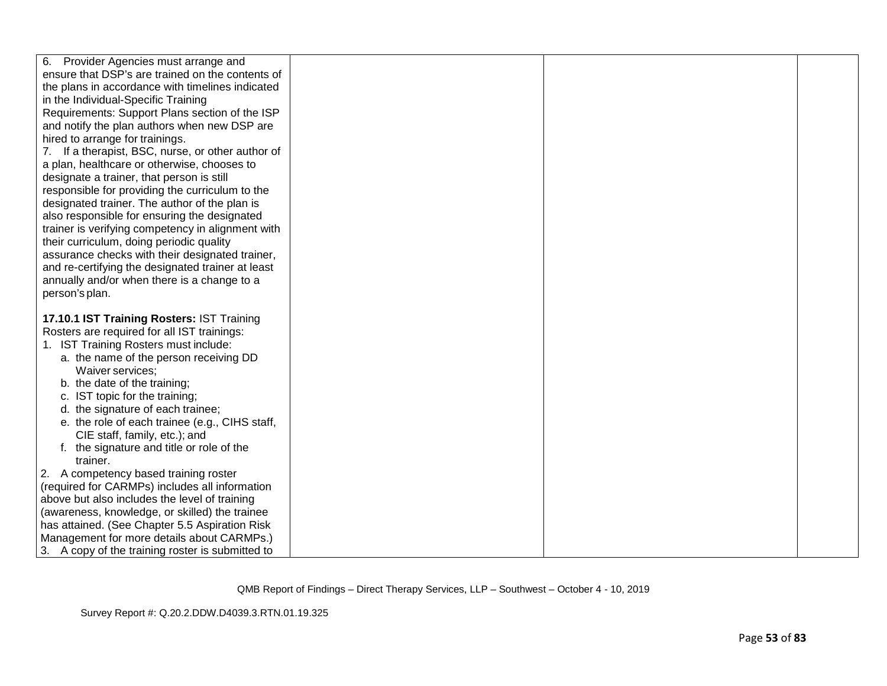| 6. Provider Agencies must arrange and<br>ensure that DSP's are trained on the contents of<br>the plans in accordance with timelines indicated<br>in the Individual-Specific Training<br>Requirements: Support Plans section of the ISP<br>and notify the plan authors when new DSP are<br>hired to arrange for trainings.<br>7. If a therapist, BSC, nurse, or other author of<br>a plan, healthcare or otherwise, chooses to<br>designate a trainer, that person is still<br>responsible for providing the curriculum to the<br>designated trainer. The author of the plan is<br>also responsible for ensuring the designated<br>trainer is verifying competency in alignment with<br>their curriculum, doing periodic quality<br>assurance checks with their designated trainer,<br>and re-certifying the designated trainer at least<br>annually and/or when there is a change to a<br>person's plan.<br>17.10.1 IST Training Rosters: IST Training |
|--------------------------------------------------------------------------------------------------------------------------------------------------------------------------------------------------------------------------------------------------------------------------------------------------------------------------------------------------------------------------------------------------------------------------------------------------------------------------------------------------------------------------------------------------------------------------------------------------------------------------------------------------------------------------------------------------------------------------------------------------------------------------------------------------------------------------------------------------------------------------------------------------------------------------------------------------------|
|                                                                                                                                                                                                                                                                                                                                                                                                                                                                                                                                                                                                                                                                                                                                                                                                                                                                                                                                                        |
|                                                                                                                                                                                                                                                                                                                                                                                                                                                                                                                                                                                                                                                                                                                                                                                                                                                                                                                                                        |
|                                                                                                                                                                                                                                                                                                                                                                                                                                                                                                                                                                                                                                                                                                                                                                                                                                                                                                                                                        |
|                                                                                                                                                                                                                                                                                                                                                                                                                                                                                                                                                                                                                                                                                                                                                                                                                                                                                                                                                        |
|                                                                                                                                                                                                                                                                                                                                                                                                                                                                                                                                                                                                                                                                                                                                                                                                                                                                                                                                                        |
|                                                                                                                                                                                                                                                                                                                                                                                                                                                                                                                                                                                                                                                                                                                                                                                                                                                                                                                                                        |
|                                                                                                                                                                                                                                                                                                                                                                                                                                                                                                                                                                                                                                                                                                                                                                                                                                                                                                                                                        |
|                                                                                                                                                                                                                                                                                                                                                                                                                                                                                                                                                                                                                                                                                                                                                                                                                                                                                                                                                        |
|                                                                                                                                                                                                                                                                                                                                                                                                                                                                                                                                                                                                                                                                                                                                                                                                                                                                                                                                                        |
|                                                                                                                                                                                                                                                                                                                                                                                                                                                                                                                                                                                                                                                                                                                                                                                                                                                                                                                                                        |
|                                                                                                                                                                                                                                                                                                                                                                                                                                                                                                                                                                                                                                                                                                                                                                                                                                                                                                                                                        |
|                                                                                                                                                                                                                                                                                                                                                                                                                                                                                                                                                                                                                                                                                                                                                                                                                                                                                                                                                        |
|                                                                                                                                                                                                                                                                                                                                                                                                                                                                                                                                                                                                                                                                                                                                                                                                                                                                                                                                                        |
|                                                                                                                                                                                                                                                                                                                                                                                                                                                                                                                                                                                                                                                                                                                                                                                                                                                                                                                                                        |
|                                                                                                                                                                                                                                                                                                                                                                                                                                                                                                                                                                                                                                                                                                                                                                                                                                                                                                                                                        |
|                                                                                                                                                                                                                                                                                                                                                                                                                                                                                                                                                                                                                                                                                                                                                                                                                                                                                                                                                        |
|                                                                                                                                                                                                                                                                                                                                                                                                                                                                                                                                                                                                                                                                                                                                                                                                                                                                                                                                                        |
|                                                                                                                                                                                                                                                                                                                                                                                                                                                                                                                                                                                                                                                                                                                                                                                                                                                                                                                                                        |
|                                                                                                                                                                                                                                                                                                                                                                                                                                                                                                                                                                                                                                                                                                                                                                                                                                                                                                                                                        |
|                                                                                                                                                                                                                                                                                                                                                                                                                                                                                                                                                                                                                                                                                                                                                                                                                                                                                                                                                        |
|                                                                                                                                                                                                                                                                                                                                                                                                                                                                                                                                                                                                                                                                                                                                                                                                                                                                                                                                                        |
| Rosters are required for all IST trainings:                                                                                                                                                                                                                                                                                                                                                                                                                                                                                                                                                                                                                                                                                                                                                                                                                                                                                                            |
| 1. IST Training Rosters must include:                                                                                                                                                                                                                                                                                                                                                                                                                                                                                                                                                                                                                                                                                                                                                                                                                                                                                                                  |
| a. the name of the person receiving DD                                                                                                                                                                                                                                                                                                                                                                                                                                                                                                                                                                                                                                                                                                                                                                                                                                                                                                                 |
| Waiver services;                                                                                                                                                                                                                                                                                                                                                                                                                                                                                                                                                                                                                                                                                                                                                                                                                                                                                                                                       |
| b. the date of the training;                                                                                                                                                                                                                                                                                                                                                                                                                                                                                                                                                                                                                                                                                                                                                                                                                                                                                                                           |
| c. IST topic for the training;                                                                                                                                                                                                                                                                                                                                                                                                                                                                                                                                                                                                                                                                                                                                                                                                                                                                                                                         |
| d. the signature of each trainee;                                                                                                                                                                                                                                                                                                                                                                                                                                                                                                                                                                                                                                                                                                                                                                                                                                                                                                                      |
| e. the role of each trainee (e.g., CIHS staff,                                                                                                                                                                                                                                                                                                                                                                                                                                                                                                                                                                                                                                                                                                                                                                                                                                                                                                         |
| CIE staff, family, etc.); and                                                                                                                                                                                                                                                                                                                                                                                                                                                                                                                                                                                                                                                                                                                                                                                                                                                                                                                          |
| f. the signature and title or role of the                                                                                                                                                                                                                                                                                                                                                                                                                                                                                                                                                                                                                                                                                                                                                                                                                                                                                                              |
| trainer.                                                                                                                                                                                                                                                                                                                                                                                                                                                                                                                                                                                                                                                                                                                                                                                                                                                                                                                                               |
| 2. A competency based training roster                                                                                                                                                                                                                                                                                                                                                                                                                                                                                                                                                                                                                                                                                                                                                                                                                                                                                                                  |
| (required for CARMPs) includes all information                                                                                                                                                                                                                                                                                                                                                                                                                                                                                                                                                                                                                                                                                                                                                                                                                                                                                                         |
| above but also includes the level of training                                                                                                                                                                                                                                                                                                                                                                                                                                                                                                                                                                                                                                                                                                                                                                                                                                                                                                          |
| (awareness, knowledge, or skilled) the trainee                                                                                                                                                                                                                                                                                                                                                                                                                                                                                                                                                                                                                                                                                                                                                                                                                                                                                                         |
| has attained. (See Chapter 5.5 Aspiration Risk                                                                                                                                                                                                                                                                                                                                                                                                                                                                                                                                                                                                                                                                                                                                                                                                                                                                                                         |
| Management for more details about CARMPs.)                                                                                                                                                                                                                                                                                                                                                                                                                                                                                                                                                                                                                                                                                                                                                                                                                                                                                                             |
| 3. A copy of the training roster is submitted to                                                                                                                                                                                                                                                                                                                                                                                                                                                                                                                                                                                                                                                                                                                                                                                                                                                                                                       |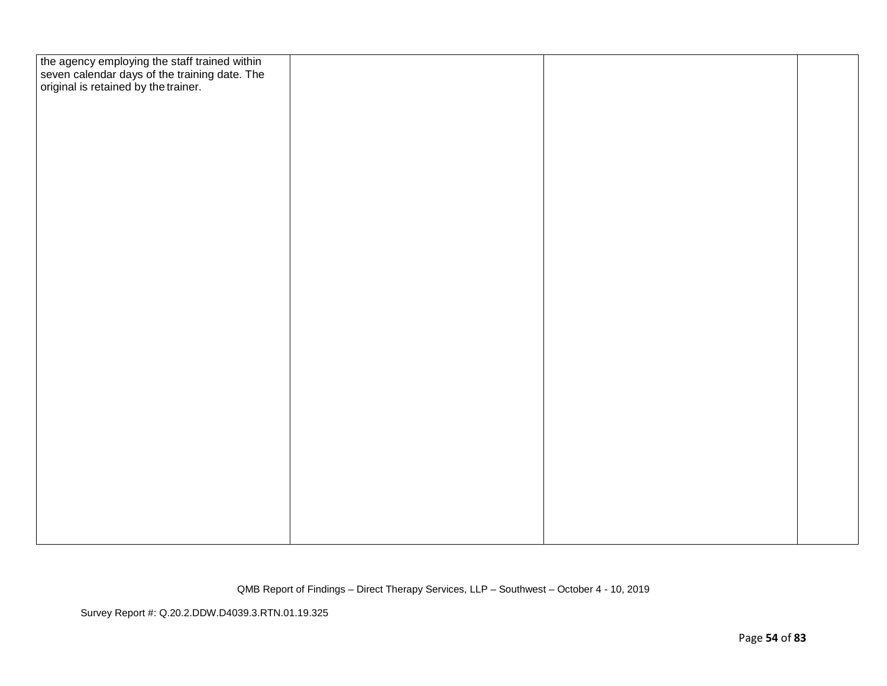| the agency employing the staff trained within<br>seven calendar days of the training date. The<br>original is retained by the trainer. |  |  |
|----------------------------------------------------------------------------------------------------------------------------------------|--|--|
|                                                                                                                                        |  |  |
|                                                                                                                                        |  |  |
|                                                                                                                                        |  |  |
|                                                                                                                                        |  |  |
|                                                                                                                                        |  |  |
|                                                                                                                                        |  |  |
|                                                                                                                                        |  |  |
|                                                                                                                                        |  |  |
|                                                                                                                                        |  |  |
|                                                                                                                                        |  |  |
|                                                                                                                                        |  |  |
|                                                                                                                                        |  |  |
|                                                                                                                                        |  |  |
|                                                                                                                                        |  |  |
|                                                                                                                                        |  |  |
|                                                                                                                                        |  |  |
|                                                                                                                                        |  |  |
|                                                                                                                                        |  |  |
|                                                                                                                                        |  |  |
|                                                                                                                                        |  |  |
|                                                                                                                                        |  |  |
|                                                                                                                                        |  |  |
|                                                                                                                                        |  |  |
|                                                                                                                                        |  |  |
|                                                                                                                                        |  |  |
|                                                                                                                                        |  |  |
|                                                                                                                                        |  |  |
|                                                                                                                                        |  |  |
|                                                                                                                                        |  |  |
|                                                                                                                                        |  |  |
|                                                                                                                                        |  |  |
|                                                                                                                                        |  |  |
|                                                                                                                                        |  |  |
|                                                                                                                                        |  |  |
|                                                                                                                                        |  |  |
|                                                                                                                                        |  |  |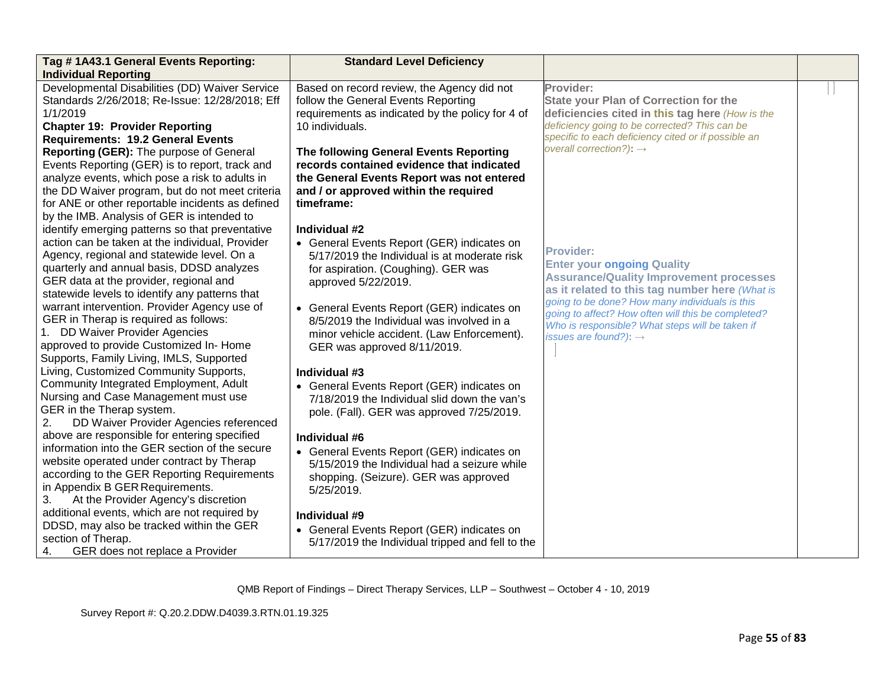| Tag #1A43.1 General Events Reporting:                                             | <b>Standard Level Deficiency</b>                                    |                                                                                                  |  |
|-----------------------------------------------------------------------------------|---------------------------------------------------------------------|--------------------------------------------------------------------------------------------------|--|
| <b>Individual Reporting</b>                                                       |                                                                     |                                                                                                  |  |
| Developmental Disabilities (DD) Waiver Service                                    | Based on record review, the Agency did not                          | Provider:                                                                                        |  |
| Standards 2/26/2018; Re-Issue: 12/28/2018; Eff<br>1/1/2019                        | follow the General Events Reporting                                 | <b>State your Plan of Correction for the</b>                                                     |  |
|                                                                                   | requirements as indicated by the policy for 4 of<br>10 individuals. | deficiencies cited in this tag here (How is the<br>deficiency going to be corrected? This can be |  |
| <b>Chapter 19: Provider Reporting</b><br><b>Requirements: 19.2 General Events</b> |                                                                     | specific to each deficiency cited or if possible an                                              |  |
| Reporting (GER): The purpose of General                                           | The following General Events Reporting                              | overall correction?): $\rightarrow$                                                              |  |
| Events Reporting (GER) is to report, track and                                    | records contained evidence that indicated                           |                                                                                                  |  |
| analyze events, which pose a risk to adults in                                    | the General Events Report was not entered                           |                                                                                                  |  |
| the DD Waiver program, but do not meet criteria                                   | and / or approved within the required                               |                                                                                                  |  |
| for ANE or other reportable incidents as defined                                  | timeframe:                                                          |                                                                                                  |  |
| by the IMB. Analysis of GER is intended to                                        |                                                                     |                                                                                                  |  |
| identify emerging patterns so that preventative                                   | Individual #2                                                       |                                                                                                  |  |
| action can be taken at the individual, Provider                                   | • General Events Report (GER) indicates on                          |                                                                                                  |  |
| Agency, regional and statewide level. On a                                        | 5/17/2019 the Individual is at moderate risk                        | <b>Provider:</b>                                                                                 |  |
| quarterly and annual basis, DDSD analyzes                                         | for aspiration. (Coughing). GER was                                 | <b>Enter your ongoing Quality</b>                                                                |  |
| GER data at the provider, regional and                                            | approved 5/22/2019.                                                 | <b>Assurance/Quality Improvement processes</b>                                                   |  |
| statewide levels to identify any patterns that                                    |                                                                     | as it related to this tag number here (What is                                                   |  |
| warrant intervention. Provider Agency use of                                      | • General Events Report (GER) indicates on                          | going to be done? How many individuals is this                                                   |  |
| GER in Therap is required as follows:                                             | 8/5/2019 the Individual was involved in a                           | going to affect? How often will this be completed?                                               |  |
| 1. DD Waiver Provider Agencies                                                    | minor vehicle accident. (Law Enforcement).                          | Who is responsible? What steps will be taken if<br>issues are found?): $\rightarrow$             |  |
| approved to provide Customized In- Home                                           | GER was approved 8/11/2019.                                         |                                                                                                  |  |
| Supports, Family Living, IMLS, Supported                                          |                                                                     |                                                                                                  |  |
| Living, Customized Community Supports,                                            | Individual #3                                                       |                                                                                                  |  |
| Community Integrated Employment, Adult                                            | • General Events Report (GER) indicates on                          |                                                                                                  |  |
| Nursing and Case Management must use                                              | 7/18/2019 the Individual slid down the van's                        |                                                                                                  |  |
| GER in the Therap system.                                                         | pole. (Fall). GER was approved 7/25/2019.                           |                                                                                                  |  |
| DD Waiver Provider Agencies referenced<br>2.                                      |                                                                     |                                                                                                  |  |
| above are responsible for entering specified                                      | Individual #6                                                       |                                                                                                  |  |
| information into the GER section of the secure                                    | • General Events Report (GER) indicates on                          |                                                                                                  |  |
| website operated under contract by Therap                                         | 5/15/2019 the Individual had a seizure while                        |                                                                                                  |  |
| according to the GER Reporting Requirements                                       | shopping. (Seizure). GER was approved                               |                                                                                                  |  |
| in Appendix B GER Requirements.                                                   | 5/25/2019.                                                          |                                                                                                  |  |
| At the Provider Agency's discretion<br>3.                                         |                                                                     |                                                                                                  |  |
| additional events, which are not required by                                      | Individual #9                                                       |                                                                                                  |  |
| DDSD, may also be tracked within the GER                                          | • General Events Report (GER) indicates on                          |                                                                                                  |  |
| section of Therap.                                                                | 5/17/2019 the Individual tripped and fell to the                    |                                                                                                  |  |
| GER does not replace a Provider<br>4.                                             |                                                                     |                                                                                                  |  |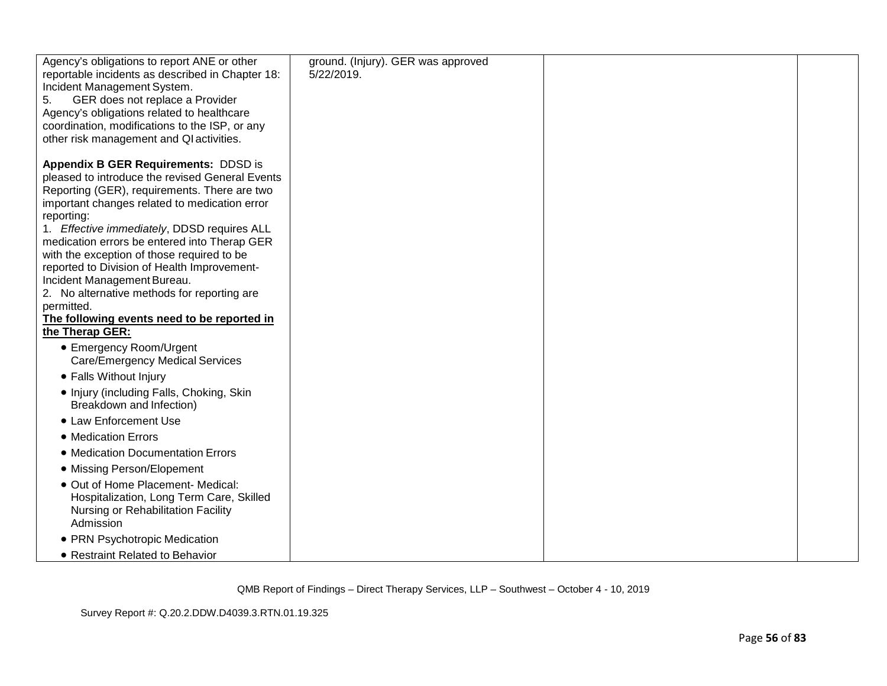| Agency's obligations to report ANE or other                                                | ground. (Injury). GER was approved |  |
|--------------------------------------------------------------------------------------------|------------------------------------|--|
| reportable incidents as described in Chapter 18:                                           | 5/22/2019.                         |  |
| Incident Management System.                                                                |                                    |  |
| GER does not replace a Provider<br>5.                                                      |                                    |  |
| Agency's obligations related to healthcare                                                 |                                    |  |
| coordination, modifications to the ISP, or any<br>other risk management and QI activities. |                                    |  |
|                                                                                            |                                    |  |
| Appendix B GER Requirements: DDSD is                                                       |                                    |  |
| pleased to introduce the revised General Events                                            |                                    |  |
| Reporting (GER), requirements. There are two                                               |                                    |  |
| important changes related to medication error                                              |                                    |  |
| reporting:                                                                                 |                                    |  |
| 1. Effective immediately, DDSD requires ALL                                                |                                    |  |
| medication errors be entered into Therap GER                                               |                                    |  |
| with the exception of those required to be                                                 |                                    |  |
| reported to Division of Health Improvement-                                                |                                    |  |
| Incident Management Bureau.                                                                |                                    |  |
| 2. No alternative methods for reporting are<br>permitted.                                  |                                    |  |
| The following events need to be reported in                                                |                                    |  |
| the Therap GER:                                                                            |                                    |  |
| • Emergency Room/Urgent                                                                    |                                    |  |
| Care/Emergency Medical Services                                                            |                                    |  |
| • Falls Without Injury                                                                     |                                    |  |
| • Injury (including Falls, Choking, Skin                                                   |                                    |  |
| Breakdown and Infection)                                                                   |                                    |  |
| • Law Enforcement Use                                                                      |                                    |  |
| • Medication Errors                                                                        |                                    |  |
| • Medication Documentation Errors                                                          |                                    |  |
| • Missing Person/Elopement                                                                 |                                    |  |
| · Out of Home Placement- Medical:                                                          |                                    |  |
| Hospitalization, Long Term Care, Skilled                                                   |                                    |  |
| Nursing or Rehabilitation Facility                                                         |                                    |  |
| Admission                                                                                  |                                    |  |
| • PRN Psychotropic Medication                                                              |                                    |  |
| • Restraint Related to Behavior                                                            |                                    |  |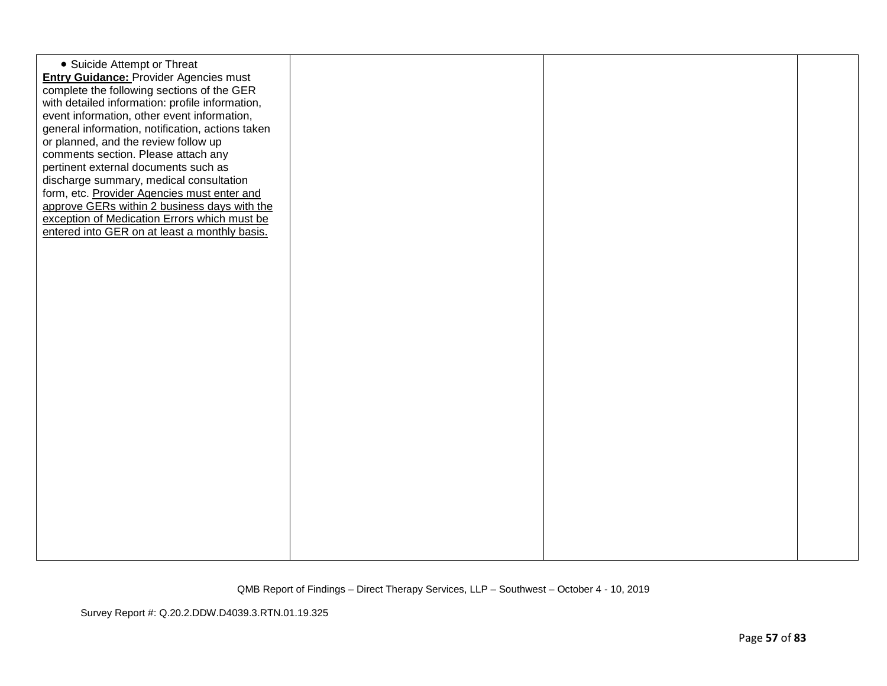| • Suicide Attempt or Threat<br><b>Entry Guidance: Provider Agencies must</b><br>complete the following sections of the GER<br>with detailed information: profile information,<br>event information, other event information,<br>general information, notification, actions taken<br>or planned, and the review follow up<br>comments section. Please attach any<br>pertinent external documents such as<br>discharge summary, medical consultation<br>form, etc. Provider Agencies must enter and<br>approve GERs within 2 business days with the<br>exception of Medication Errors which must be<br>entered into GER on at least a monthly basis. |  |  |
|----------------------------------------------------------------------------------------------------------------------------------------------------------------------------------------------------------------------------------------------------------------------------------------------------------------------------------------------------------------------------------------------------------------------------------------------------------------------------------------------------------------------------------------------------------------------------------------------------------------------------------------------------|--|--|
|                                                                                                                                                                                                                                                                                                                                                                                                                                                                                                                                                                                                                                                    |  |  |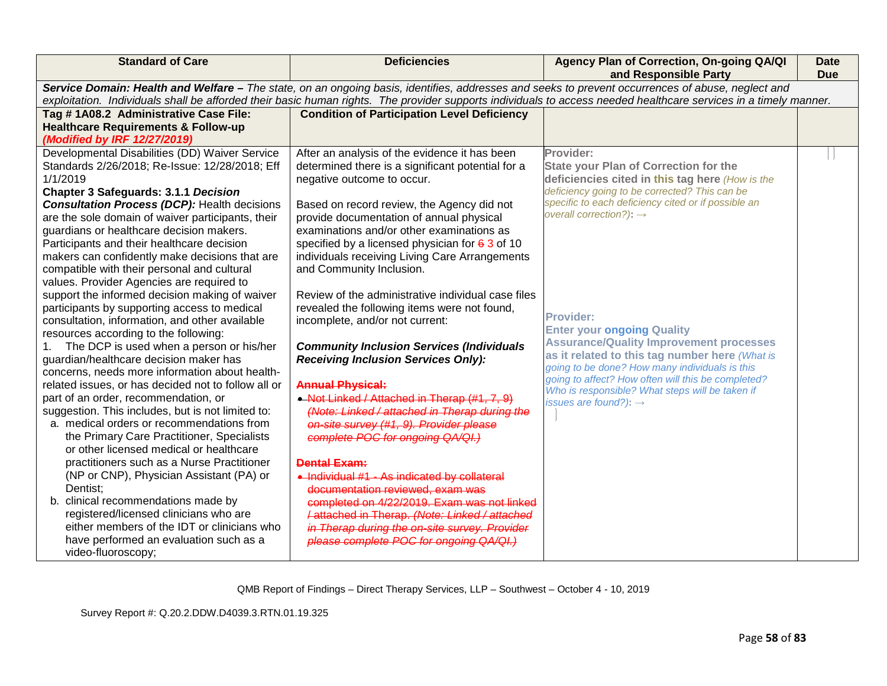| <b>Standard of Care</b>                                                                                                                                                                                                                                                                                               | <b>Deficiencies</b>                                | Agency Plan of Correction, On-going QA/QI<br>and Responsible Party                                   | <b>Date</b><br><b>Due</b> |
|-----------------------------------------------------------------------------------------------------------------------------------------------------------------------------------------------------------------------------------------------------------------------------------------------------------------------|----------------------------------------------------|------------------------------------------------------------------------------------------------------|---------------------------|
| Service Domain: Health and Welfare - The state, on an ongoing basis, identifies, addresses and seeks to prevent occurrences of abuse, neglect and<br>exploitation. Individuals shall be afforded their basic human rights. The provider supports individuals to access needed healthcare services in a timely manner. |                                                    |                                                                                                      |                           |
|                                                                                                                                                                                                                                                                                                                       |                                                    |                                                                                                      |                           |
| Tag #1A08.2 Administrative Case File:                                                                                                                                                                                                                                                                                 | <b>Condition of Participation Level Deficiency</b> |                                                                                                      |                           |
| <b>Healthcare Requirements &amp; Follow-up</b>                                                                                                                                                                                                                                                                        |                                                    |                                                                                                      |                           |
| (Modified by IRF 12/27/2019)                                                                                                                                                                                                                                                                                          |                                                    |                                                                                                      |                           |
| Developmental Disabilities (DD) Waiver Service                                                                                                                                                                                                                                                                        | After an analysis of the evidence it has been      | Provider:                                                                                            |                           |
| Standards 2/26/2018; Re-Issue: 12/28/2018; Eff                                                                                                                                                                                                                                                                        | determined there is a significant potential for a  | <b>State your Plan of Correction for the</b>                                                         |                           |
| 1/1/2019                                                                                                                                                                                                                                                                                                              | negative outcome to occur.                         | deficiencies cited in this tag here (How is the                                                      |                           |
| <b>Chapter 3 Safeguards: 3.1.1 Decision</b>                                                                                                                                                                                                                                                                           |                                                    | deficiency going to be corrected? This can be                                                        |                           |
| <b>Consultation Process (DCP): Health decisions</b>                                                                                                                                                                                                                                                                   | Based on record review, the Agency did not         | specific to each deficiency cited or if possible an                                                  |                           |
| are the sole domain of waiver participants, their                                                                                                                                                                                                                                                                     | provide documentation of annual physical           | overall correction?): $\rightarrow$                                                                  |                           |
| guardians or healthcare decision makers.                                                                                                                                                                                                                                                                              | examinations and/or other examinations as          |                                                                                                      |                           |
| Participants and their healthcare decision                                                                                                                                                                                                                                                                            | specified by a licensed physician for $63$ of 10   |                                                                                                      |                           |
| makers can confidently make decisions that are                                                                                                                                                                                                                                                                        | individuals receiving Living Care Arrangements     |                                                                                                      |                           |
| compatible with their personal and cultural                                                                                                                                                                                                                                                                           | and Community Inclusion.                           |                                                                                                      |                           |
| values. Provider Agencies are required to                                                                                                                                                                                                                                                                             |                                                    |                                                                                                      |                           |
| support the informed decision making of waiver                                                                                                                                                                                                                                                                        | Review of the administrative individual case files |                                                                                                      |                           |
| participants by supporting access to medical                                                                                                                                                                                                                                                                          | revealed the following items were not found,       |                                                                                                      |                           |
| consultation, information, and other available                                                                                                                                                                                                                                                                        | incomplete, and/or not current:                    | <b>Provider:</b>                                                                                     |                           |
| resources according to the following:                                                                                                                                                                                                                                                                                 |                                                    | <b>Enter your ongoing Quality</b>                                                                    |                           |
| The DCP is used when a person or his/her                                                                                                                                                                                                                                                                              | <b>Community Inclusion Services (Individuals</b>   | <b>Assurance/Quality Improvement processes</b>                                                       |                           |
| guardian/healthcare decision maker has                                                                                                                                                                                                                                                                                | <b>Receiving Inclusion Services Only):</b>         | as it related to this tag number here (What is                                                       |                           |
| concerns, needs more information about health-                                                                                                                                                                                                                                                                        |                                                    | going to be done? How many individuals is this<br>going to affect? How often will this be completed? |                           |
| related issues, or has decided not to follow all or                                                                                                                                                                                                                                                                   | <b>Annual Physical:</b>                            | Who is responsible? What steps will be taken if                                                      |                           |
| part of an order, recommendation, or                                                                                                                                                                                                                                                                                  | • Not Linked / Attached in Therap (#1, 7, 9)       | issues are found?): $\rightarrow$                                                                    |                           |
| suggestion. This includes, but is not limited to:                                                                                                                                                                                                                                                                     | (Note: Linked / attached in Therap during the      |                                                                                                      |                           |
| a. medical orders or recommendations from                                                                                                                                                                                                                                                                             | on-site survey (#1, 9). Provider please            |                                                                                                      |                           |
| the Primary Care Practitioner, Specialists                                                                                                                                                                                                                                                                            | complete POC for ongoing QA/QI.)                   |                                                                                                      |                           |
| or other licensed medical or healthcare                                                                                                                                                                                                                                                                               |                                                    |                                                                                                      |                           |
| practitioners such as a Nurse Practitioner                                                                                                                                                                                                                                                                            | <b>Dental Exam:</b>                                |                                                                                                      |                           |
| (NP or CNP), Physician Assistant (PA) or                                                                                                                                                                                                                                                                              | • Individual #1 - As indicated by collateral       |                                                                                                      |                           |
| Dentist;                                                                                                                                                                                                                                                                                                              | documentation reviewed, exam was                   |                                                                                                      |                           |
| b. clinical recommendations made by                                                                                                                                                                                                                                                                                   | completed on 4/22/2019. Exam was not linked        |                                                                                                      |                           |
| registered/licensed clinicians who are                                                                                                                                                                                                                                                                                | /attached in Therap. (Note: Linked / attached      |                                                                                                      |                           |
| either members of the IDT or clinicians who                                                                                                                                                                                                                                                                           | in Therap during the on-site survey. Provider      |                                                                                                      |                           |
| have performed an evaluation such as a                                                                                                                                                                                                                                                                                | please complete POC for ongoing QA/QI.)            |                                                                                                      |                           |
| video-fluoroscopy;                                                                                                                                                                                                                                                                                                    |                                                    |                                                                                                      |                           |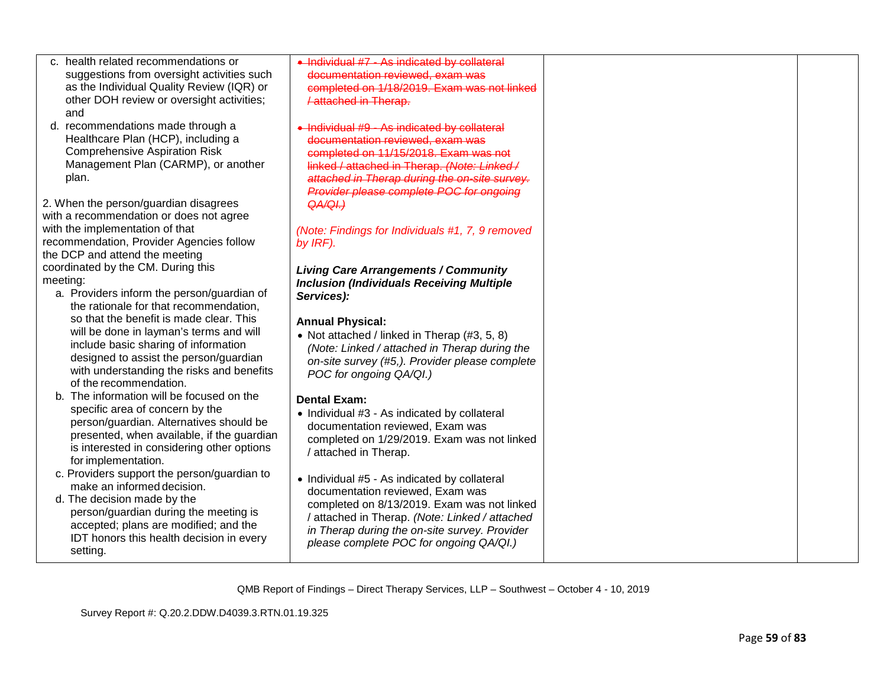| c. health related recommendations or         | . Individual #7 - As indicated by collateral     |  |
|----------------------------------------------|--------------------------------------------------|--|
| suggestions from oversight activities such   | documentation reviewed, exam was                 |  |
| as the Individual Quality Review (IQR) or    | completed on 1/18/2019. Exam was not linked      |  |
| other DOH review or oversight activities;    | <b>/attached in Therap.</b>                      |  |
| and                                          |                                                  |  |
| d. recommendations made through a            | • Individual #9 - As indicated by collateral     |  |
| Healthcare Plan (HCP), including a           | documentation reviewed, exam was                 |  |
|                                              |                                                  |  |
| <b>Comprehensive Aspiration Risk</b>         | completed on 11/15/2018. Exam was not            |  |
| Management Plan (CARMP), or another          | linked / attached in Therap. (Note: Linked /     |  |
| plan.                                        | attached in Therap during the on-site survey.    |  |
|                                              | Provider please complete POC for ongoing         |  |
| 2. When the person/guardian disagrees        | QA/QI.)                                          |  |
| with a recommendation or does not agree      |                                                  |  |
| with the implementation of that              | (Note: Findings for Individuals #1, 7, 9 removed |  |
| recommendation, Provider Agencies follow     | by IRF).                                         |  |
| the DCP and attend the meeting               |                                                  |  |
| coordinated by the CM. During this           |                                                  |  |
| meeting:                                     | <b>Living Care Arrangements / Community</b>      |  |
|                                              | <b>Inclusion (Individuals Receiving Multiple</b> |  |
| a. Providers inform the person/guardian of   | Services):                                       |  |
| the rationale for that recommendation,       |                                                  |  |
| so that the benefit is made clear. This      | <b>Annual Physical:</b>                          |  |
| will be done in layman's terms and will      | • Not attached / linked in Therap (#3, 5, 8)     |  |
| include basic sharing of information         | (Note: Linked / attached in Therap during the    |  |
| designed to assist the person/guardian       | on-site survey (#5,). Provider please complete   |  |
| with understanding the risks and benefits    | POC for ongoing QA/QI.)                          |  |
| of the recommendation.                       |                                                  |  |
| The information will be focused on the<br>h. |                                                  |  |
| specific area of concern by the              | <b>Dental Exam:</b>                              |  |
| person/guardian. Alternatives should be      | • Individual #3 - As indicated by collateral     |  |
|                                              | documentation reviewed, Exam was                 |  |
| presented, when available, if the guardian   | completed on 1/29/2019. Exam was not linked      |  |
| is interested in considering other options   | / attached in Therap.                            |  |
| for implementation.                          |                                                  |  |
| c. Providers support the person/guardian to  | • Individual #5 - As indicated by collateral     |  |
| make an informed decision.                   | documentation reviewed, Exam was                 |  |
| d. The decision made by the                  | completed on 8/13/2019. Exam was not linked      |  |
| person/guardian during the meeting is        |                                                  |  |
| accepted; plans are modified; and the        | / attached in Therap. (Note: Linked / attached   |  |
| IDT honors this health decision in every     | in Therap during the on-site survey. Provider    |  |
| setting.                                     | please complete POC for ongoing QA/QI.)          |  |
|                                              |                                                  |  |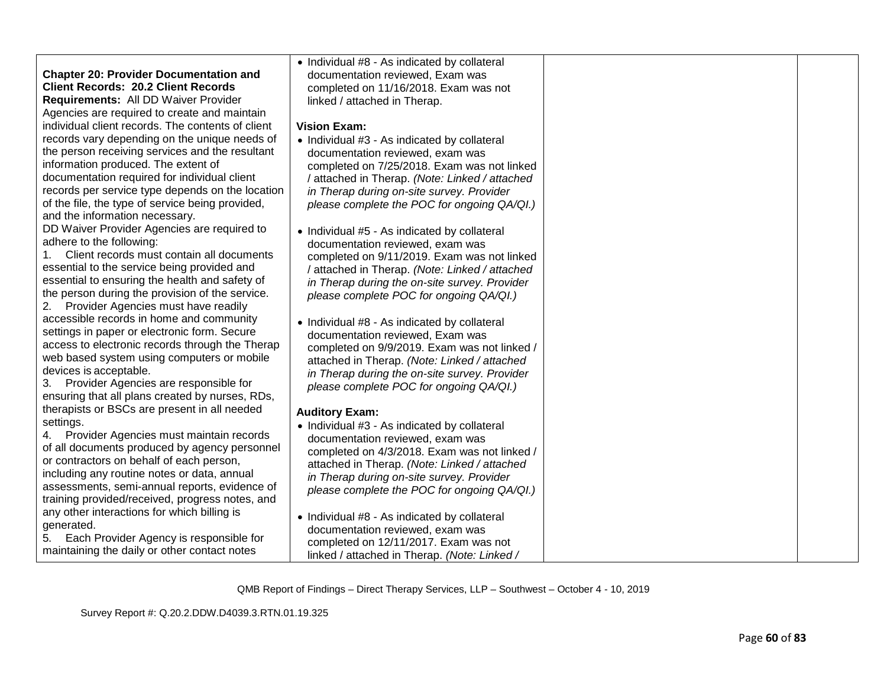|                                                   | • Individual #8 - As indicated by collateral   |  |
|---------------------------------------------------|------------------------------------------------|--|
| <b>Chapter 20: Provider Documentation and</b>     | documentation reviewed, Exam was               |  |
| <b>Client Records: 20.2 Client Records</b>        | completed on 11/16/2018. Exam was not          |  |
| Requirements: All DD Waiver Provider              | linked / attached in Therap.                   |  |
| Agencies are required to create and maintain      |                                                |  |
| individual client records. The contents of client | <b>Vision Exam:</b>                            |  |
| records vary depending on the unique needs of     | • Individual #3 - As indicated by collateral   |  |
| the person receiving services and the resultant   | documentation reviewed, exam was               |  |
| information produced. The extent of               | completed on 7/25/2018. Exam was not linked    |  |
| documentation required for individual client      | / attached in Therap. (Note: Linked / attached |  |
| records per service type depends on the location  | in Therap during on-site survey. Provider      |  |
| of the file, the type of service being provided,  | please complete the POC for ongoing QA/QI.)    |  |
| and the information necessary.                    |                                                |  |
| DD Waiver Provider Agencies are required to       | • Individual #5 - As indicated by collateral   |  |
| adhere to the following:                          | documentation reviewed, exam was               |  |
| Client records must contain all documents<br>1.   | completed on 9/11/2019. Exam was not linked    |  |
| essential to the service being provided and       | / attached in Therap. (Note: Linked / attached |  |
| essential to ensuring the health and safety of    | in Therap during the on-site survey. Provider  |  |
| the person during the provision of the service.   | please complete POC for ongoing QA/QI.)        |  |
| Provider Agencies must have readily<br>2.         |                                                |  |
| accessible records in home and community          | • Individual #8 - As indicated by collateral   |  |
| settings in paper or electronic form. Secure      | documentation reviewed, Exam was               |  |
| access to electronic records through the Therap   | completed on 9/9/2019. Exam was not linked /   |  |
| web based system using computers or mobile        | attached in Therap. (Note: Linked / attached   |  |
| devices is acceptable.                            | in Therap during the on-site survey. Provider  |  |
| Provider Agencies are responsible for<br>3.       | please complete POC for ongoing QA/QI.)        |  |
| ensuring that all plans created by nurses, RDs,   |                                                |  |
| therapists or BSCs are present in all needed      | <b>Auditory Exam:</b>                          |  |
| settings.                                         | • Individual #3 - As indicated by collateral   |  |
| Provider Agencies must maintain records<br>4.     | documentation reviewed, exam was               |  |
| of all documents produced by agency personnel     | completed on 4/3/2018. Exam was not linked /   |  |
| or contractors on behalf of each person,          | attached in Therap. (Note: Linked / attached   |  |
| including any routine notes or data, annual       | in Therap during on-site survey. Provider      |  |
| assessments, semi-annual reports, evidence of     | please complete the POC for ongoing QA/QI.)    |  |
| training provided/received, progress notes, and   |                                                |  |
| any other interactions for which billing is       | • Individual #8 - As indicated by collateral   |  |
| generated.                                        | documentation reviewed, exam was               |  |
| 5.<br>Each Provider Agency is responsible for     | completed on 12/11/2017. Exam was not          |  |
| maintaining the daily or other contact notes      | linked / attached in Therap. (Note: Linked /   |  |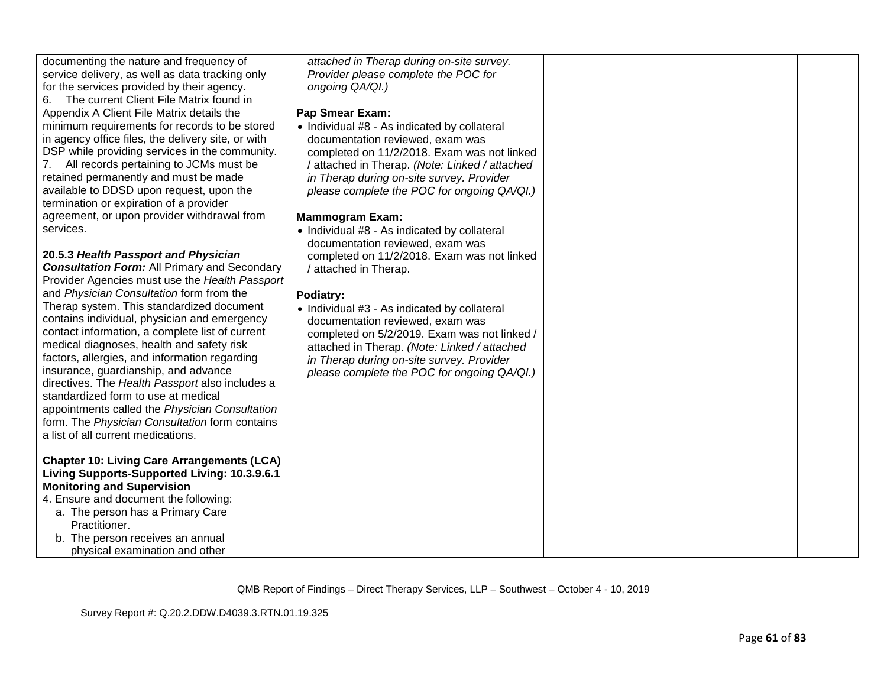| documenting the nature and frequency of             | attached in Therap during on-site survey.      |  |
|-----------------------------------------------------|------------------------------------------------|--|
| service delivery, as well as data tracking only     | Provider please complete the POC for           |  |
| for the services provided by their agency.          | ongoing QA/QI.)                                |  |
| The current Client File Matrix found in<br>6.       |                                                |  |
| Appendix A Client File Matrix details the           | <b>Pap Smear Exam:</b>                         |  |
| minimum requirements for records to be stored       | • Individual #8 - As indicated by collateral   |  |
| in agency office files, the delivery site, or with  | documentation reviewed, exam was               |  |
| DSP while providing services in the community.      | completed on 11/2/2018. Exam was not linked    |  |
| 7. All records pertaining to JCMs must be           | / attached in Therap. (Note: Linked / attached |  |
| retained permanently and must be made               | in Therap during on-site survey. Provider      |  |
| available to DDSD upon request, upon the            | please complete the POC for ongoing QA/QI.)    |  |
| termination or expiration of a provider             |                                                |  |
| agreement, or upon provider withdrawal from         | <b>Mammogram Exam:</b>                         |  |
| services.                                           | • Individual #8 - As indicated by collateral   |  |
|                                                     | documentation reviewed, exam was               |  |
| 20.5.3 Health Passport and Physician                | completed on 11/2/2018. Exam was not linked    |  |
| <b>Consultation Form: All Primary and Secondary</b> | / attached in Therap.                          |  |
| Provider Agencies must use the Health Passport      |                                                |  |
| and Physician Consultation form from the            | Podiatry:                                      |  |
| Therap system. This standardized document           | • Individual #3 - As indicated by collateral   |  |
| contains individual, physician and emergency        | documentation reviewed, exam was               |  |
| contact information, a complete list of current     | completed on 5/2/2019. Exam was not linked /   |  |
| medical diagnoses, health and safety risk           | attached in Therap. (Note: Linked / attached   |  |
| factors, allergies, and information regarding       | in Therap during on-site survey. Provider      |  |
| insurance, guardianship, and advance                | please complete the POC for ongoing QA/QI.)    |  |
| directives. The Health Passport also includes a     |                                                |  |
| standardized form to use at medical                 |                                                |  |
| appointments called the Physician Consultation      |                                                |  |
| form. The Physician Consultation form contains      |                                                |  |
| a list of all current medications.                  |                                                |  |
|                                                     |                                                |  |
| <b>Chapter 10: Living Care Arrangements (LCA)</b>   |                                                |  |
| Living Supports-Supported Living: 10.3.9.6.1        |                                                |  |
| <b>Monitoring and Supervision</b>                   |                                                |  |
| 4. Ensure and document the following:               |                                                |  |
| a. The person has a Primary Care                    |                                                |  |
| Practitioner.                                       |                                                |  |
| b. The person receives an annual                    |                                                |  |
| physical examination and other                      |                                                |  |
|                                                     |                                                |  |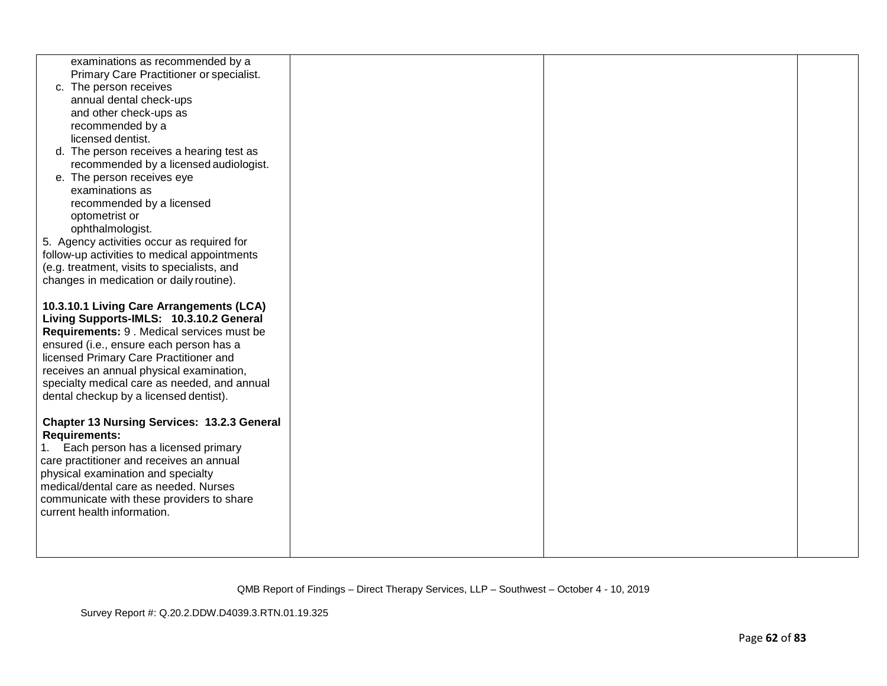| examinations as recommended by a<br>Primary Care Practitioner or specialist.       |  |  |
|------------------------------------------------------------------------------------|--|--|
| c. The person receives                                                             |  |  |
| annual dental check-ups                                                            |  |  |
| and other check-ups as                                                             |  |  |
| recommended by a<br>licensed dentist.                                              |  |  |
|                                                                                    |  |  |
| d. The person receives a hearing test as<br>recommended by a licensed audiologist. |  |  |
| e. The person receives eye                                                         |  |  |
| examinations as                                                                    |  |  |
| recommended by a licensed                                                          |  |  |
| optometrist or                                                                     |  |  |
| ophthalmologist.                                                                   |  |  |
| 5. Agency activities occur as required for                                         |  |  |
| follow-up activities to medical appointments                                       |  |  |
| (e.g. treatment, visits to specialists, and                                        |  |  |
| changes in medication or daily routine).                                           |  |  |
|                                                                                    |  |  |
| 10.3.10.1 Living Care Arrangements (LCA)                                           |  |  |
| Living Supports-IMLS: 10.3.10.2 General                                            |  |  |
| Requirements: 9 . Medical services must be                                         |  |  |
| ensured (i.e., ensure each person has a                                            |  |  |
| licensed Primary Care Practitioner and                                             |  |  |
| receives an annual physical examination,                                           |  |  |
| specialty medical care as needed, and annual                                       |  |  |
| dental checkup by a licensed dentist).                                             |  |  |
| <b>Chapter 13 Nursing Services: 13.2.3 General</b>                                 |  |  |
| <b>Requirements:</b>                                                               |  |  |
| Each person has a licensed primary                                                 |  |  |
| care practitioner and receives an annual                                           |  |  |
| physical examination and specialty                                                 |  |  |
| medical/dental care as needed. Nurses                                              |  |  |
| communicate with these providers to share                                          |  |  |
| current health information.                                                        |  |  |
|                                                                                    |  |  |
|                                                                                    |  |  |
|                                                                                    |  |  |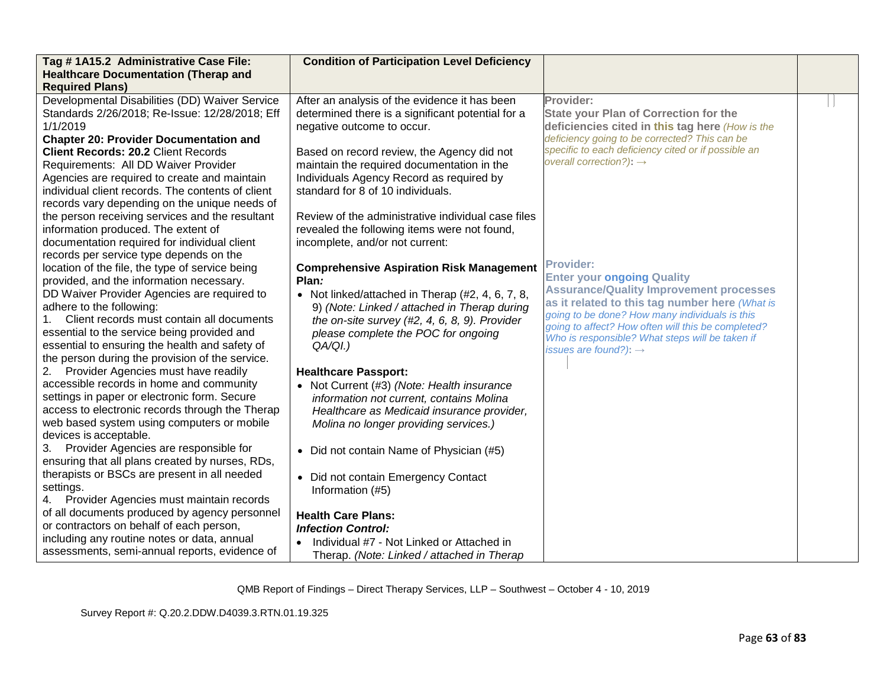| Tag #1A15.2 Administrative Case File:<br><b>Healthcare Documentation (Therap and</b>             | <b>Condition of Participation Level Deficiency</b>                                                 |                                                                                            |  |
|--------------------------------------------------------------------------------------------------|----------------------------------------------------------------------------------------------------|--------------------------------------------------------------------------------------------|--|
| <b>Required Plans)</b>                                                                           |                                                                                                    |                                                                                            |  |
| Developmental Disabilities (DD) Waiver Service<br>Standards 2/26/2018; Re-Issue: 12/28/2018; Eff | After an analysis of the evidence it has been<br>determined there is a significant potential for a | Provider:<br><b>State your Plan of Correction for the</b>                                  |  |
| 1/1/2019                                                                                         | negative outcome to occur.                                                                         | deficiencies cited in this tag here (How is the                                            |  |
| <b>Chapter 20: Provider Documentation and</b>                                                    |                                                                                                    | deficiency going to be corrected? This can be                                              |  |
| <b>Client Records: 20.2 Client Records</b>                                                       | Based on record review, the Agency did not                                                         | specific to each deficiency cited or if possible an<br>overall correction?): $\rightarrow$ |  |
| Requirements: All DD Waiver Provider                                                             | maintain the required documentation in the                                                         |                                                                                            |  |
| Agencies are required to create and maintain                                                     | Individuals Agency Record as required by                                                           |                                                                                            |  |
| individual client records. The contents of client                                                | standard for 8 of 10 individuals.                                                                  |                                                                                            |  |
| records vary depending on the unique needs of                                                    |                                                                                                    |                                                                                            |  |
| the person receiving services and the resultant                                                  | Review of the administrative individual case files                                                 |                                                                                            |  |
| information produced. The extent of                                                              | revealed the following items were not found,                                                       |                                                                                            |  |
| documentation required for individual client                                                     | incomplete, and/or not current:                                                                    |                                                                                            |  |
| records per service type depends on the                                                          |                                                                                                    | <b>Provider:</b>                                                                           |  |
| location of the file, the type of service being                                                  | <b>Comprehensive Aspiration Risk Management</b>                                                    | <b>Enter your ongoing Quality</b>                                                          |  |
| provided, and the information necessary.                                                         | Plan:                                                                                              | <b>Assurance/Quality Improvement processes</b>                                             |  |
| DD Waiver Provider Agencies are required to                                                      | • Not linked/attached in Therap $(\#2, 4, 6, 7, 8,$                                                | as it related to this tag number here (What is                                             |  |
| adhere to the following:                                                                         | 9) (Note: Linked / attached in Therap during                                                       | going to be done? How many individuals is this                                             |  |
| Client records must contain all documents                                                        | the on-site survey $(H2, 4, 6, 8, 9)$ . Provider                                                   | going to affect? How often will this be completed?                                         |  |
| essential to the service being provided and                                                      | please complete the POC for ongoing                                                                | Who is responsible? What steps will be taken if                                            |  |
| essential to ensuring the health and safety of                                                   | $QA/QI.$ )                                                                                         | issues are found?): $\rightarrow$                                                          |  |
| the person during the provision of the service.                                                  |                                                                                                    |                                                                                            |  |
| Provider Agencies must have readily<br>2.                                                        | <b>Healthcare Passport:</b>                                                                        |                                                                                            |  |
| accessible records in home and community                                                         | • Not Current (#3) (Note: Health insurance                                                         |                                                                                            |  |
| settings in paper or electronic form. Secure                                                     | information not current, contains Molina                                                           |                                                                                            |  |
| access to electronic records through the Therap                                                  | Healthcare as Medicaid insurance provider,                                                         |                                                                                            |  |
| web based system using computers or mobile<br>devices is acceptable.                             | Molina no longer providing services.)                                                              |                                                                                            |  |
|                                                                                                  |                                                                                                    |                                                                                            |  |
| Provider Agencies are responsible for<br>3.                                                      | • Did not contain Name of Physician (#5)                                                           |                                                                                            |  |
| ensuring that all plans created by nurses, RDs,                                                  |                                                                                                    |                                                                                            |  |
| therapists or BSCs are present in all needed                                                     | • Did not contain Emergency Contact                                                                |                                                                                            |  |
| settings.<br>Provider Agencies must maintain records<br>4.                                       | Information (#5)                                                                                   |                                                                                            |  |
| of all documents produced by agency personnel                                                    |                                                                                                    |                                                                                            |  |
| or contractors on behalf of each person,                                                         | <b>Health Care Plans:</b>                                                                          |                                                                                            |  |
| including any routine notes or data, annual                                                      | <b>Infection Control:</b>                                                                          |                                                                                            |  |
| assessments, semi-annual reports, evidence of                                                    | Individual #7 - Not Linked or Attached in                                                          |                                                                                            |  |
|                                                                                                  | Therap. (Note: Linked / attached in Therap                                                         |                                                                                            |  |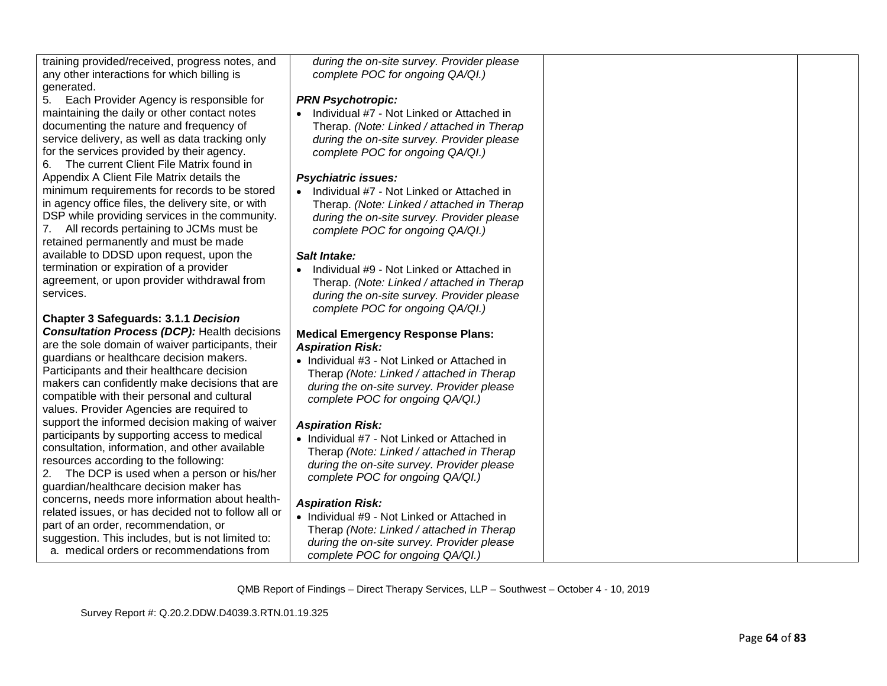| training provided/received, progress notes, and |
|-------------------------------------------------|
| any other interactions for which billing is     |
| generated.                                      |

5. Each Provider Agency is responsible for maintaining the daily or other contact notes documenting the nature and frequency of service delivery, as well as data tracking only for the services provided by their agency.

6. The current Client File Matrix found in Appendix A Client File Matrix details the minimum requirements for records to be stored in agency office files, the delivery site, or with DSP while providing services in the community. 7. All records pertaining to JCMs must be retained permanently and must be made available to DDSD upon request, upon the termination or expiration of a provider agreement, or upon provider withdrawal from services.

### **Chapter 3 Safeguards: 3.1.1** *Decision*

*Consultation Process (DCP):* Health decisions are the sole domain of waiver participants, their guardians or healthcare decision makers. Participants and their healthcare decision makers can confidently make decisions that are compatible with their personal and cultural values. Provider Agencies are required to support the informed decision making of waiver participants by supporting access to medical consultation, information, and other available resources according to the following:

2. The DCP is used when a person or his/her guardian/healthcare decision maker has concerns, needs more information about healthrelated issues, or has decided not to follow all or part of an order, recommendation, or suggestion. This includes, but is not limited to: a. medical orders or recommendations from

*during the on-site survey. Provider please complete POC for ongoing QA/QI.)*

#### *PRN Psychotropic:*

• Individual #7 - Not Linked or Attached in Therap. *(Note: Linked / attached in Therap during the on-site survey. Provider please complete POC for ongoing QA/QI.)*

### *Psychiatric issues:*

• Individual #7 - Not Linked or Attached in Therap. *(Note: Linked / attached in Therap during the on-site survey. Provider please complete POC for ongoing QA/QI.)*

### *Salt Intake:*

• Individual #9 - Not Linked or Attached in Therap. *(Note: Linked / attached in Therap during the on-site survey. Provider please complete POC for ongoing QA/QI.)*

### **Medical Emergency Response Plans:** *Aspiration Risk:*

• Individual #3 - Not Linked or Attached in Therap *(Note: Linked / attached in Therap during the on-site survey. Provider please complete POC for ongoing QA/QI.)*

# *Aspiration Risk:*

• Individual #7 - Not Linked or Attached in Therap *(Note: Linked / attached in Therap during the on-site survey. Provider please complete POC for ongoing QA/QI.)*

### *Aspiration Risk:*

• Individual #9 - Not Linked or Attached in Therap *(Note: Linked / attached in Therap during the on-site survey. Provider please complete POC for ongoing QA/QI.)*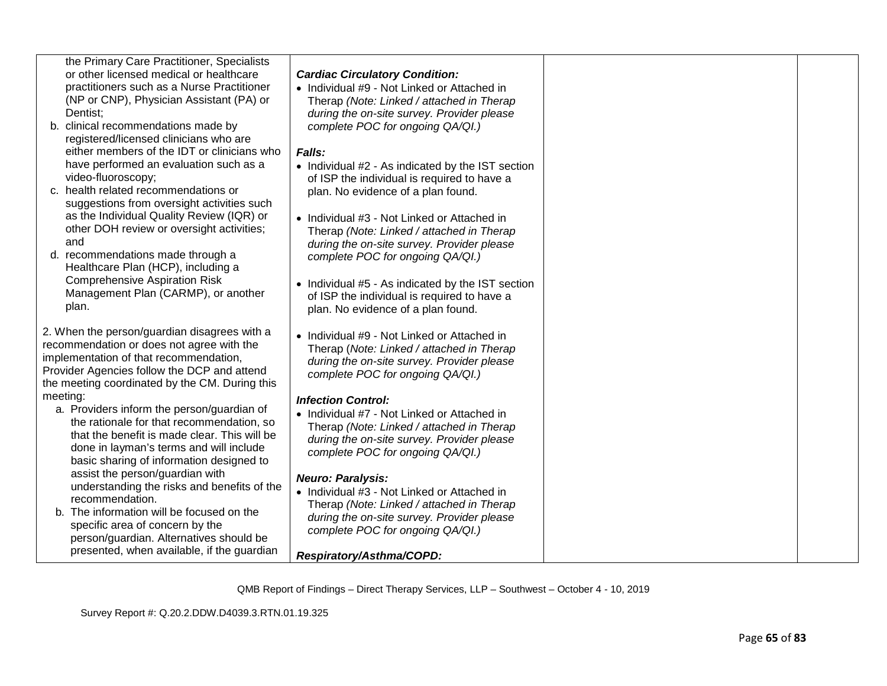| the Primary Care Practitioner, Specialists |
|--------------------------------------------|
| or other licensed medical or healthcare    |
| practitioners such as a Nurse Practitioner |
| (NP or CNP), Physician Assistant (PA) or   |
| Dentist:                                   |
|                                            |

- b. clinical recommendations made by registered/licensed clinicians who are either members of the IDT or clinicians who have performed an evaluation such as a video-fluoroscopy;
- c. health related recommendations or suggestions from oversight activities such as the Individual Quality Review (IQR) or other DOH review or oversight activities; and
- d. recommendations made through a Healthcare Plan (HCP), including a Comprehensive Aspiration Risk Management Plan (CARMP), or another plan.

2. When the person/guardian disagrees with a recommendation or does not agree with the implementation of that recommendation, Provider Agencies follow the DCP and attend the meeting coordinated by the CM. During this meeting:

- a. Providers inform the person/guardian of the rationale for that recommendation, so that the benefit is made clear. This will be done in layman's terms and will include basic sharing of information designed to assist the person/guardian with understanding the risks and benefits of the recommendation.
- b. The information will be focused on the specific area of concern by the person/guardian. Alternatives should be presented, when available, if the guardian

| <b>Cardiac Circulatory Condition:</b> |  |
|---------------------------------------|--|
|---------------------------------------|--|

• Individual #9 - Not Linked or Attached in Therap *(Note: Linked / attached in Therap during the on-site survey. Provider please complete POC for ongoing QA/QI.)*

### *Falls:*

- Individual #2 As indicated by the IST section of ISP the individual is required to have a plan. No evidence of a plan found.
- Individual #3 Not Linked or Attached in Therap *(Note: Linked / attached in Therap during the on-site survey. Provider please complete POC for ongoing QA/QI.)*
- Individual #5 As indicated by the IST section of ISP the individual is required to have a plan. No evidence of a plan found.
- Individual #9 Not Linked or Attached in Therap (*Note: Linked / attached in Therap during the on-site survey. Provider please complete POC for ongoing QA/QI.)*

### *Infection Control:*

• Individual #7 - Not Linked or Attached in Therap *(Note: Linked / attached in Therap during the on-site survey. Provider please complete POC for ongoing QA/QI.)*

### *Neuro: Paralysis:*

• Individual #3 - Not Linked or Attached in Therap *(Note: Linked / attached in Therap during the on-site survey. Provider please complete POC for ongoing QA/QI.)*

*Respiratory/Asthma/COPD:*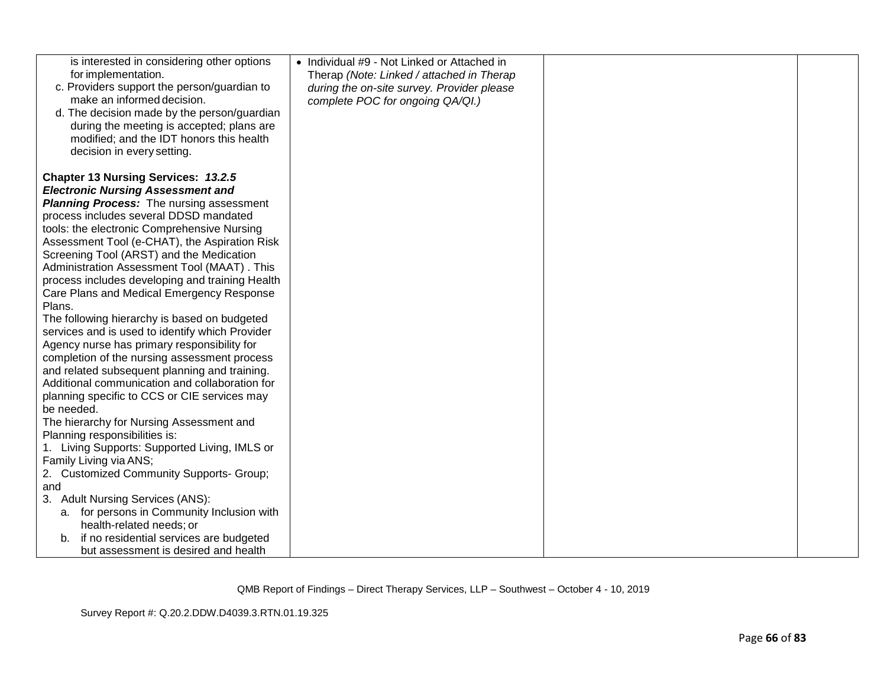| is interested in considering other options                                                      | • Individual #9 - Not Linked or Attached in |  |
|-------------------------------------------------------------------------------------------------|---------------------------------------------|--|
| for implementation.                                                                             | Therap (Note: Linked / attached in Therap   |  |
| c. Providers support the person/guardian to                                                     | during the on-site survey. Provider please  |  |
| make an informed decision.                                                                      | complete POC for ongoing QA/QI.)            |  |
| d. The decision made by the person/guardian                                                     |                                             |  |
| during the meeting is accepted; plans are                                                       |                                             |  |
| modified; and the IDT honors this health                                                        |                                             |  |
| decision in every setting.                                                                      |                                             |  |
| <b>Chapter 13 Nursing Services: 13.2.5</b>                                                      |                                             |  |
| <b>Electronic Nursing Assessment and</b>                                                        |                                             |  |
| <b>Planning Process:</b> The nursing assessment                                                 |                                             |  |
| process includes several DDSD mandated                                                          |                                             |  |
| tools: the electronic Comprehensive Nursing                                                     |                                             |  |
| Assessment Tool (e-CHAT), the Aspiration Risk                                                   |                                             |  |
| Screening Tool (ARST) and the Medication                                                        |                                             |  |
| Administration Assessment Tool (MAAT). This                                                     |                                             |  |
| process includes developing and training Health                                                 |                                             |  |
| Care Plans and Medical Emergency Response                                                       |                                             |  |
| Plans.                                                                                          |                                             |  |
| The following hierarchy is based on budgeted                                                    |                                             |  |
| services and is used to identify which Provider                                                 |                                             |  |
| Agency nurse has primary responsibility for                                                     |                                             |  |
| completion of the nursing assessment process                                                    |                                             |  |
| and related subsequent planning and training.<br>Additional communication and collaboration for |                                             |  |
|                                                                                                 |                                             |  |
| planning specific to CCS or CIE services may<br>be needed.                                      |                                             |  |
| The hierarchy for Nursing Assessment and                                                        |                                             |  |
| Planning responsibilities is:                                                                   |                                             |  |
| 1. Living Supports: Supported Living, IMLS or                                                   |                                             |  |
| Family Living via ANS;                                                                          |                                             |  |
| 2. Customized Community Supports- Group;                                                        |                                             |  |
| and                                                                                             |                                             |  |
| 3. Adult Nursing Services (ANS):                                                                |                                             |  |
| a. for persons in Community Inclusion with                                                      |                                             |  |
| health-related needs; or                                                                        |                                             |  |
| if no residential services are budgeted<br>b.                                                   |                                             |  |
| but assessment is desired and health                                                            |                                             |  |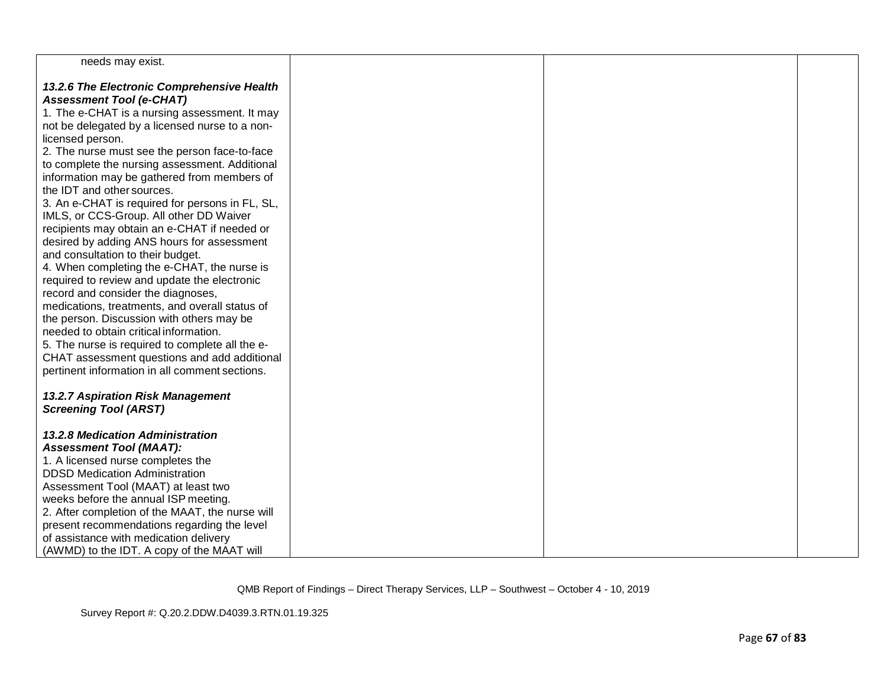| needs may exist.                                                                     |  |  |
|--------------------------------------------------------------------------------------|--|--|
| 13.2.6 The Electronic Comprehensive Health                                           |  |  |
| <b>Assessment Tool (e-CHAT)</b>                                                      |  |  |
| 1. The e-CHAT is a nursing assessment. It may                                        |  |  |
| not be delegated by a licensed nurse to a non-                                       |  |  |
| licensed person.                                                                     |  |  |
| 2. The nurse must see the person face-to-face                                        |  |  |
| to complete the nursing assessment. Additional                                       |  |  |
| information may be gathered from members of                                          |  |  |
| the IDT and other sources.                                                           |  |  |
| 3. An e-CHAT is required for persons in FL, SL,                                      |  |  |
| IMLS, or CCS-Group. All other DD Waiver                                              |  |  |
| recipients may obtain an e-CHAT if needed or                                         |  |  |
| desired by adding ANS hours for assessment                                           |  |  |
| and consultation to their budget.                                                    |  |  |
| 4. When completing the e-CHAT, the nurse is                                          |  |  |
| required to review and update the electronic                                         |  |  |
| record and consider the diagnoses,<br>medications, treatments, and overall status of |  |  |
| the person. Discussion with others may be                                            |  |  |
| needed to obtain critical information.                                               |  |  |
| 5. The nurse is required to complete all the e-                                      |  |  |
| CHAT assessment questions and add additional                                         |  |  |
| pertinent information in all comment sections.                                       |  |  |
|                                                                                      |  |  |
| 13.2.7 Aspiration Risk Management                                                    |  |  |
| <b>Screening Tool (ARST)</b>                                                         |  |  |
|                                                                                      |  |  |
| <b>13.2.8 Medication Administration</b>                                              |  |  |
| <b>Assessment Tool (MAAT):</b>                                                       |  |  |
| 1. A licensed nurse completes the                                                    |  |  |
| <b>DDSD Medication Administration</b>                                                |  |  |
| Assessment Tool (MAAT) at least two                                                  |  |  |
| weeks before the annual ISP meeting.                                                 |  |  |
| 2. After completion of the MAAT, the nurse will                                      |  |  |
| present recommendations regarding the level                                          |  |  |
| of assistance with medication delivery                                               |  |  |
| (AWMD) to the IDT. A copy of the MAAT will                                           |  |  |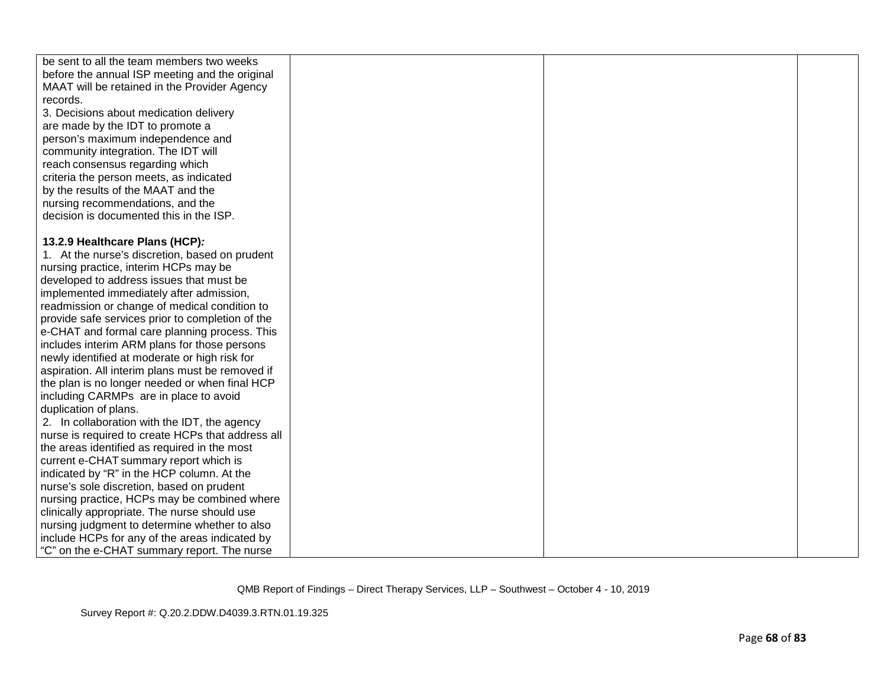| be sent to all the team members two weeks<br>before the annual ISP meeting and the original |  |  |
|---------------------------------------------------------------------------------------------|--|--|
| MAAT will be retained in the Provider Agency                                                |  |  |
| records.                                                                                    |  |  |
| 3. Decisions about medication delivery                                                      |  |  |
| are made by the IDT to promote a                                                            |  |  |
| person's maximum independence and                                                           |  |  |
| community integration. The IDT will                                                         |  |  |
| reach consensus regarding which                                                             |  |  |
| criteria the person meets, as indicated                                                     |  |  |
| by the results of the MAAT and the                                                          |  |  |
| nursing recommendations, and the                                                            |  |  |
| decision is documented this in the ISP.                                                     |  |  |
| 13.2.9 Healthcare Plans (HCP):                                                              |  |  |
| 1. At the nurse's discretion, based on prudent                                              |  |  |
| nursing practice, interim HCPs may be                                                       |  |  |
| developed to address issues that must be                                                    |  |  |
| implemented immediately after admission,                                                    |  |  |
| readmission or change of medical condition to                                               |  |  |
| provide safe services prior to completion of the                                            |  |  |
| e-CHAT and formal care planning process. This                                               |  |  |
| includes interim ARM plans for those persons                                                |  |  |
| newly identified at moderate or high risk for                                               |  |  |
| aspiration. All interim plans must be removed if                                            |  |  |
| the plan is no longer needed or when final HCP                                              |  |  |
| including CARMPs are in place to avoid                                                      |  |  |
| duplication of plans.                                                                       |  |  |
| 2. In collaboration with the IDT, the agency                                                |  |  |
| nurse is required to create HCPs that address all                                           |  |  |
| the areas identified as required in the most                                                |  |  |
| current e-CHAT summary report which is                                                      |  |  |
| indicated by "R" in the HCP column. At the                                                  |  |  |
| nurse's sole discretion, based on prudent                                                   |  |  |
| nursing practice, HCPs may be combined where                                                |  |  |
| clinically appropriate. The nurse should use                                                |  |  |
| nursing judgment to determine whether to also                                               |  |  |
| include HCPs for any of the areas indicated by                                              |  |  |
| "C" on the e-CHAT summary report. The nurse                                                 |  |  |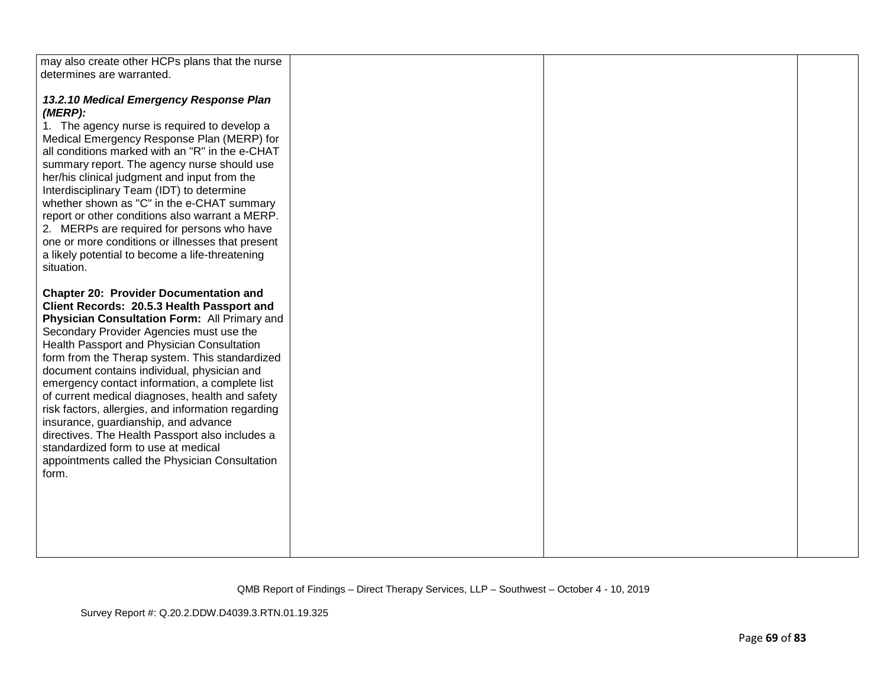| may also create other HCPs plans that the nurse<br>determines are warranted.                                                                                                                                                                                                                                                                                                                                                                                                                                                                                                                                                                                                                   |  |  |
|------------------------------------------------------------------------------------------------------------------------------------------------------------------------------------------------------------------------------------------------------------------------------------------------------------------------------------------------------------------------------------------------------------------------------------------------------------------------------------------------------------------------------------------------------------------------------------------------------------------------------------------------------------------------------------------------|--|--|
| 13.2.10 Medical Emergency Response Plan<br>(MERP):<br>1. The agency nurse is required to develop a<br>Medical Emergency Response Plan (MERP) for<br>all conditions marked with an "R" in the e-CHAT<br>summary report. The agency nurse should use<br>her/his clinical judgment and input from the<br>Interdisciplinary Team (IDT) to determine<br>whether shown as "C" in the e-CHAT summary<br>report or other conditions also warrant a MERP.<br>2. MERPs are required for persons who have<br>one or more conditions or illnesses that present<br>a likely potential to become a life-threatening<br>situation.                                                                            |  |  |
| <b>Chapter 20: Provider Documentation and</b><br>Client Records: 20.5.3 Health Passport and<br>Physician Consultation Form: All Primary and<br>Secondary Provider Agencies must use the<br>Health Passport and Physician Consultation<br>form from the Therap system. This standardized<br>document contains individual, physician and<br>emergency contact information, a complete list<br>of current medical diagnoses, health and safety<br>risk factors, allergies, and information regarding<br>insurance, guardianship, and advance<br>directives. The Health Passport also includes a<br>standardized form to use at medical<br>appointments called the Physician Consultation<br>form. |  |  |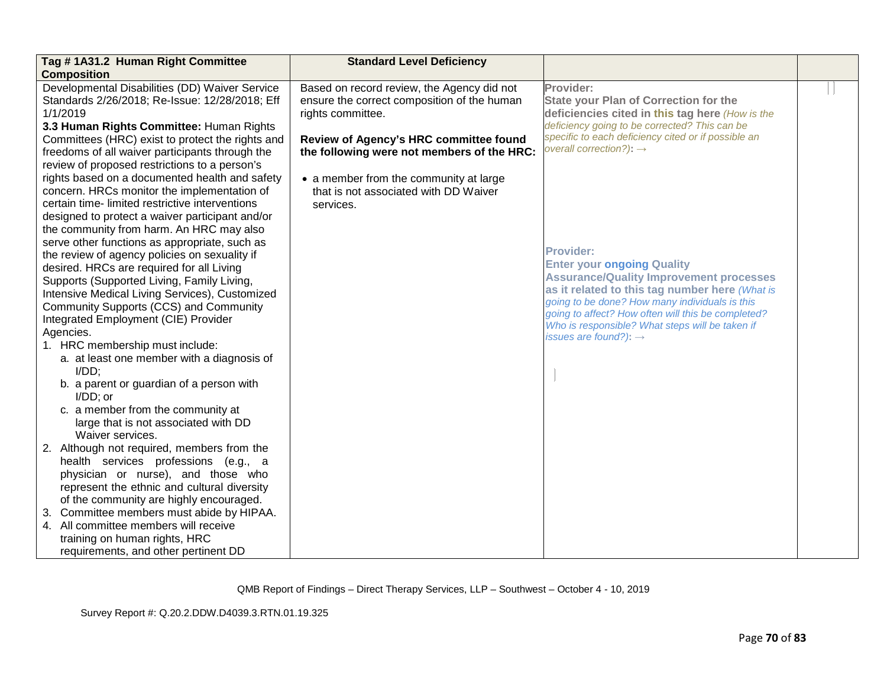| Tag #1A31.2 Human Right Committee                                                      | <b>Standard Level Deficiency</b>            |                                                     |  |
|----------------------------------------------------------------------------------------|---------------------------------------------|-----------------------------------------------------|--|
| <b>Composition</b>                                                                     |                                             |                                                     |  |
| Developmental Disabilities (DD) Waiver Service                                         | Based on record review, the Agency did not  | Provider:                                           |  |
| Standards 2/26/2018; Re-Issue: 12/28/2018; Eff                                         | ensure the correct composition of the human | <b>State your Plan of Correction for the</b>        |  |
| 1/1/2019                                                                               | rights committee.                           | deficiencies cited in this tag here (How is the     |  |
| 3.3 Human Rights Committee: Human Rights                                               |                                             | deficiency going to be corrected? This can be       |  |
| Committees (HRC) exist to protect the rights and                                       | Review of Agency's HRC committee found      | specific to each deficiency cited or if possible an |  |
| freedoms of all waiver participants through the                                        | the following were not members of the HRC:  | overall correction?): $\rightarrow$                 |  |
| review of proposed restrictions to a person's                                          |                                             |                                                     |  |
| rights based on a documented health and safety                                         | • a member from the community at large      |                                                     |  |
| concern. HRCs monitor the implementation of                                            | that is not associated with DD Waiver       |                                                     |  |
| certain time-limited restrictive interventions                                         | services.                                   |                                                     |  |
| designed to protect a waiver participant and/or                                        |                                             |                                                     |  |
| the community from harm. An HRC may also                                               |                                             |                                                     |  |
| serve other functions as appropriate, such as                                          |                                             | <b>Provider:</b>                                    |  |
| the review of agency policies on sexuality if                                          |                                             | <b>Enter your ongoing Quality</b>                   |  |
| desired. HRCs are required for all Living                                              |                                             | <b>Assurance/Quality Improvement processes</b>      |  |
| Supports (Supported Living, Family Living,                                             |                                             | as it related to this tag number here (What is      |  |
| Intensive Medical Living Services), Customized                                         |                                             | going to be done? How many individuals is this      |  |
| Community Supports (CCS) and Community                                                 |                                             | going to affect? How often will this be completed?  |  |
| Integrated Employment (CIE) Provider                                                   |                                             | Who is responsible? What steps will be taken if     |  |
| Agencies.                                                                              |                                             | issues are found?): $\rightarrow$                   |  |
| 1. HRC membership must include:                                                        |                                             |                                                     |  |
| a. at least one member with a diagnosis of<br>$I/DD$ ;                                 |                                             |                                                     |  |
| b. a parent or guardian of a person with                                               |                                             |                                                     |  |
| $I/DD$ ; or                                                                            |                                             |                                                     |  |
| c. a member from the community at                                                      |                                             |                                                     |  |
| large that is not associated with DD                                                   |                                             |                                                     |  |
| Waiver services.                                                                       |                                             |                                                     |  |
| 2. Although not required, members from the                                             |                                             |                                                     |  |
| health services professions (e.g., a                                                   |                                             |                                                     |  |
| physician or nurse), and those who                                                     |                                             |                                                     |  |
| represent the ethnic and cultural diversity<br>of the community are highly encouraged. |                                             |                                                     |  |
| Committee members must abide by HIPAA.<br>3.                                           |                                             |                                                     |  |
| 4. All committee members will receive                                                  |                                             |                                                     |  |
| training on human rights, HRC                                                          |                                             |                                                     |  |
| requirements, and other pertinent DD                                                   |                                             |                                                     |  |
|                                                                                        |                                             |                                                     |  |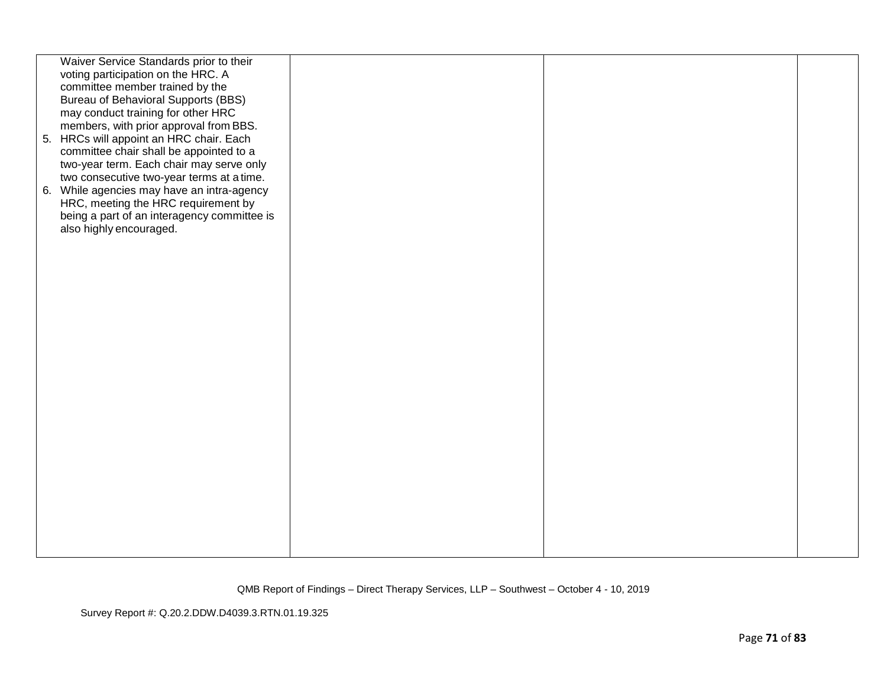| Waiver Service Standards prior to their<br>voting participation on the HRC. A<br>committee member trained by the<br><b>Bureau of Behavioral Supports (BBS)</b><br>may conduct training for other HRC<br>members, with prior approval from BBS.<br>5. HRCs will appoint an HRC chair. Each<br>committee chair shall be appointed to a<br>two-year term. Each chair may serve only<br>two consecutive two-year terms at a time.<br>6. While agencies may have an intra-agency<br>HRC, meeting the HRC requirement by<br>being a part of an interagency committee is<br>also highly encouraged. |  |  |
|----------------------------------------------------------------------------------------------------------------------------------------------------------------------------------------------------------------------------------------------------------------------------------------------------------------------------------------------------------------------------------------------------------------------------------------------------------------------------------------------------------------------------------------------------------------------------------------------|--|--|
|                                                                                                                                                                                                                                                                                                                                                                                                                                                                                                                                                                                              |  |  |
|                                                                                                                                                                                                                                                                                                                                                                                                                                                                                                                                                                                              |  |  |
|                                                                                                                                                                                                                                                                                                                                                                                                                                                                                                                                                                                              |  |  |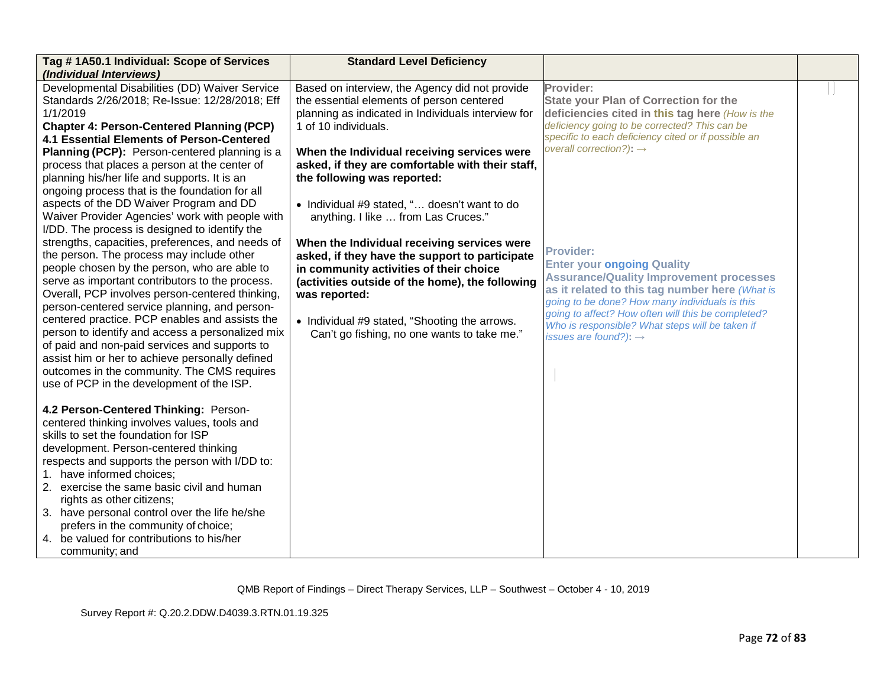| Tag #1A50.1 Individual: Scope of Services<br>(Individual Interviews)                                                                                                                                                                                                                                                                                                                                                                                                                                                                                                                                                                                                                                                                                                                                                                                                                                                                                                                                                                                                                                                                                                                  | <b>Standard Level Deficiency</b>                                                                                                                                                                                                                                                                                                                                                                                                                                                                                                                                                                                                                                                                                   |                                                                                                                                                                                                                                                                                                                                                                                                                                                                                                                                                                                                                          |  |
|---------------------------------------------------------------------------------------------------------------------------------------------------------------------------------------------------------------------------------------------------------------------------------------------------------------------------------------------------------------------------------------------------------------------------------------------------------------------------------------------------------------------------------------------------------------------------------------------------------------------------------------------------------------------------------------------------------------------------------------------------------------------------------------------------------------------------------------------------------------------------------------------------------------------------------------------------------------------------------------------------------------------------------------------------------------------------------------------------------------------------------------------------------------------------------------|--------------------------------------------------------------------------------------------------------------------------------------------------------------------------------------------------------------------------------------------------------------------------------------------------------------------------------------------------------------------------------------------------------------------------------------------------------------------------------------------------------------------------------------------------------------------------------------------------------------------------------------------------------------------------------------------------------------------|--------------------------------------------------------------------------------------------------------------------------------------------------------------------------------------------------------------------------------------------------------------------------------------------------------------------------------------------------------------------------------------------------------------------------------------------------------------------------------------------------------------------------------------------------------------------------------------------------------------------------|--|
| Developmental Disabilities (DD) Waiver Service<br>Standards 2/26/2018; Re-Issue: 12/28/2018; Eff<br>1/1/2019<br><b>Chapter 4: Person-Centered Planning (PCP)</b><br><b>4.1 Essential Elements of Person-Centered</b><br>Planning (PCP): Person-centered planning is a<br>process that places a person at the center of<br>planning his/her life and supports. It is an<br>ongoing process that is the foundation for all<br>aspects of the DD Waiver Program and DD<br>Waiver Provider Agencies' work with people with<br>I/DD. The process is designed to identify the<br>strengths, capacities, preferences, and needs of<br>the person. The process may include other<br>people chosen by the person, who are able to<br>serve as important contributors to the process.<br>Overall, PCP involves person-centered thinking,<br>person-centered service planning, and person-<br>centered practice. PCP enables and assists the<br>person to identify and access a personalized mix<br>of paid and non-paid services and supports to<br>assist him or her to achieve personally defined<br>outcomes in the community. The CMS requires<br>use of PCP in the development of the ISP. | Based on interview, the Agency did not provide<br>the essential elements of person centered<br>planning as indicated in Individuals interview for<br>1 of 10 individuals.<br>When the Individual receiving services were<br>asked, if they are comfortable with their staff,<br>the following was reported:<br>• Individual #9 stated, " doesn't want to do<br>anything. I like  from Las Cruces."<br>When the Individual receiving services were<br>asked, if they have the support to participate<br>in community activities of their choice<br>(activities outside of the home), the following<br>was reported:<br>• Individual #9 stated, "Shooting the arrows.<br>Can't go fishing, no one wants to take me." | Provider:<br><b>State your Plan of Correction for the</b><br>deficiencies cited in this tag here (How is the<br>deficiency going to be corrected? This can be<br>specific to each deficiency cited or if possible an<br>overall correction?): $\rightarrow$<br><b>Provider:</b><br><b>Enter your ongoing Quality</b><br><b>Assurance/Quality Improvement processes</b><br>as it related to this tag number here (What is<br>going to be done? How many individuals is this<br>going to affect? How often will this be completed?<br>Who is responsible? What steps will be taken if<br>issues are found?): $\rightarrow$ |  |
| 4.2 Person-Centered Thinking: Person-<br>centered thinking involves values, tools and<br>skills to set the foundation for ISP<br>development. Person-centered thinking<br>respects and supports the person with I/DD to:<br>1. have informed choices;<br>2. exercise the same basic civil and human<br>rights as other citizens;<br>3. have personal control over the life he/she<br>prefers in the community of choice;<br>4. be valued for contributions to his/her<br>community; and                                                                                                                                                                                                                                                                                                                                                                                                                                                                                                                                                                                                                                                                                               |                                                                                                                                                                                                                                                                                                                                                                                                                                                                                                                                                                                                                                                                                                                    |                                                                                                                                                                                                                                                                                                                                                                                                                                                                                                                                                                                                                          |  |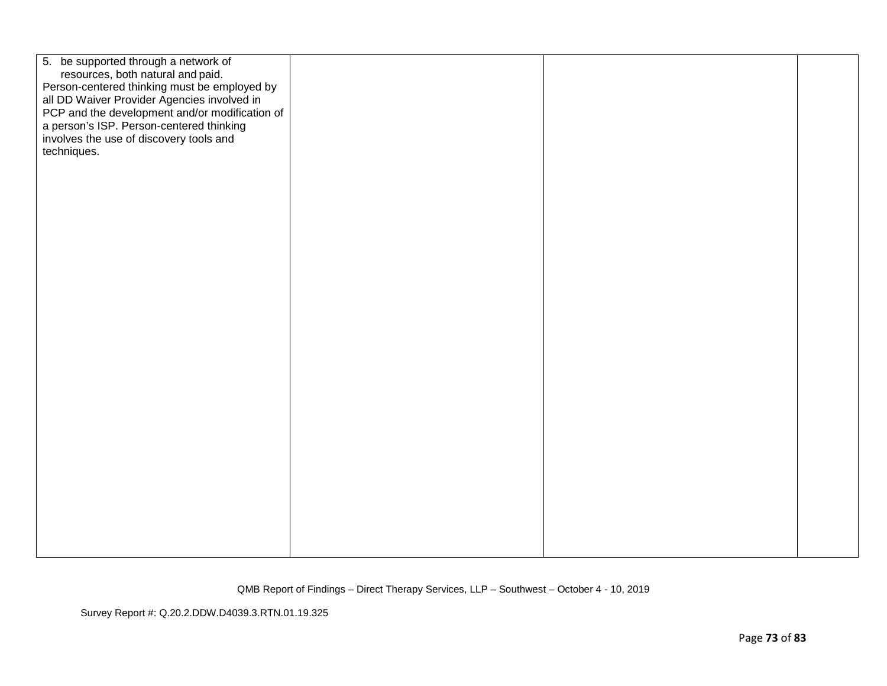| 5. be supported through a network of                                                        |  |  |
|---------------------------------------------------------------------------------------------|--|--|
| resources, both natural and paid.                                                           |  |  |
| Person-centered thinking must be employed by<br>all DD Waiver Provider Agencies involved in |  |  |
| PCP and the development and/or modification of                                              |  |  |
| a person's ISP. Person-centered thinking                                                    |  |  |
| involves the use of discovery tools and                                                     |  |  |
| techniques.                                                                                 |  |  |
|                                                                                             |  |  |
|                                                                                             |  |  |
|                                                                                             |  |  |
|                                                                                             |  |  |
|                                                                                             |  |  |
|                                                                                             |  |  |
|                                                                                             |  |  |
|                                                                                             |  |  |
|                                                                                             |  |  |
|                                                                                             |  |  |
|                                                                                             |  |  |
|                                                                                             |  |  |
|                                                                                             |  |  |
|                                                                                             |  |  |
|                                                                                             |  |  |
|                                                                                             |  |  |
|                                                                                             |  |  |
|                                                                                             |  |  |
|                                                                                             |  |  |
|                                                                                             |  |  |
|                                                                                             |  |  |
|                                                                                             |  |  |
|                                                                                             |  |  |
|                                                                                             |  |  |
|                                                                                             |  |  |
|                                                                                             |  |  |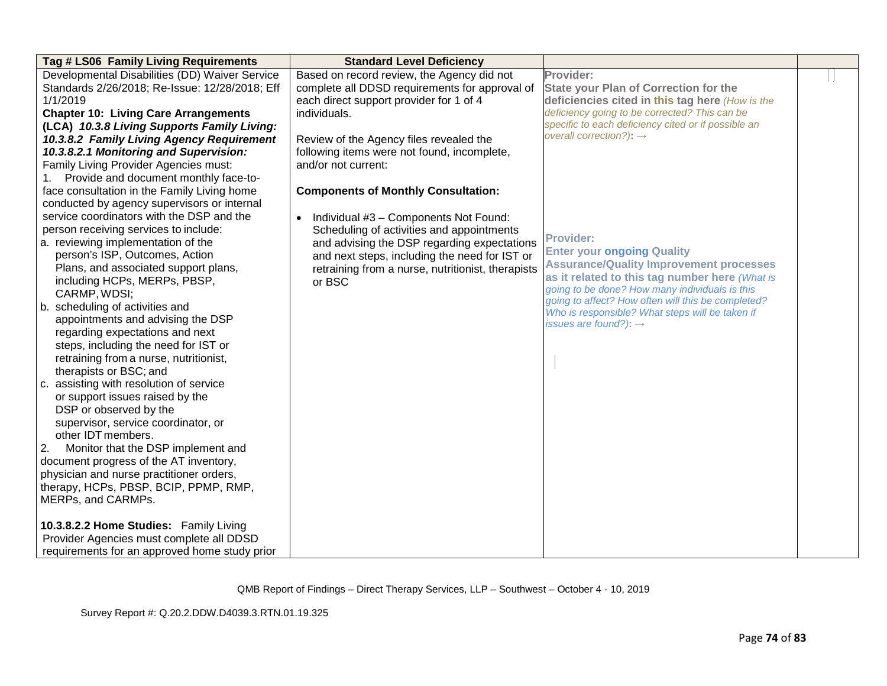| Developmental Disabilities (DD) Waiver Service<br>Based on record review, the Agency did not<br>Provider:                                        |  |
|--------------------------------------------------------------------------------------------------------------------------------------------------|--|
|                                                                                                                                                  |  |
| Standards 2/26/2018; Re-Issue: 12/28/2018; Eff<br>complete all DDSD requirements for approval of<br><b>State your Plan of Correction for the</b> |  |
| 1/1/2019<br>each direct support provider for 1 of 4<br>deficiencies cited in this tag here (How is the                                           |  |
| deficiency going to be corrected? This can be<br><b>Chapter 10: Living Care Arrangements</b><br>individuals.                                     |  |
| specific to each deficiency cited or if possible an<br>(LCA) 10.3.8 Living Supports Family Living:                                               |  |
| overall correction?): $\rightarrow$<br>10.3.8.2 Family Living Agency Requirement<br>Review of the Agency files revealed the                      |  |
| 10.3.8.2.1 Monitoring and Supervision:<br>following items were not found, incomplete,                                                            |  |
| Family Living Provider Agencies must:<br>and/or not current:                                                                                     |  |
| 1. Provide and document monthly face-to-                                                                                                         |  |
| face consultation in the Family Living home<br><b>Components of Monthly Consultation:</b>                                                        |  |
| conducted by agency supervisors or internal                                                                                                      |  |
| service coordinators with the DSP and the<br>• Individual #3 - Components Not Found:                                                             |  |
| person receiving services to include:<br>Scheduling of activities and appointments                                                               |  |
| <b>Provider:</b><br>a. reviewing implementation of the<br>and advising the DSP regarding expectations                                            |  |
| <b>Enter your ongoing Quality</b><br>person's ISP, Outcomes, Action<br>and next steps, including the need for IST or                             |  |
| <b>Assurance/Quality Improvement processes</b><br>Plans, and associated support plans,<br>retraining from a nurse, nutritionist, therapists      |  |
| as it related to this tag number here (What is<br>including HCPs, MERPs, PBSP,<br>or BSC                                                         |  |
| going to be done? How many individuals is this<br>CARMP, WDSI;                                                                                   |  |
| going to affect? How often will this be completed?<br>b. scheduling of activities and<br>Who is responsible? What steps will be taken if         |  |
| appointments and advising the DSP<br>issues are found?): $\rightarrow$                                                                           |  |
| regarding expectations and next                                                                                                                  |  |
| steps, including the need for IST or                                                                                                             |  |
| retraining from a nurse, nutritionist,                                                                                                           |  |
| therapists or BSC; and                                                                                                                           |  |
| assisting with resolution of service<br>C.                                                                                                       |  |
| or support issues raised by the                                                                                                                  |  |
| DSP or observed by the                                                                                                                           |  |
| supervisor, service coordinator, or                                                                                                              |  |
| other IDT members.                                                                                                                               |  |
| Monitor that the DSP implement and<br>2.                                                                                                         |  |
| document progress of the AT inventory,                                                                                                           |  |
| physician and nurse practitioner orders,                                                                                                         |  |
| therapy, HCPs, PBSP, BCIP, PPMP, RMP,                                                                                                            |  |
| MERPs, and CARMPs.                                                                                                                               |  |
|                                                                                                                                                  |  |
| 10.3.8.2.2 Home Studies: Family Living                                                                                                           |  |
| Provider Agencies must complete all DDSD                                                                                                         |  |
| requirements for an approved home study prior                                                                                                    |  |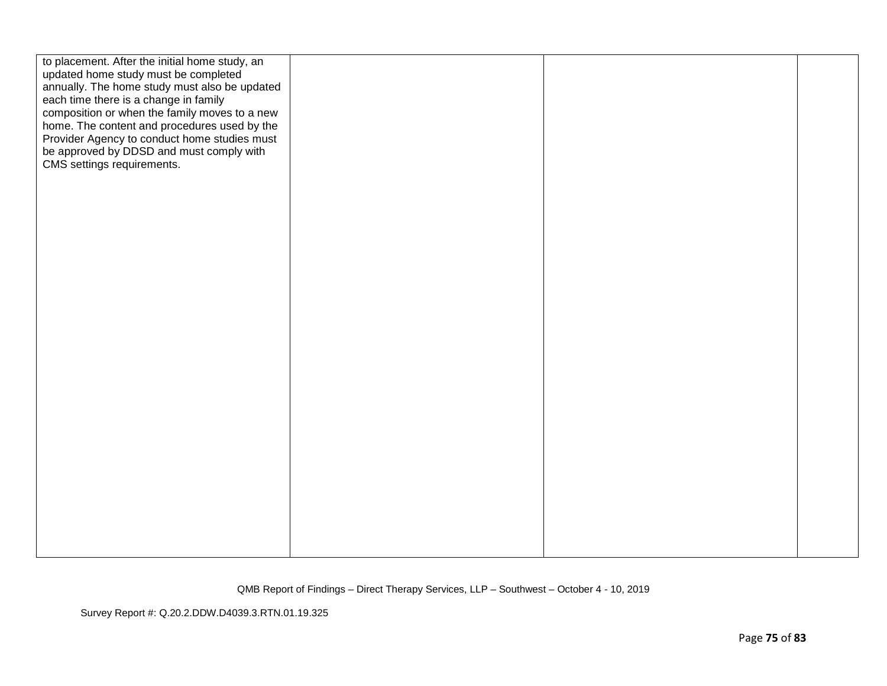| to placement. After the initial home study, an<br>updated home study must be completed<br>annually. The home study must also be updated<br>each time there is a change in family<br>composition or when the family moves to a new<br>home. The content and procedures used by the<br>Provider Agency to conduct home studies must<br>be approved by DDSD and must comply with<br>CMS settings requirements. |  |  |
|-------------------------------------------------------------------------------------------------------------------------------------------------------------------------------------------------------------------------------------------------------------------------------------------------------------------------------------------------------------------------------------------------------------|--|--|
|                                                                                                                                                                                                                                                                                                                                                                                                             |  |  |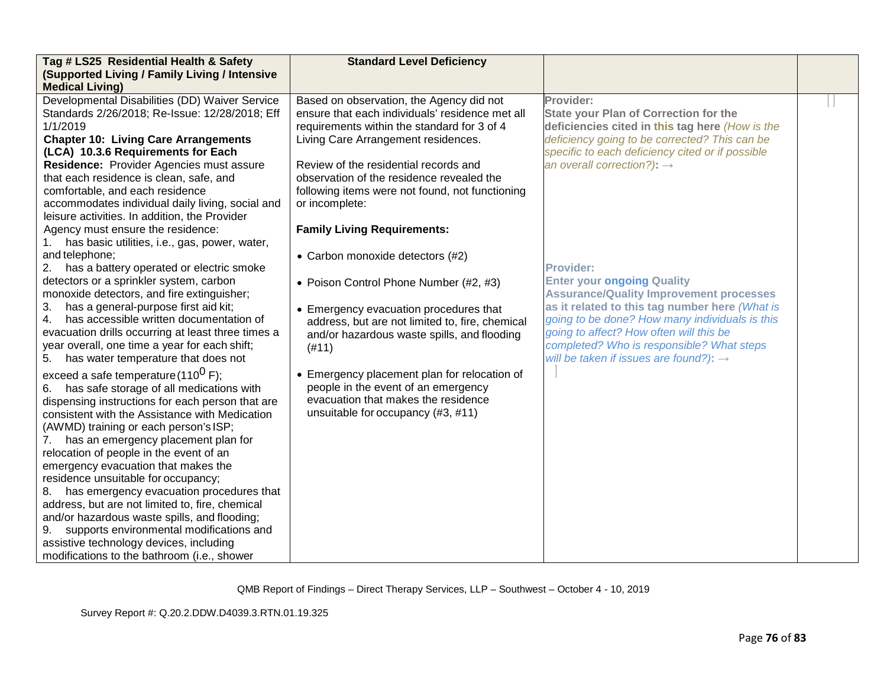| Tag # LS25 Residential Health & Safety                                                                                                                                                                                                                                                                                                                                                                                                                                                                                                                                                                                                                                                                                                                                                                                                                                                                                                                                       | <b>Standard Level Deficiency</b>                                                                                                                                                                                                                                                                                                                                                                                                                                                                                                                                                                      |                                                                                                                                                                                                                                                                                                                                                                                                                                                                                                          |  |
|------------------------------------------------------------------------------------------------------------------------------------------------------------------------------------------------------------------------------------------------------------------------------------------------------------------------------------------------------------------------------------------------------------------------------------------------------------------------------------------------------------------------------------------------------------------------------------------------------------------------------------------------------------------------------------------------------------------------------------------------------------------------------------------------------------------------------------------------------------------------------------------------------------------------------------------------------------------------------|-------------------------------------------------------------------------------------------------------------------------------------------------------------------------------------------------------------------------------------------------------------------------------------------------------------------------------------------------------------------------------------------------------------------------------------------------------------------------------------------------------------------------------------------------------------------------------------------------------|----------------------------------------------------------------------------------------------------------------------------------------------------------------------------------------------------------------------------------------------------------------------------------------------------------------------------------------------------------------------------------------------------------------------------------------------------------------------------------------------------------|--|
| (Supported Living / Family Living / Intensive                                                                                                                                                                                                                                                                                                                                                                                                                                                                                                                                                                                                                                                                                                                                                                                                                                                                                                                                |                                                                                                                                                                                                                                                                                                                                                                                                                                                                                                                                                                                                       |                                                                                                                                                                                                                                                                                                                                                                                                                                                                                                          |  |
| <b>Medical Living)</b><br>Developmental Disabilities (DD) Waiver Service<br>Standards 2/26/2018; Re-Issue: 12/28/2018; Eff<br>1/1/2019                                                                                                                                                                                                                                                                                                                                                                                                                                                                                                                                                                                                                                                                                                                                                                                                                                       | Based on observation, the Agency did not<br>ensure that each individuals' residence met all<br>requirements within the standard for 3 of 4                                                                                                                                                                                                                                                                                                                                                                                                                                                            | Provider:<br><b>State your Plan of Correction for the</b><br>deficiencies cited in this tag here (How is the                                                                                                                                                                                                                                                                                                                                                                                             |  |
| <b>Chapter 10: Living Care Arrangements</b><br>(LCA) 10.3.6 Requirements for Each<br>Residence: Provider Agencies must assure<br>that each residence is clean, safe, and<br>comfortable, and each residence<br>accommodates individual daily living, social and<br>leisure activities. In addition, the Provider<br>Agency must ensure the residence:<br>has basic utilities, i.e., gas, power, water,<br>and telephone;<br>2. has a battery operated or electric smoke<br>detectors or a sprinkler system, carbon<br>monoxide detectors, and fire extinguisher;<br>has a general-purpose first aid kit;<br>3.<br>has accessible written documentation of<br>4.<br>evacuation drills occurring at least three times a<br>year overall, one time a year for each shift;<br>has water temperature that does not<br>5.<br>exceed a safe temperature (110 <sup>0</sup> F);<br>has safe storage of all medications with<br>6.<br>dispensing instructions for each person that are | Living Care Arrangement residences.<br>Review of the residential records and<br>observation of the residence revealed the<br>following items were not found, not functioning<br>or incomplete:<br><b>Family Living Requirements:</b><br>• Carbon monoxide detectors (#2)<br>• Poison Control Phone Number (#2, #3)<br>• Emergency evacuation procedures that<br>address, but are not limited to, fire, chemical<br>and/or hazardous waste spills, and flooding<br>(#11)<br>• Emergency placement plan for relocation of<br>people in the event of an emergency<br>evacuation that makes the residence | deficiency going to be corrected? This can be<br>specific to each deficiency cited or if possible<br>an overall correction?): $\rightarrow$<br><b>Provider:</b><br><b>Enter your ongoing Quality</b><br><b>Assurance/Quality Improvement processes</b><br>as it related to this tag number here (What is<br>going to be done? How many individuals is this<br>going to affect? How often will this be<br>completed? Who is responsible? What steps<br>will be taken if issues are found?): $\rightarrow$ |  |
| consistent with the Assistance with Medication<br>(AWMD) training or each person's ISP;<br>has an emergency placement plan for<br>7.<br>relocation of people in the event of an<br>emergency evacuation that makes the<br>residence unsuitable for occupancy;<br>has emergency evacuation procedures that<br>address, but are not limited to, fire, chemical<br>and/or hazardous waste spills, and flooding;<br>supports environmental modifications and<br>9.<br>assistive technology devices, including<br>modifications to the bathroom (i.e., shower                                                                                                                                                                                                                                                                                                                                                                                                                     | unsuitable for occupancy (#3, #11)                                                                                                                                                                                                                                                                                                                                                                                                                                                                                                                                                                    |                                                                                                                                                                                                                                                                                                                                                                                                                                                                                                          |  |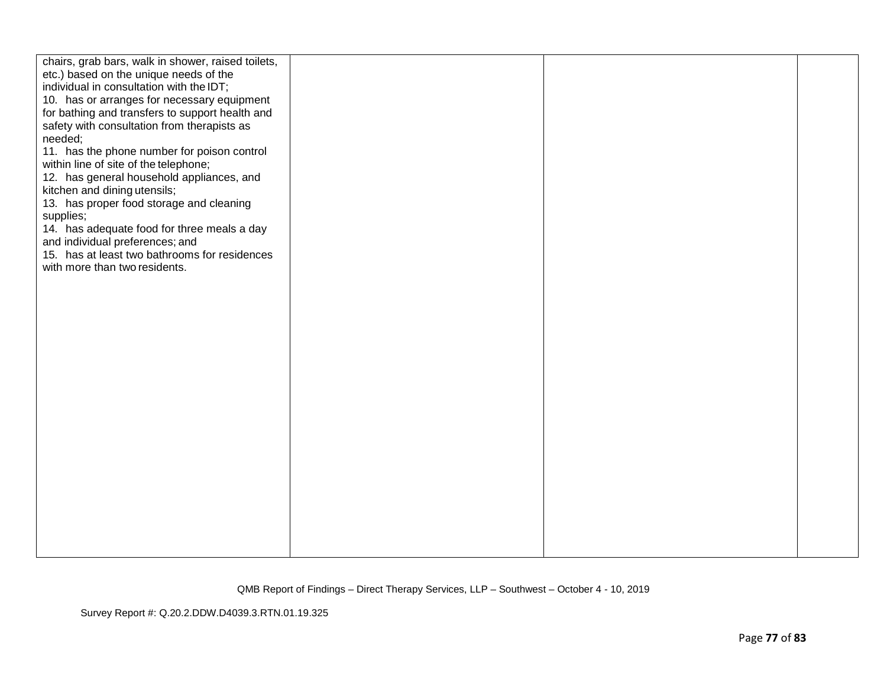| chairs, grab bars, walk in shower, raised toilets,<br>etc.) based on the unique needs of the<br>individual in consultation with the IDT;<br>10. has or arranges for necessary equipment<br>for bathing and transfers to support health and<br>safety with consultation from therapists as<br>needed;<br>11. has the phone number for poison control<br>within line of site of the telephone;<br>12. has general household appliances, and<br>kitchen and dining utensils;<br>13. has proper food storage and cleaning<br>supplies;<br>14. has adequate food for three meals a day<br>and individual preferences; and<br>15. has at least two bathrooms for residences<br>with more than two residents. |  |  |
|--------------------------------------------------------------------------------------------------------------------------------------------------------------------------------------------------------------------------------------------------------------------------------------------------------------------------------------------------------------------------------------------------------------------------------------------------------------------------------------------------------------------------------------------------------------------------------------------------------------------------------------------------------------------------------------------------------|--|--|
|                                                                                                                                                                                                                                                                                                                                                                                                                                                                                                                                                                                                                                                                                                        |  |  |
|                                                                                                                                                                                                                                                                                                                                                                                                                                                                                                                                                                                                                                                                                                        |  |  |
|                                                                                                                                                                                                                                                                                                                                                                                                                                                                                                                                                                                                                                                                                                        |  |  |
|                                                                                                                                                                                                                                                                                                                                                                                                                                                                                                                                                                                                                                                                                                        |  |  |
|                                                                                                                                                                                                                                                                                                                                                                                                                                                                                                                                                                                                                                                                                                        |  |  |
|                                                                                                                                                                                                                                                                                                                                                                                                                                                                                                                                                                                                                                                                                                        |  |  |
|                                                                                                                                                                                                                                                                                                                                                                                                                                                                                                                                                                                                                                                                                                        |  |  |
|                                                                                                                                                                                                                                                                                                                                                                                                                                                                                                                                                                                                                                                                                                        |  |  |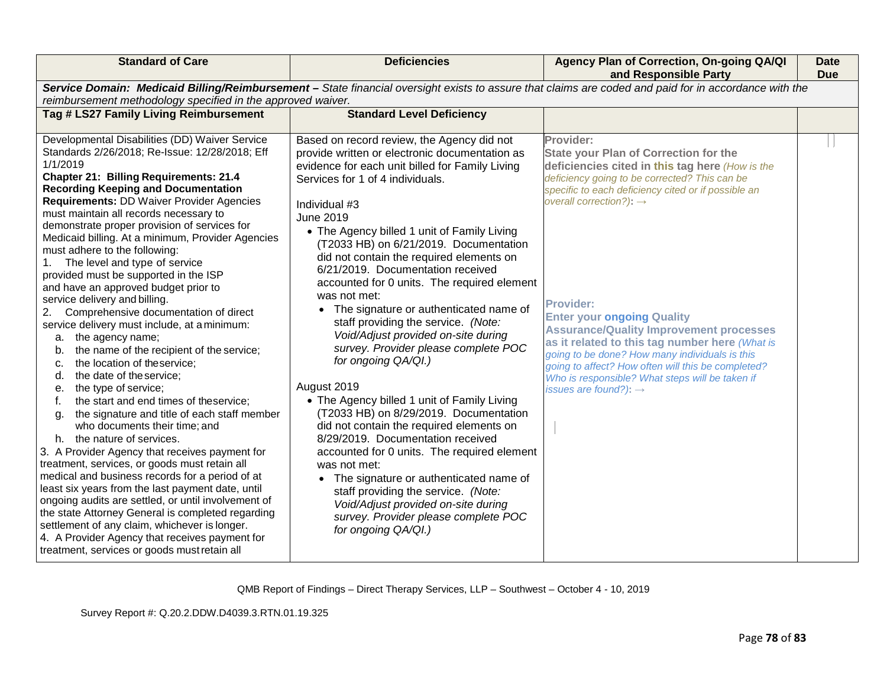| <b>Standard of Care</b>                                                                                                                                                                                                                                                                                                                                                                                                                                                                                                                                                                                                                                                                                                                                                                                                                                                                                                                                                                                                                                                                                                                                                                                                                                                                                                                                                                                                                                                                                                            | <b>Deficiencies</b>                                                                                                                                                                                                                                                                                                                                                                                                                                                                                                                                                                                                                                                                                                                                                                                                                                                                                                                                                                                                                                                                                | Agency Plan of Correction, On-going QA/QI<br>and Responsible Party                                                                                                                                                                                                                                                                                                                                                                                                                                                                                                                                                       | <b>Date</b><br><b>Due</b> |
|------------------------------------------------------------------------------------------------------------------------------------------------------------------------------------------------------------------------------------------------------------------------------------------------------------------------------------------------------------------------------------------------------------------------------------------------------------------------------------------------------------------------------------------------------------------------------------------------------------------------------------------------------------------------------------------------------------------------------------------------------------------------------------------------------------------------------------------------------------------------------------------------------------------------------------------------------------------------------------------------------------------------------------------------------------------------------------------------------------------------------------------------------------------------------------------------------------------------------------------------------------------------------------------------------------------------------------------------------------------------------------------------------------------------------------------------------------------------------------------------------------------------------------|----------------------------------------------------------------------------------------------------------------------------------------------------------------------------------------------------------------------------------------------------------------------------------------------------------------------------------------------------------------------------------------------------------------------------------------------------------------------------------------------------------------------------------------------------------------------------------------------------------------------------------------------------------------------------------------------------------------------------------------------------------------------------------------------------------------------------------------------------------------------------------------------------------------------------------------------------------------------------------------------------------------------------------------------------------------------------------------------------|--------------------------------------------------------------------------------------------------------------------------------------------------------------------------------------------------------------------------------------------------------------------------------------------------------------------------------------------------------------------------------------------------------------------------------------------------------------------------------------------------------------------------------------------------------------------------------------------------------------------------|---------------------------|
| Service Domain: Medicaid Billing/Reimbursement - State financial oversight exists to assure that claims are coded and paid for in accordance with the                                                                                                                                                                                                                                                                                                                                                                                                                                                                                                                                                                                                                                                                                                                                                                                                                                                                                                                                                                                                                                                                                                                                                                                                                                                                                                                                                                              |                                                                                                                                                                                                                                                                                                                                                                                                                                                                                                                                                                                                                                                                                                                                                                                                                                                                                                                                                                                                                                                                                                    |                                                                                                                                                                                                                                                                                                                                                                                                                                                                                                                                                                                                                          |                           |
| reimbursement methodology specified in the approved waiver.<br>Tag # LS27 Family Living Reimbursement                                                                                                                                                                                                                                                                                                                                                                                                                                                                                                                                                                                                                                                                                                                                                                                                                                                                                                                                                                                                                                                                                                                                                                                                                                                                                                                                                                                                                              | <b>Standard Level Deficiency</b>                                                                                                                                                                                                                                                                                                                                                                                                                                                                                                                                                                                                                                                                                                                                                                                                                                                                                                                                                                                                                                                                   |                                                                                                                                                                                                                                                                                                                                                                                                                                                                                                                                                                                                                          |                           |
|                                                                                                                                                                                                                                                                                                                                                                                                                                                                                                                                                                                                                                                                                                                                                                                                                                                                                                                                                                                                                                                                                                                                                                                                                                                                                                                                                                                                                                                                                                                                    |                                                                                                                                                                                                                                                                                                                                                                                                                                                                                                                                                                                                                                                                                                                                                                                                                                                                                                                                                                                                                                                                                                    |                                                                                                                                                                                                                                                                                                                                                                                                                                                                                                                                                                                                                          |                           |
| Developmental Disabilities (DD) Waiver Service<br>Standards 2/26/2018; Re-Issue: 12/28/2018; Eff<br>1/1/2019<br><b>Chapter 21: Billing Requirements: 21.4</b><br><b>Recording Keeping and Documentation</b><br><b>Requirements: DD Waiver Provider Agencies</b><br>must maintain all records necessary to<br>demonstrate proper provision of services for<br>Medicaid billing. At a minimum, Provider Agencies<br>must adhere to the following:<br>The level and type of service<br>1.<br>provided must be supported in the ISP<br>and have an approved budget prior to<br>service delivery and billing.<br>Comprehensive documentation of direct<br>2.<br>service delivery must include, at a minimum:<br>the agency name;<br>а.<br>the name of the recipient of the service;<br>b.<br>the location of theservice;<br>c.<br>the date of the service;<br>d.<br>the type of service;<br>е.<br>the start and end times of theservice;<br>the signature and title of each staff member<br>g.<br>who documents their time; and<br>h. the nature of services.<br>3. A Provider Agency that receives payment for<br>treatment, services, or goods must retain all<br>medical and business records for a period of at<br>least six years from the last payment date, until<br>ongoing audits are settled, or until involvement of<br>the state Attorney General is completed regarding<br>settlement of any claim, whichever is longer.<br>4. A Provider Agency that receives payment for<br>treatment, services or goods must retain all | Based on record review, the Agency did not<br>provide written or electronic documentation as<br>evidence for each unit billed for Family Living<br>Services for 1 of 4 individuals.<br>Individual #3<br>June 2019<br>• The Agency billed 1 unit of Family Living<br>(T2033 HB) on 6/21/2019. Documentation<br>did not contain the required elements on<br>6/21/2019. Documentation received<br>accounted for 0 units. The required element<br>was not met:<br>• The signature or authenticated name of<br>staff providing the service. (Note:<br>Void/Adjust provided on-site during<br>survey. Provider please complete POC<br>for ongoing QA/QI.)<br>August 2019<br>• The Agency billed 1 unit of Family Living<br>(T2033 HB) on 8/29/2019. Documentation<br>did not contain the required elements on<br>8/29/2019. Documentation received<br>accounted for 0 units. The required element<br>was not met:<br>The signature or authenticated name of<br>staff providing the service. (Note:<br>Void/Adjust provided on-site during<br>survey. Provider please complete POC<br>for ongoing QA/QI.) | Provider:<br><b>State your Plan of Correction for the</b><br>deficiencies cited in this tag here (How is the<br>deficiency going to be corrected? This can be<br>specific to each deficiency cited or if possible an<br>overall correction?): $\rightarrow$<br><b>Provider:</b><br><b>Enter your ongoing Quality</b><br><b>Assurance/Quality Improvement processes</b><br>as it related to this tag number here (What is<br>going to be done? How many individuals is this<br>going to affect? How often will this be completed?<br>Who is responsible? What steps will be taken if<br>issues are found?): $\rightarrow$ |                           |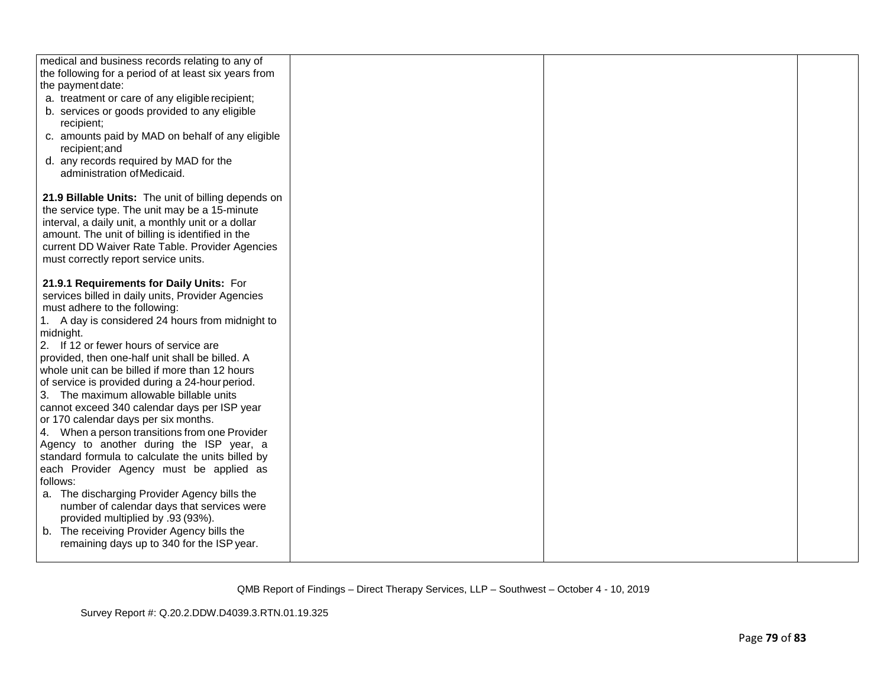| medical and business records relating to any of                                               |  |  |
|-----------------------------------------------------------------------------------------------|--|--|
| the following for a period of at least six years from                                         |  |  |
|                                                                                               |  |  |
| the payment date:                                                                             |  |  |
| a. treatment or care of any eligible recipient;                                               |  |  |
| b. services or goods provided to any eligible                                                 |  |  |
| recipient;                                                                                    |  |  |
| c. amounts paid by MAD on behalf of any eligible                                              |  |  |
| recipient; and                                                                                |  |  |
| d. any records required by MAD for the                                                        |  |  |
| administration of Medicaid.                                                                   |  |  |
|                                                                                               |  |  |
| 21.9 Billable Units: The unit of billing depends on                                           |  |  |
| the service type. The unit may be a 15-minute                                                 |  |  |
| interval, a daily unit, a monthly unit or a dollar                                            |  |  |
| amount. The unit of billing is identified in the                                              |  |  |
| current DD Waiver Rate Table. Provider Agencies                                               |  |  |
| must correctly report service units.                                                          |  |  |
|                                                                                               |  |  |
| 21.9.1 Requirements for Daily Units: For                                                      |  |  |
| services billed in daily units, Provider Agencies                                             |  |  |
| must adhere to the following:                                                                 |  |  |
| 1. A day is considered 24 hours from midnight to                                              |  |  |
| midnight.                                                                                     |  |  |
| 2. If 12 or fewer hours of service are                                                        |  |  |
| provided, then one-half unit shall be billed. A                                               |  |  |
| whole unit can be billed if more than 12 hours                                                |  |  |
| of service is provided during a 24-hour period.                                               |  |  |
| 3. The maximum allowable billable units                                                       |  |  |
|                                                                                               |  |  |
| cannot exceed 340 calendar days per ISP year                                                  |  |  |
| or 170 calendar days per six months.                                                          |  |  |
| 4. When a person transitions from one Provider                                                |  |  |
| Agency to another during the ISP year, a<br>standard formula to calculate the units billed by |  |  |
|                                                                                               |  |  |
| each Provider Agency must be applied as                                                       |  |  |
| follows:                                                                                      |  |  |
| a. The discharging Provider Agency bills the                                                  |  |  |
| number of calendar days that services were                                                    |  |  |
| provided multiplied by .93 (93%).                                                             |  |  |
| b. The receiving Provider Agency bills the                                                    |  |  |
| remaining days up to 340 for the ISP year.                                                    |  |  |
|                                                                                               |  |  |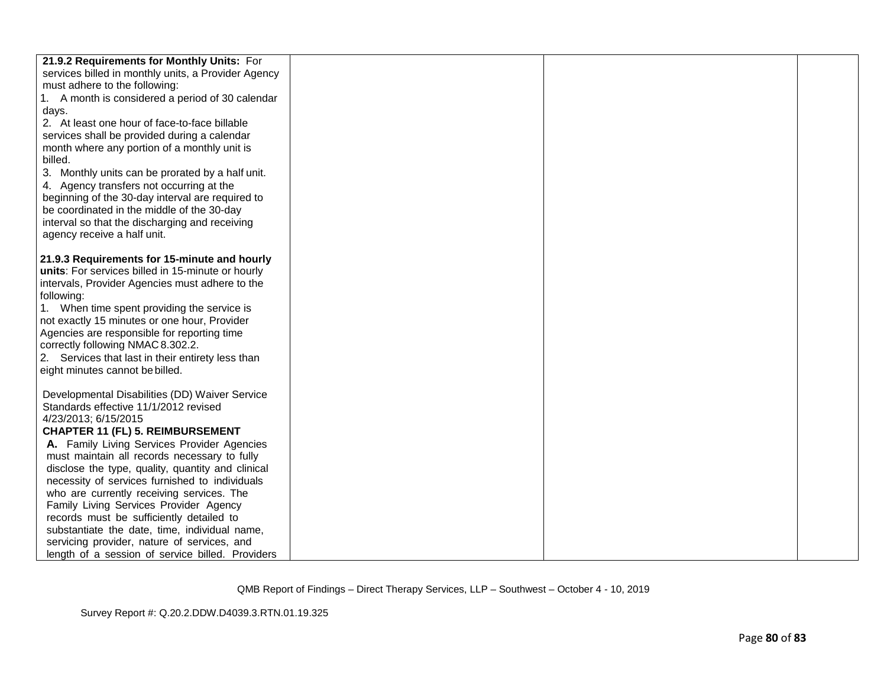| 21.9.2 Requirements for Monthly Units: For          |  |  |
|-----------------------------------------------------|--|--|
| services billed in monthly units, a Provider Agency |  |  |
| must adhere to the following:                       |  |  |
| 1. A month is considered a period of 30 calendar    |  |  |
| days.                                               |  |  |
| 2. At least one hour of face-to-face billable       |  |  |
| services shall be provided during a calendar        |  |  |
| month where any portion of a monthly unit is        |  |  |
| billed.                                             |  |  |
| 3. Monthly units can be prorated by a half unit.    |  |  |
| 4. Agency transfers not occurring at the            |  |  |
| beginning of the 30-day interval are required to    |  |  |
| be coordinated in the middle of the 30-day          |  |  |
| interval so that the discharging and receiving      |  |  |
| agency receive a half unit.                         |  |  |
| 21.9.3 Requirements for 15-minute and hourly        |  |  |
| units: For services billed in 15-minute or hourly   |  |  |
| intervals, Provider Agencies must adhere to the     |  |  |
| following:                                          |  |  |
| 1. When time spent providing the service is         |  |  |
| not exactly 15 minutes or one hour, Provider        |  |  |
| Agencies are responsible for reporting time         |  |  |
| correctly following NMAC 8.302.2.                   |  |  |
| 2. Services that last in their entirety less than   |  |  |
| eight minutes cannot be billed.                     |  |  |
|                                                     |  |  |
| Developmental Disabilities (DD) Waiver Service      |  |  |
| Standards effective 11/1/2012 revised               |  |  |
| 4/23/2013; 6/15/2015                                |  |  |
| <b>CHAPTER 11 (FL) 5. REIMBURSEMENT</b>             |  |  |
| A. Family Living Services Provider Agencies         |  |  |
| must maintain all records necessary to fully        |  |  |
| disclose the type, quality, quantity and clinical   |  |  |
| necessity of services furnished to individuals      |  |  |
| who are currently receiving services. The           |  |  |
| Family Living Services Provider Agency              |  |  |
| records must be sufficiently detailed to            |  |  |
| substantiate the date, time, individual name,       |  |  |
| servicing provider, nature of services, and         |  |  |
| length of a session of service billed. Providers    |  |  |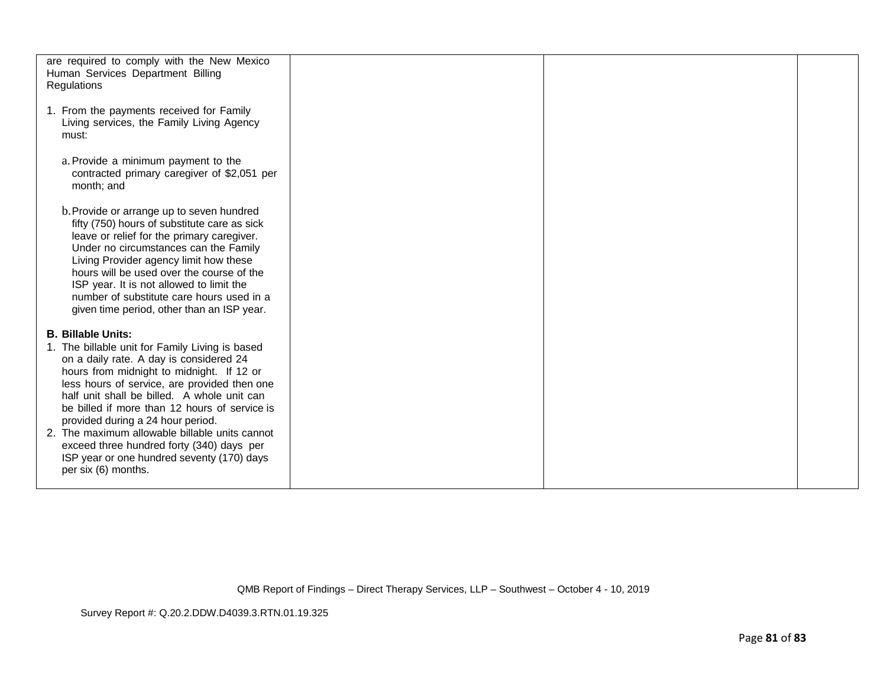| are required to comply with the New Mexico<br>Human Services Department Billing<br>Regulations                                                                                                                                                                                                                                                                                                                                                           |  |  |
|----------------------------------------------------------------------------------------------------------------------------------------------------------------------------------------------------------------------------------------------------------------------------------------------------------------------------------------------------------------------------------------------------------------------------------------------------------|--|--|
| 1. From the payments received for Family<br>Living services, the Family Living Agency<br>must:                                                                                                                                                                                                                                                                                                                                                           |  |  |
| a. Provide a minimum payment to the<br>contracted primary caregiver of \$2,051 per<br>month; and                                                                                                                                                                                                                                                                                                                                                         |  |  |
| b. Provide or arrange up to seven hundred<br>fifty (750) hours of substitute care as sick<br>leave or relief for the primary caregiver.<br>Under no circumstances can the Family<br>Living Provider agency limit how these<br>hours will be used over the course of the<br>ISP year. It is not allowed to limit the<br>number of substitute care hours used in a<br>given time period, other than an ISP year.                                           |  |  |
| <b>B. Billable Units:</b><br>1. The billable unit for Family Living is based<br>on a daily rate. A day is considered 24<br>hours from midnight to midnight. If 12 or<br>less hours of service, are provided then one<br>half unit shall be billed. A whole unit can<br>be billed if more than 12 hours of service is<br>provided during a 24 hour period.<br>2. The maximum allowable billable units cannot<br>exceed three hundred forty (340) days per |  |  |
| ISP year or one hundred seventy (170) days<br>per six (6) months.                                                                                                                                                                                                                                                                                                                                                                                        |  |  |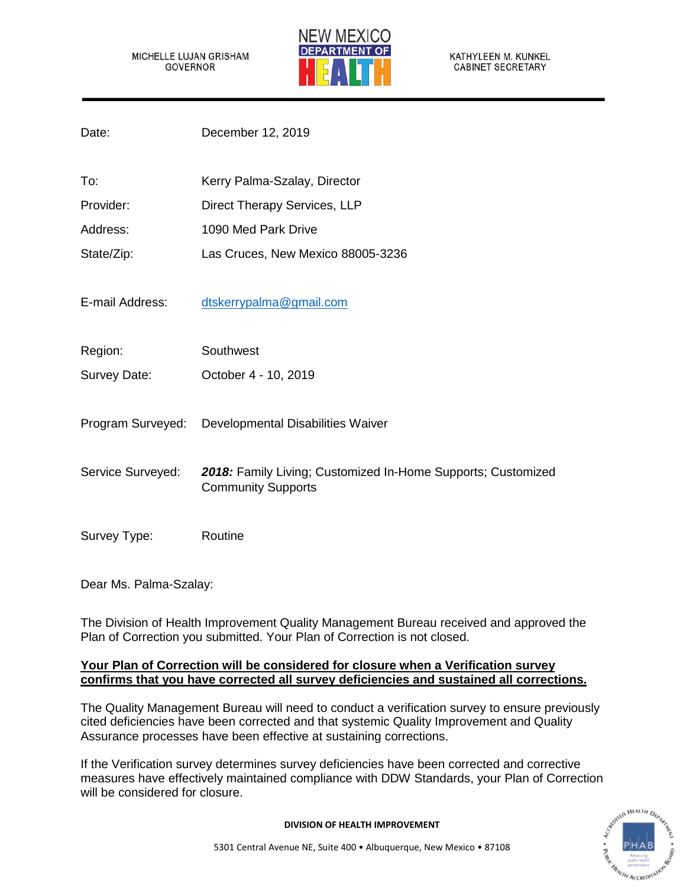MICHELLE LUJAN GRISHAM GOVERNOR



KATHYLEEN M. KUNKEL **CABINET SECRETARY** 

| Date:             | December 12, 2019                                                                         |
|-------------------|-------------------------------------------------------------------------------------------|
| To:               | Kerry Palma-Szalay, Director                                                              |
| Provider:         | Direct Therapy Services, LLP                                                              |
| Address:          | 1090 Med Park Drive                                                                       |
| State/Zip:        | Las Cruces, New Mexico 88005-3236                                                         |
| E-mail Address:   | dtskerrypalma@gmail.com                                                                   |
| Region:           | Southwest                                                                                 |
| Survey Date:      | October 4 - 10, 2019                                                                      |
| Program Surveyed: | Developmental Disabilities Waiver                                                         |
| Service Surveyed: | 2018: Family Living; Customized In-Home Supports; Customized<br><b>Community Supports</b> |
| Survey Type:      | Routine                                                                                   |

Dear Ms. Palma-Szalay:

The Division of Health Improvement Quality Management Bureau received and approved the Plan of Correction you submitted. Your Plan of Correction is not closed.

## **Your Plan of Correction will be considered for closure when a Verification survey confirms that you have corrected all survey deficiencies and sustained all corrections.**

The Quality Management Bureau will need to conduct a verification survey to ensure previously cited deficiencies have been corrected and that systemic Quality Improvement and Quality Assurance processes have been effective at sustaining corrections.

If the Verification survey determines survey deficiencies have been corrected and corrective measures have effectively maintained compliance with DDW Standards, your Plan of Correction will be considered for closure.